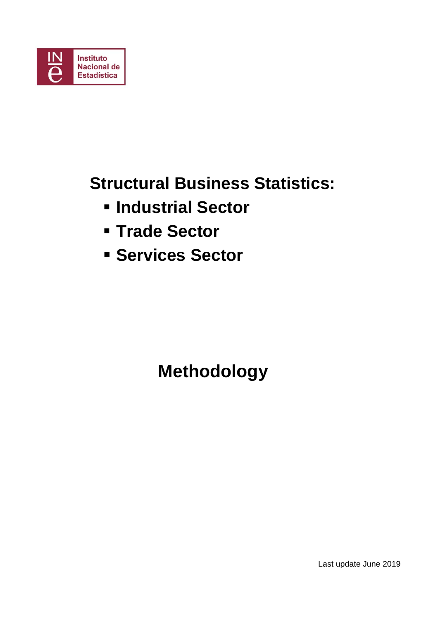

## **Structural Business Statistics:**

- **Industrial Sector**
- **Trade Sector**
- **F** Services Sector

 **Methodology** 

Last update June 2019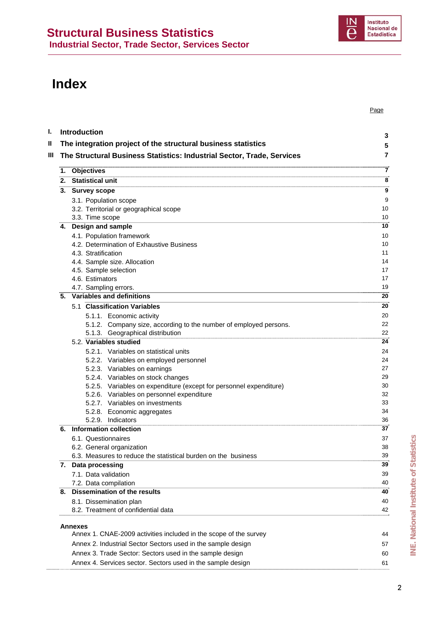## **Index**

| <b>Introduction</b><br>The integration project of the structural business statistics                            | 3<br>5   |
|-----------------------------------------------------------------------------------------------------------------|----------|
| The Structural Business Statistics: Industrial Sector, Trade, Services                                          | 7        |
| 1. Objectives                                                                                                   | 7        |
| <b>Statistical unit</b><br>2.                                                                                   | 8        |
| 3.<br><b>Survey scope</b>                                                                                       | 9        |
| 3.1. Population scope                                                                                           | 9        |
| 3.2. Territorial or geographical scope                                                                          | 10       |
| 3.3. Time scope                                                                                                 | 10       |
| 4. Design and sample                                                                                            | 10       |
| 4.1. Population framework<br>4.2. Determination of Exhaustive Business                                          | 10<br>10 |
| 4.3. Stratification                                                                                             | 11       |
| 4.4. Sample size. Allocation                                                                                    | 14       |
| 4.5. Sample selection                                                                                           | 17       |
| 4.6. Estimators                                                                                                 | 17       |
| 4.7. Sampling errors.                                                                                           | 19       |
| 5. Variables and definitions                                                                                    | 20       |
| 5.1 Classification Variables                                                                                    | 20       |
| 5.1.1. Economic activity                                                                                        | 20       |
| 5.1.2. Company size, according to the number of employed persons.                                               | 22       |
| 5.1.3. Geographical distribution                                                                                | 22       |
| 5.2. Variables studied                                                                                          | 24       |
| 5.2.1. Variables on statistical units                                                                           | 24       |
| 5.2.2. Variables on employed personnel                                                                          | 24       |
| 5.2.3. Variables on earnings                                                                                    | 27       |
| 5.2.4. Variables on stock changes                                                                               | 29<br>30 |
| 5.2.5. Variables on expenditure (except for personnel expenditure)<br>5.2.6. Variables on personnel expenditure | 32       |
| 5.2.7. Variables on investments                                                                                 | 33       |
| 5.2.8. Economic aggregates                                                                                      | 34       |
| 5.2.9. Indicators                                                                                               | 36       |
| Information collection<br>6.                                                                                    | 37       |
| 6.1. Questionnaires                                                                                             | 37       |
| 6.2. General organization                                                                                       | 38       |
| 6.3. Measures to reduce the statistical burden on the business                                                  | 39       |
| 7. Data processing                                                                                              | 39       |
| 7.1. Data validation                                                                                            | 39       |
| 7.2. Data compilation                                                                                           | 40       |
| <b>Dissemination of the results</b><br>8.                                                                       | 40       |
| 8.1. Dissemination plan                                                                                         | 40       |
| 8.2. Treatment of confidential data                                                                             | 42       |
| Annexes                                                                                                         |          |
| Annex 1. CNAE-2009 activities included in the scope of the survey                                               | 44       |
| Annex 2. Industrial Sector Sectors used in the sample design                                                    | 57       |
| Annex 3. Trade Sector: Sectors used in the sample design                                                        | 60       |
| Annex 4. Services sector. Sectors used in the sample design                                                     | 61       |

*Page*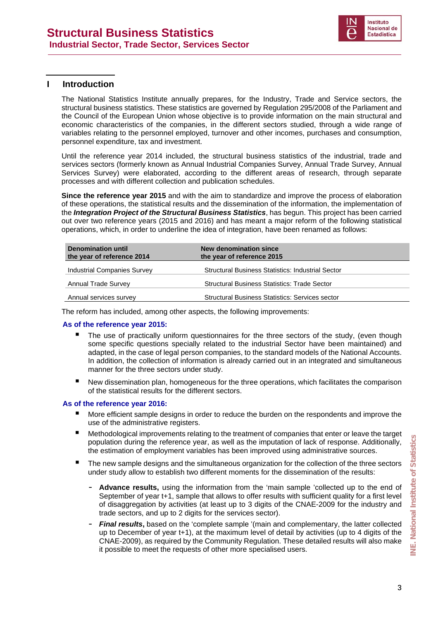

#### **I** Introduction

The National Statistics Institute annually prepares, for the Industry, Trade and Service sectors, the structural business statistics. These statistics are governed by Regulation 295/2008 of the Parliament and the Council of the European Union whose objective is to provide information on the main structural and economic characteristics of the companies, in the different sectors studied, through a wide range of variables relating to the personnel employed, turnover and other incomes, purchases and consumption, personnel expenditure, tax and investment.

Until the reference year 2014 included, the structural business statistics of the industrial, trade and services sectors (formerly known as Annual Industrial Companies Survey, Annual Trade Survey, Annual Services Survey) were elaborated, according to the different areas of research, through separate processes and with different collection and publication schedules.

**Since the reference year 2015** and with the aim to standardize and improve the process of elaboration of these operations, the statistical results and the dissemination of the information, the implementation of the *Integration Project of the Structural Business Statistics*, has begun. This project has been carried out over two reference years (2015 and 2016) and has meant a major reform of the following statistical operations, which, in order to underline the idea of integration, have been renamed as follows:

| <b>Denomination until</b><br>the year of reference 2014 | New denomination since<br>the year of reference 2015   |
|---------------------------------------------------------|--------------------------------------------------------|
| Industrial Companies Survey                             | Structural Business Statistics: Industrial Sector      |
| <b>Annual Trade Survey</b>                              | Structural Business Statistics: Trade Sector           |
| Annual services survey                                  | <b>Structural Business Statistics: Services sector</b> |

The reform has included, among other aspects, the following improvements:

#### **As of the reference year 2015:**

- The use of practically uniform questionnaires for the three sectors of the study, (even though some specific questions specially related to the industrial Sector have been maintained) and adapted, in the case of legal person companies, to the standard models of the National Accounts. In addition, the collection of information is already carried out in an integrated and simultaneous manner for the three sectors under study.
- New dissemination plan, homogeneous for the three operations, which facilitates the comparison of the statistical results for the different sectors.

#### **As of the reference year 2016:**

- More efficient sample designs in order to reduce the burden on the respondents and improve the use of the administrative registers.
- Methodological improvements relating to the treatment of companies that enter or leave the target population during the reference year, as well as the imputation of lack of response. Additionally, the estimation of employment variables has been improved using administrative sources.
- The new sample designs and the simultaneous organization for the collection of the three sectors under study allow to establish two different moments for the dissemination of the results:
- **Advance results,** using the information from the 'main sample 'collected up to the end of September of year t+1, sample that allows to offer results with sufficient quality for a first level of disaggregation by activities (at least up to 3 digits of the CNAE-2009 for the industry and trade sectors, and up to 2 digits for the services sector). **INCREM** INTERT TO THE INTERT TO THE TONGE-2009), as required by the Community Regulation. These detailed results will also make<br>
In possible to meet the equency of the collection of the three sectors<br> **ITER THE NEW SAMPL** 
	- *Final results***,** based on the 'complete sample '(main and complementary, the latter collected up to December of year t+1), at the maximum level of detail by activities (up to 4 digits of the CNAE-2009), as required by the Community Regulation. These detailed results will also make it possible to meet the requests of other more specialised users.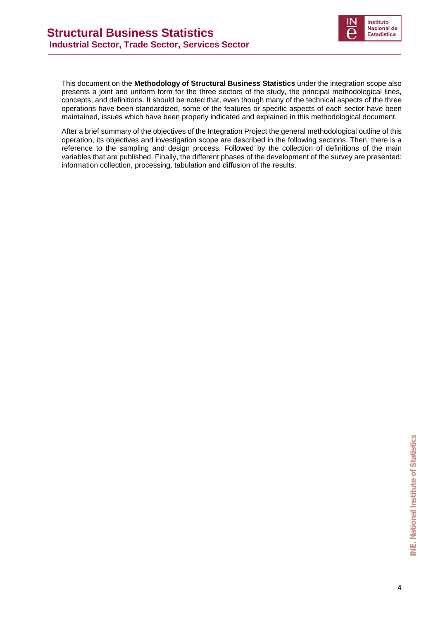

This document on the **Methodology of Structural Business Statistics** under the integration scope also presents a joint and uniform form for the three sectors of the study, the principal methodological lines, concepts, and definitions. It should be noted that, even though many of the technical aspects of the three operations have been standardized, some of the features or specific aspects of each sector have been maintained, issues which have been properly indicated and explained in this methodological document.

After a brief summary of the objectives of the Integration Project the general methodological outline of this operation, its objectives and investigation scope are described in the following sections. Then, there is a reference to the sampling and design process. Followed by the collection of definitions of the main variables that are published. Finally, the different phases of the development of the survey are presented: information collection, processing, tabulation and diffusion of the results.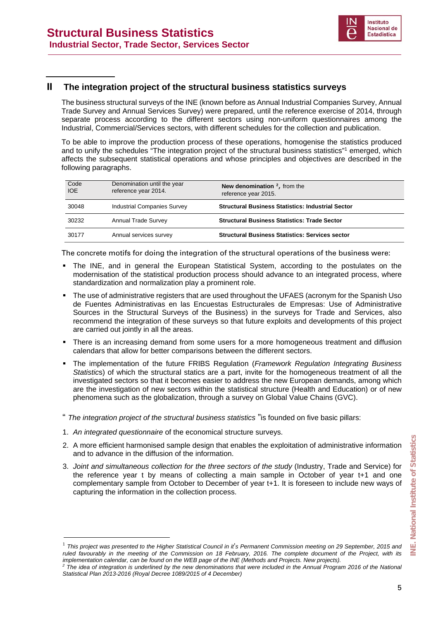

#### **II The integration project of the structural business statistics surveys**

The business structural surveys of the INE (known before as Annual Industrial Companies Survey, Annual Trade Survey and Annual Services Survey) were prepared, until the reference exercise of 2014, through separate process according to the different sectors using non-uniform questionnaires among the Industrial, Commercial/Services sectors, with different schedules for the collection and publication.

To be able to improve the production process of these operations, homogenise the statistics produced and to unify the schedules "The integration project of the structural business statistics"<sup>1</sup> emerged, which affects the subsequent statistical operations and whose principles and objectives are described in the following paragraphs.

| Code<br><b>IOE</b> | Denomination until the year<br>reference year 2014. | New denomination $2$ , from the<br>reference year 2015.  |
|--------------------|-----------------------------------------------------|----------------------------------------------------------|
| 30048              | <b>Industrial Companies Survey</b>                  | <b>Structural Business Statistics: Industrial Sector</b> |
| 30232              | <b>Annual Trade Survey</b>                          | <b>Structural Business Statistics: Trade Sector</b>      |
| 30177              | Annual services survey                              | <b>Structural Business Statistics: Services sector</b>   |

The concrete motifs for doing the integration of the structural operations of the business were:

- The INE, and in general the European Statistical System, according to the postulates on the modernisation of the statistical production process should advance to an integrated process, where standardization and normalization play a prominent role.
- The use of administrative registers that are used throughout the UFAES (acronym for the Spanish Uso de Fuentes Administrativas en las Encuestas Estructurales de Empresas: Use of Administrative Sources in the Structural Surveys of the Business) in the surveys for Trade and Services, also recommend the integration of these surveys so that future exploits and developments of this project are carried out jointly in all the areas.
- There is an increasing demand from some users for a more homogeneous treatment and diffusion calendars that allow for better comparisons between the different sectors.
- The implementation of the future FRIBS Regulation (*Framework Regulation Integrating Business Statistic*s) of which the structural statics are a part, invite for the homogeneous treatment of all the investigated sectors so that it becomes easier to address the new European demands, among which are the investigation of new sectors within the statistical structure (Health and Education) or of new phenomena such as the globalization, through a survey on Global Value Chains (GVC).
- " *The integration project of the structural business statistics* "is founded on five basic pillars:
- 1. *An integrated questionnaire* of the economical structure surveys.

-

- 2. A more efficient harmonised sample design that enables the exploitation of administrative information and to advance in the diffusion of the information.
- 3. *Joint and simultaneous collection for the three sectors of the study* (Industry, Trade and Service) for the reference year t by means of collecting a main sample in October of year t+1 and one complementary sample from October to December of year t+1. It is foreseen to include new ways of capturing the information in the collection process.

<sup>1</sup> *This project was presented to the Higher Statistical Council in it*'*s Permanent Commission meeting on 29 September, 2015 and ruled favourably in the meeting of the Commission on 18 February, 2016. The complete document of the Project, with its implementation calendar, can be found on the WEB page of the INE (Methods and Projects. New projects).*

<sup>&</sup>lt;sup>2</sup> The idea of integration is underlined by the new denominations that were included in the Annual Program 2016 of the National *Statistical Plan 2013-2016 (Royal Decree 1089/2015 of 4 December)*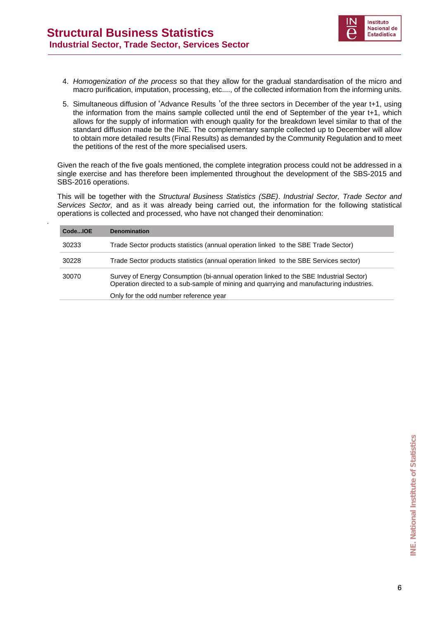.



- 4. *Homogenization of the process* so that they allow for the gradual standardisation of the micro and macro purification, imputation, processing, etc...., of the collected information from the informing units.
- 5. Simultaneous diffusion of 'Advance Results 'of the three sectors in December of the year t+1, using the information from the mains sample collected until the end of September of the year t+1, which allows for the supply of information with enough quality for the breakdown level similar to that of the standard diffusion made be the INE. The complementary sample collected up to December will allow to obtain more detailed results (Final Results) as demanded by the Community Regulation and to meet the petitions of the rest of the more specialised users.

Given the reach of the five goals mentioned, the complete integration process could not be addressed in a single exercise and has therefore been implemented throughout the development of the SBS-2015 and SBS-2016 operations.

This will be together with the *Structural Business Statistics (SBE)*. *Industrial Sector, Trade Sector and Services Sector,* and as it was already being carried out, the information for the following statistical operations is collected and processed, who have not changed their denomination:

| CodeIOE | <b>Denomination</b>                                                                                                                                                                |
|---------|------------------------------------------------------------------------------------------------------------------------------------------------------------------------------------|
| 30233   | Trade Sector products statistics (annual operation linked to the SBE Trade Sector)                                                                                                 |
| 30228   | Trade Sector products statistics (annual operation linked to the SBE Services sector)                                                                                              |
| 30070   | Survey of Energy Consumption (bi-annual operation linked to the SBE Industrial Sector)<br>Operation directed to a sub-sample of mining and quarrying and manufacturing industries. |
|         | Only for the odd number reference year                                                                                                                                             |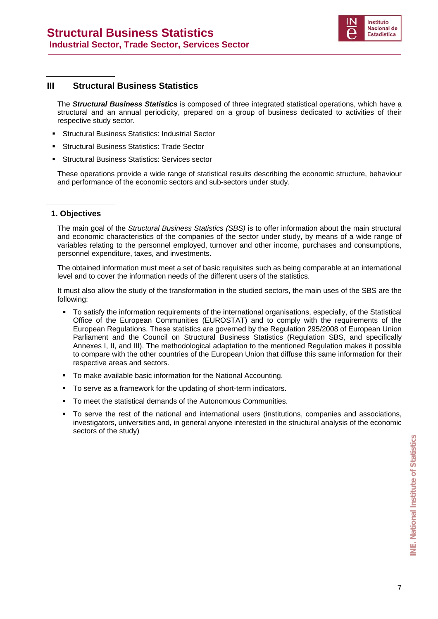

#### **III Structural Business Statistics**

The *Structural Business Statistics* is composed of three integrated statistical operations, which have a structural and an annual periodicity, prepared on a group of business dedicated to activities of their respective study sector.

- Structural Business Statistics: Industrial Sector
- Structural Business Statistics: Trade Sector
- Structural Business Statistics: Services sector

These operations provide a wide range of statistical results describing the economic structure, behaviour and performance of the economic sectors and sub-sectors under study.

#### **1. Objectives**

The main goal of the *Structural Business Statistics (SBS)* is to offer information about the main structural and economic characteristics of the companies of the sector under study, by means of a wide range of variables relating to the personnel employed, turnover and other income, purchases and consumptions, personnel expenditure, taxes, and investments.

The obtained information must meet a set of basic requisites such as being comparable at an international level and to cover the information needs of the different users of the statistics.

It must also allow the study of the transformation in the studied sectors, the main uses of the SBS are the following:

- To satisfy the information requirements of the international organisations, especially, of the Statistical Office of the European Communities (EUROSTAT) and to comply with the requirements of the European Regulations. These statistics are governed by the Regulation 295/2008 of European Union Parliament and the Council on Structural Business Statistics (Regulation SBS, and specifically Annexes I, II, and III). The methodological adaptation to the mentioned Regulation makes it possible to compare with the other countries of the European Union that diffuse this same information for their respective areas and sectors.
- To make available basic information for the National Accounting.
- To serve as a framework for the updating of short-term indicators.
- To meet the statistical demands of the Autonomous Communities.
- To serve the rest of the national and international users (institutions, companies and associations, investigators, universities and, in general anyone interested in the structural analysis of the economic sectors of the study)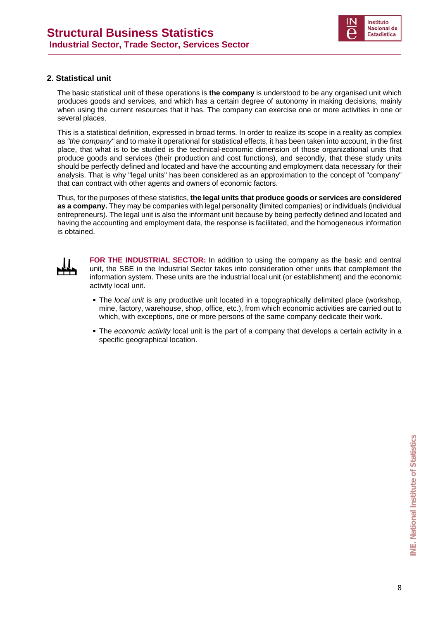

#### **2. Statistical unit**

The basic statistical unit of these operations is **the company** is understood to be any organised unit which produces goods and services, and which has a certain degree of autonomy in making decisions, mainly when using the current resources that it has. The company can exercise one or more activities in one or several places.

This is a statistical definition, expressed in broad terms. In order to realize its scope in a reality as complex as *"the company"* and to make it operational for statistical effects, it has been taken into account, in the first place, that what is to be studied is the technical-economic dimension of those organizational units that produce goods and services (their production and cost functions), and secondly, that these study units should be perfectly defined and located and have the accounting and employment data necessary for their analysis. That is why "legal units" has been considered as an approximation to the concept of "company" that can contract with other agents and owners of economic factors.

Thus, for the purposes of these statistics, **the legal units that produce goods or services are considered as a company.** They may be companies with legal personality (limited companies) or individuals (individual entrepreneurs). The legal unit is also the informant unit because by being perfectly defined and located and having the accounting and employment data, the response is facilitated, and the homogeneous information is obtained.



**FOR THE INDUSTRIAL SECTOR:** In addition to using the company as the basic and central unit, the SBE in the Industrial Sector takes into consideration other units that complement the information system. These units are the industrial local unit (or establishment) and the economic activity local unit.

- The *local unit* is any productive unit located in a topographically delimited place (workshop, mine, factory, warehouse, shop, office, etc.), from which economic activities are carried out to which, with exceptions, one or more persons of the same company dedicate their work.
- The *economic activity* local unit is the part of a company that develops a certain activity in a specific geographical location.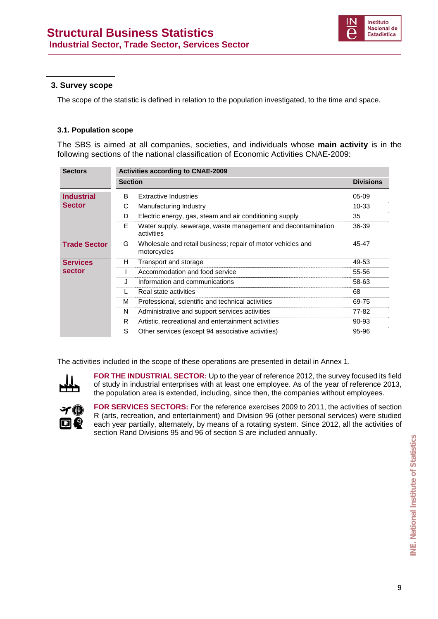

#### **3. Survey scope**

The scope of the statistic is defined in relation to the population investigated, to the time and space.

#### **3.1. Population scope**

The SBS is aimed at all companies, societies, and individuals whose **main activity** is in the following sections of the national classification of Economic Activities CNAE-2009:

| <b>Sectors</b>      | <b>Activities according to CNAE-2009</b> |                                                                            |                  |
|---------------------|------------------------------------------|----------------------------------------------------------------------------|------------------|
|                     | <b>Section</b>                           |                                                                            | <b>Divisions</b> |
| <b>Industrial</b>   | B.                                       | <b>Extractive Industries</b>                                               | $05-09$          |
| <b>Sector</b>       | С                                        | Manufacturing Industry                                                     | $10 - 33$        |
|                     | D                                        | Electric energy, gas, steam and air conditioning supply                    | 35               |
|                     | F.                                       | Water supply, sewerage, waste management and decontamination<br>activities | 36-39            |
| <b>Trade Sector</b> | G                                        | Wholesale and retail business; repair of motor vehicles and<br>motorcycles | 45-47            |
| <b>Services</b>     | н                                        | Transport and storage                                                      | 49-53            |
| sector              |                                          | Accommodation and food service                                             | 55-56            |
|                     | Π.                                       | Information and communications                                             | 58-63            |
|                     |                                          | Real state activities                                                      | 68               |
|                     | м                                        | Professional, scientific and technical activities                          | 69-75            |
|                     | N                                        | Administrative and support services activities                             | 77-82            |
|                     | R.                                       | Artistic, recreational and entertainment activities                        | 90-93            |
|                     | S                                        | Other services (except 94 associative activities)                          | 95-96            |

The activities included in the scope of these operations are presented in detail in Annex 1.



**FOR THE INDUSTRIAL SECTOR:** Up to the year of reference 2012, the survey focused its field of study in industrial enterprises with at least one employee. As of the year of reference 2013, the population area is extended, including, since then, the companies without employees.



**FOR SERVICES SECTORS:** For the reference exercises 2009 to 2011, the activities of section R (arts, recreation, and entertainment) and Division 96 (other personal services) were studied each year partially, alternately, by means of a rotating system. Since 2012, all the activities of section Rand Divisions 95 and 96 of section S are included annually.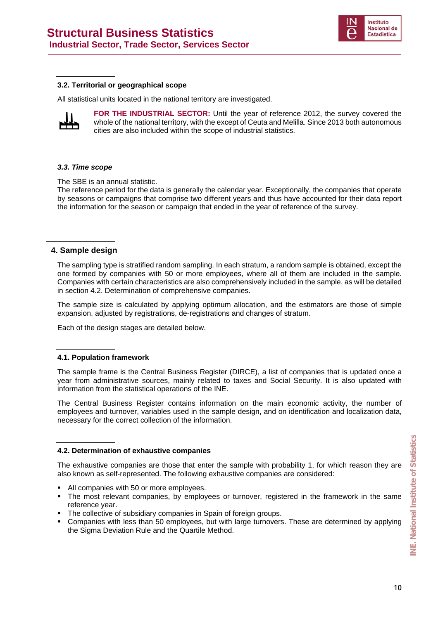

#### **3.2. Territorial or geographical scope**

All statistical units located in the national territory are investigated.



**FOR THE INDUSTRIAL SECTOR:** Until the year of reference 2012, the survey covered the whole of the national territory, with the except of Ceuta and Melilla. Since 2013 both autonomous cities are also included within the scope of industrial statistics.

#### *3.3. Time scope*

The SBE is an annual statistic.

The reference period for the data is generally the calendar year. Exceptionally, the companies that operate by seasons or campaigns that comprise two different years and thus have accounted for their data report the information for the season or campaign that ended in the year of reference of the survey.

#### **4. Sample design**

The sampling type is stratified random sampling. In each stratum, a random sample is obtained, except the one formed by companies with 50 or more employees, where all of them are included in the sample. Companies with certain characteristics are also comprehensively included in the sample, as will be detailed in section 4.2. Determination of comprehensive companies.

The sample size is calculated by applying optimum allocation, and the estimators are those of simple expansion, adjusted by registrations, de-registrations and changes of stratum.

Each of the design stages are detailed below.

#### **4.1. Population framework**

The sample frame is the Central Business Register (DIRCE), a list of companies that is updated once a year from administrative sources, mainly related to taxes and Social Security. It is also updated with information from the statistical operations of the INE.

The Central Business Register contains information on the main economic activity, the number of employees and turnover, variables used in the sample design, and on identification and localization data, necessary for the correct collection of the information.

#### **4.2. Determination of exhaustive companies**

The exhaustive companies are those that enter the sample with probability 1, for which reason they are also known as self-represented. The following exhaustive companies are considered:

- All companies with 50 or more employees.
- The most relevant companies, by employees or turnover, registered in the framework in the same reference year.
- The collective of subsidiary companies in Spain of foreign groups.
- Companies with less than 50 employees, but with large turnovers. These are determined by applying the Sigma Deviation Rule and the Quartile Method.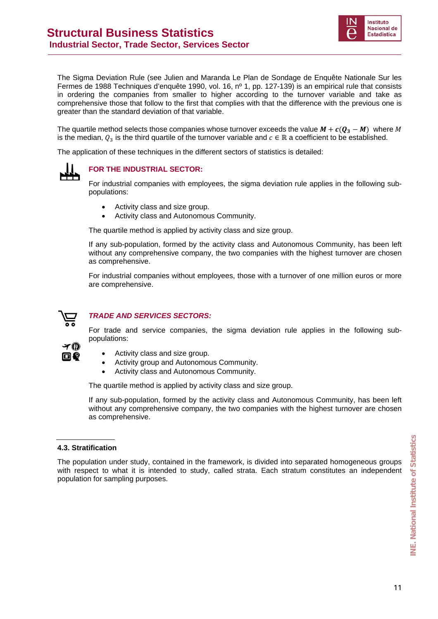

The Sigma Deviation Rule (see Julien and Maranda Le Plan de Sondage de Enquête Nationale Sur les Fermes de 1988 Techniques d'enquête 1990, vol. 16, nº 1, pp. 127-139) is an empirical rule that consists in ordering the companies from smaller to higher according to the turnover variable and take as comprehensive those that follow to the first that complies with that the difference with the previous one is greater than the standard deviation of that variable.

The quartile method selects those companies whose turnover exceeds the value  $M + c(Q_3 - M) \,$  where  $M$ is the median,  $Q_3$  is the third quartile of the turnover variable and  $c \in \mathbb{R}$  a coefficient to be established.

The application of these techniques in the different sectors of statistics is detailed:



#### **FOR THE INDUSTRIAL SECTOR:**

For industrial companies with employees, the sigma deviation rule applies in the following subpopulations:

- Activity class and size group.
- Activity class and Autonomous Community.

The quartile method is applied by activity class and size group.

If any sub-population, formed by the activity class and Autonomous Community, has been left without any comprehensive company, the two companies with the highest turnover are chosen as comprehensive.

For industrial companies without employees, those with a turnover of one million euros or more are comprehensive.



画像

#### *TRADE AND SERVICES SECTORS:*

For trade and service companies, the sigma deviation rule applies in the following subpopulations:

- Activity class and size group.
- Activity group and Autonomous Community.
- Activity class and Autonomous Community.

The quartile method is applied by activity class and size group.

If any sub-population, formed by the activity class and Autonomous Community, has been left without any comprehensive company, the two companies with the highest turnover are chosen as comprehensive.

#### **4.3. Stratification**

The population under study, contained in the framework, is divided into separated homogeneous groups with respect to what it is intended to study, called strata. Each stratum constitutes an independent population for sampling purposes.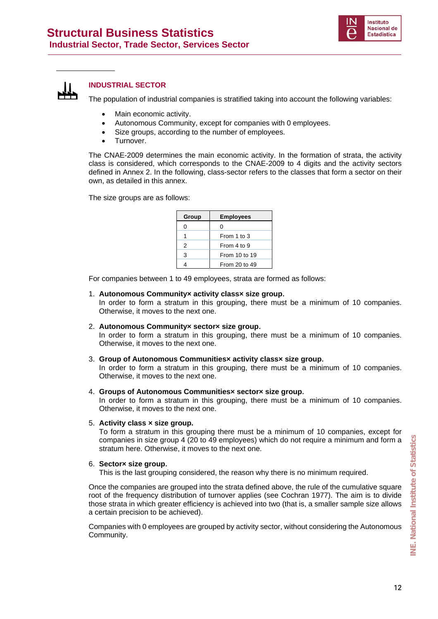



#### **INDUSTRIAL SECTOR**

The population of industrial companies is stratified taking into account the following variables:

- Main economic activity.
- Autonomous Community, except for companies with 0 employees.
- Size groups, according to the number of employees.
- Turnover.

The CNAE-2009 determines the main economic activity. In the formation of strata, the activity class is considered, which corresponds to the CNAE-2009 to 4 digits and the activity sectors defined in Annex 2. In the following, class-sector refers to the classes that form a sector on their own, as detailed in this annex.

The size groups are as follows:

| Group | <b>Employees</b> |
|-------|------------------|
| 0     | Ω                |
|       | From 1 to 3      |
| 2     | From 4 to 9      |
| 3     | From 10 to 19    |
|       | From 20 to 49    |

For companies between 1 to 49 employees, strata are formed as follows:

#### 1. **Autonomous Community× activity class× size group**.

In order to form a stratum in this grouping, there must be a minimum of 10 companies. Otherwise, it moves to the next one.

2. **Autonomous Community× sector× size group**.

In order to form a stratum in this grouping, there must be a minimum of 10 companies. Otherwise, it moves to the next one.

#### 3. **Group of Autonomous Communities× activity class× size group**.

In order to form a stratum in this grouping, there must be a minimum of 10 companies. Otherwise, it moves to the next one.

4. **Groups of Autonomous Communities× sector× size group**.

In order to form a stratum in this grouping, there must be a minimum of 10 companies. Otherwise, it moves to the next one.

5. **Activity class × size group.**

To form a stratum in this grouping there must be a minimum of 10 companies, except for companies in size group 4 (20 to 49 employees) which do not require a minimum and form a stratum here. Otherwise, it moves to the next one.

#### 6. **Sector× size group**.

This is the last grouping considered, the reason why there is no minimum required.

Once the companies are grouped into the strata defined above, the rule of the cumulative square root of the frequency distribution of turnover applies (see Cochran 1977). The aim is to divide those strata in which greater efficiency is achieved into two (that is, a smaller sample size allows a certain precision to be achieved).

Companies with 0 employees are grouped by activity sector, without considering the Autonomous Community.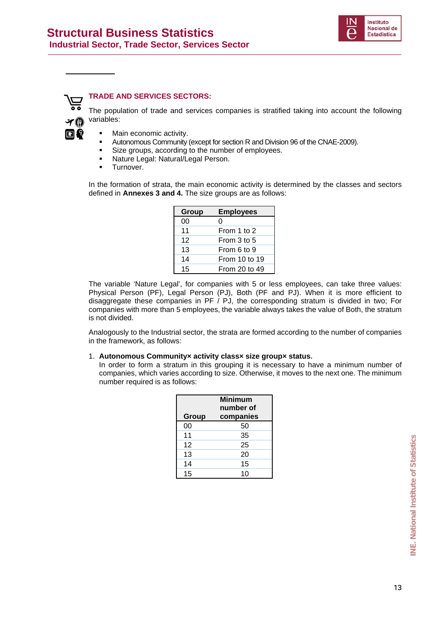



#### **TRADE AND SERVICES SECTORS:**

The population of trade and services companies is stratified taking into account the following variables:

- Main economic activity.
- Autonomous Community (except for section R and Division 96 of the CNAE-2009).
- Size groups, according to the number of employees.
- **Nature Legal: Natural/Legal Person.**
- **Turnover.**

In the formation of strata, the main economic activity is determined by the classes and sectors defined in **Annexes 3 and 4.** The size groups are as follows:

| Group | <b>Employees</b> |
|-------|------------------|
| 00    | O                |
| 11    | From 1 to 2      |
| 12    | From 3 to 5      |
| 13    | From 6 to 9      |
| 14    | From 10 to 19    |
| 15    | From 20 to 49    |

The variable 'Nature Legal', for companies with 5 or less employees, can take three values: Physical Person (PF), Legal Person (PJ), Both (PF and PJ). When it is more efficient to disaggregate these companies in PF / PJ, the corresponding stratum is divided in two; For companies with more than 5 employees, the variable always takes the value of Both, the stratum is not divided.

Analogously to the Industrial sector, the strata are formed according to the number of companies in the framework, as follows:

#### 1. **Autonomous Community× activity class× size group× status**.

In order to form a stratum in this grouping it is necessary to have a minimum number of companies, which varies according to size. Otherwise, it moves to the next one. The minimum number required is as follows:

| Group | <b>Minimum</b><br>number of<br>companies |
|-------|------------------------------------------|
| 00    | 50                                       |
| 11    | 35                                       |
| 12    | 25                                       |
| 13    | 20                                       |
| 14    | 15                                       |
| 15    | 10                                       |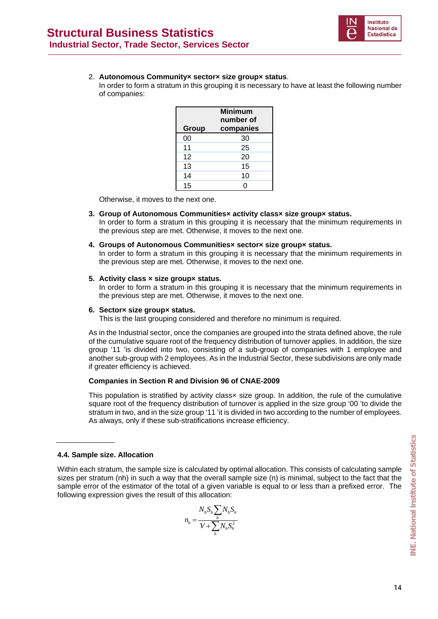

#### 2. **Autonomous Community× sector× size group× status**.

In order to form a stratum in this grouping it is necessary to have at least the following number of companies:

| Group | <b>Minimum</b><br>number of<br>companies |
|-------|------------------------------------------|
| 00    | 30                                       |
| 11    | 25                                       |
| 12    | 20                                       |
| 13    | 15                                       |
| 14    | 10                                       |
| 15    |                                          |

Otherwise, it moves to the next one.

- **3. Group of Autonomous Communities× activity class× size group× status.**  In order to form a stratum in this grouping it is necessary that the minimum requirements in the previous step are met. Otherwise, it moves to the next one.
- **4. Groups of Autonomous Communities× sector× size group× status.**

In order to form a stratum in this grouping it is necessary that the minimum requirements in the previous step are met. Otherwise, it moves to the next one.

#### **5. Activity class × size group× status.**

In order to form a stratum in this grouping it is necessary that the minimum requirements in the previous step are met. Otherwise, it moves to the next one.

#### **6. Sector× size group× status.**

This is the last grouping considered and therefore no minimum is required.

As in the Industrial sector, once the companies are grouped into the strata defined above, the rule of the cumulative square root of the frequency distribution of turnover applies. In addition, the size group '11 'is divided into two, consisting of a sub-group of companies with 1 employee and another sub-group with 2 employees. As in the Industrial Sector, these subdivisions are only made if greater efficiency is achieved.

#### **Companies in Section R and Division 96 of CNAE-2009**

This population is stratified by activity classx size group. In addition, the rule of the cumulative square root of the frequency distribution of turnover is applied in the size group '00 'to divide the stratum in two, and in the size group '11 'it is divided in two according to the number of employees. As always, only if these sub-stratifications increase efficiency.

#### **4.4. Sample size. Allocation**

Within each stratum, the sample size is calculated by optimal allocation. This consists of calculating sample sizes per stratum (nh) in such a way that the overall sample size (n) is minimal, subject to the fact that the sample error of the estimator of the total of a given variable is equal to or less than a prefixed error. The following expression gives the result of this allocation:

$$
n_h = \frac{N_h S_h \sum_h N_h S_h}{V + \sum_h N_h S_h^2}
$$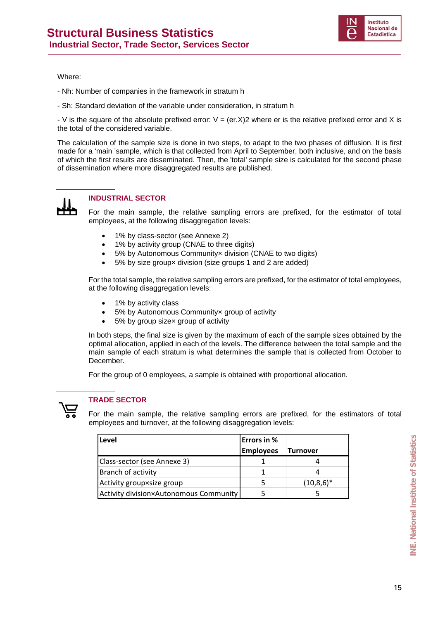

Where:

- Nh: Number of companies in the framework in stratum h
- Sh: Standard deviation of the variable under consideration, in stratum h

- V is the square of the absolute prefixed error:  $V = (er.X)2$  where er is the relative prefixed error and X is the total of the considered variable.

The calculation of the sample size is done in two steps, to adapt to the two phases of diffusion. It is first made for a 'main 'sample, which is that collected from April to September, both inclusive, and on the basis of which the first results are disseminated. Then, the 'total' sample size is calculated for the second phase of dissemination where more disaggregated results are published.



#### **INDUSTRIAL SECTOR**

For the main sample, the relative sampling errors are prefixed, for the estimator of total employees, at the following disaggregation levels:

- 1% by class-sector (see Annexe 2)
- 1% by activity group (CNAE to three digits)
- 5% by Autonomous Communityx division (CNAE to two digits)
- 5% by size group× division (size groups 1 and 2 are added)

For the total sample, the relative sampling errors are prefixed, for the estimator of total employees, at the following disaggregation levels:

- 1% by activity class
- 5% by Autonomous Communityx group of activity
- 5% by group sizex group of activity

In both steps, the final size is given by the maximum of each of the sample sizes obtained by the optimal allocation, applied in each of the levels. The difference between the total sample and the main sample of each stratum is what determines the sample that is collected from October to December.

For the group of 0 employees, a sample is obtained with proportional allocation.



#### **TRADE SECTOR**

For the main sample, the relative sampling errors are prefixed, for the estimators of total employees and turnover, at the following disaggregation levels:

| Level                                  | Errors in %      |              |
|----------------------------------------|------------------|--------------|
|                                        | <b>Employees</b> | Turnover     |
| Class-sector (see Annexe 3)            |                  |              |
| Branch of activity                     |                  |              |
| Activity groupxsize group              |                  | $(10,8,6)^*$ |
| Activity division×Autonomous Community |                  |              |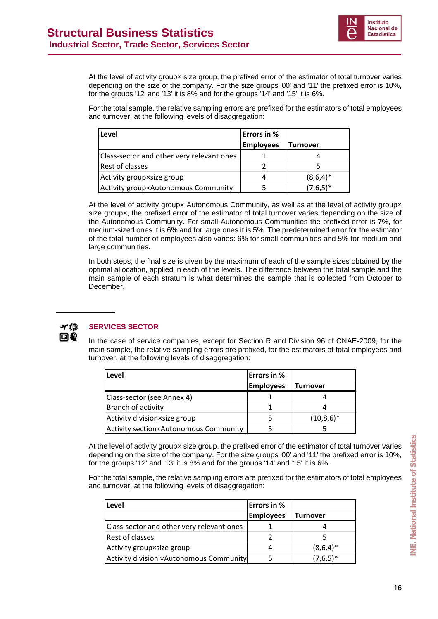

At the level of activity group× size group, the prefixed error of the estimator of total turnover varies depending on the size of the company. For the size groups '00' and '11' the prefixed error is 10%, for the groups '12' and '13' it is 8% and for the groups '14' and '15' it is 6%.

For the total sample, the relative sampling errors are prefixed for the estimators of total employees and turnover, at the following levels of disaggregation:

| Level                                     | <b>Errors in %</b> |                 |
|-------------------------------------------|--------------------|-----------------|
|                                           | <b>Employees</b>   | <b>Turnover</b> |
| Class-sector and other very relevant ones |                    |                 |
| <b>Rest of classes</b>                    |                    |                 |
| Activity group×size group                 | 4                  | $(8,6,4)^*$     |
| Activity group×Autonomous Community       |                    | $(7,6,5)^*$     |

At the level of activity groupx Autonomous Community, as well as at the level of activity groupx size groupx, the prefixed error of the estimator of total turnover varies depending on the size of the Autonomous Community. For small Autonomous Communities the prefixed error is 7%, for medium-sized ones it is 6% and for large ones it is 5%. The predetermined error for the estimator of the total number of employees also varies: 6% for small communities and 5% for medium and large communities.

In both steps, the final size is given by the maximum of each of the sample sizes obtained by the optimal allocation, applied in each of the levels. The difference between the total sample and the main sample of each stratum is what determines the sample that is collected from October to December.



#### *S***ERVICES SECTOR**

In the case of service companies, except for Section R and Division 96 of CNAE-2009, for the main sample, the relative sampling errors are prefixed, for the estimators of total employees and turnover, at the following levels of disaggregation:

| Level                                        | <b>Errors in %</b> |                 |
|----------------------------------------------|--------------------|-----------------|
|                                              | <b>Employees</b>   | <b>Turnover</b> |
| Class-sector (see Annex 4)                   |                    |                 |
| Branch of activity                           |                    |                 |
| Activity division×size group                 |                    | $(10,8,6)^*$    |
| <b>Activity section×Autonomous Community</b> |                    |                 |

At the level of activity groupx size group, the prefixed error of the estimator of total turnover varies depending on the size of the company. For the size groups '00' and '11' the prefixed error is 10%, for the groups '12' and '13' it is 8% and for the groups '14' and '15' it is 6%.

For the total sample, the relative sampling errors are prefixed for the estimators of total employees and turnover, at the following levels of disaggregation:

| Level                                          | <b>Errors in %</b> |                 |
|------------------------------------------------|--------------------|-----------------|
|                                                | <b>Employees</b>   | <b>Turnover</b> |
| Class-sector and other very relevant ones      |                    |                 |
| <b>Rest of classes</b>                         |                    |                 |
| Activity group×size group                      | 4                  | $(8,6,4)^*$     |
| <b>Activity division ×Autonomous Community</b> |                    | $(7,6,5)^*$     |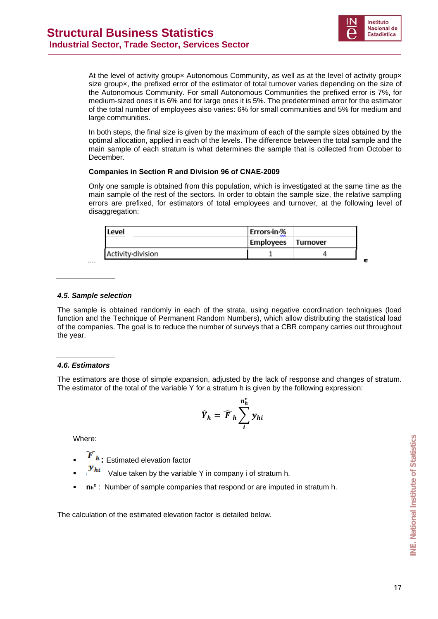

 $\blacksquare$ 

At the level of activity groupx Autonomous Community, as well as at the level of activity groupx size groupx, the prefixed error of the estimator of total turnover varies depending on the size of the Autonomous Community. For small Autonomous Communities the prefixed error is 7%, for medium-sized ones it is 6% and for large ones it is 5%. The predetermined error for the estimator of the total number of employees also varies: 6% for small communities and 5% for medium and large communities.

In both steps, the final size is given by the maximum of each of the sample sizes obtained by the optimal allocation, applied in each of the levels. The difference between the total sample and the main sample of each stratum is what determines the sample that is collected from October to December.

#### **Companies in Section R and Division 96 of CNAE-2009**

Only one sample is obtained from this population, which is investigated at the same time as the main sample of the rest of the sectors. In order to obtain the sample size, the relative sampling errors are prefixed, for estimators of total employees and turnover, at the following level of disaggregation:

| Level             | Errors-in-%        |  |
|-------------------|--------------------|--|
|                   | Employees Turnover |  |
| Activity division |                    |  |

#### *4.5. Sample selection*

The sample is obtained randomly in each of the strata, using negative coordination techniques (load function and the Technique of Permanent Random Numbers), which allow distributing the statistical load of the companies. The goal is to reduce the number of surveys that a CBR company carries out throughout the year.

#### *4.6. Estimators*

The estimators are those of simple expansion, adjusted by the lack of response and changes of stratum. The estimator of the total of the variable Y for a stratum h is given by the following expression:

$$
\widehat{Y}_h = \widehat{F}_h \sum_i^{n_h^e} y_{hi}
$$

Where:

 $\overline{\bm{F}}$  $_{\bm{h}}$  **:** Estimated elevation factor

- : Value taken by the variable Y in company i of stratum h.
- **nhe** : Number of sample companies that respond or are imputed in stratum h.

The calculation of the estimated elevation factor is detailed below.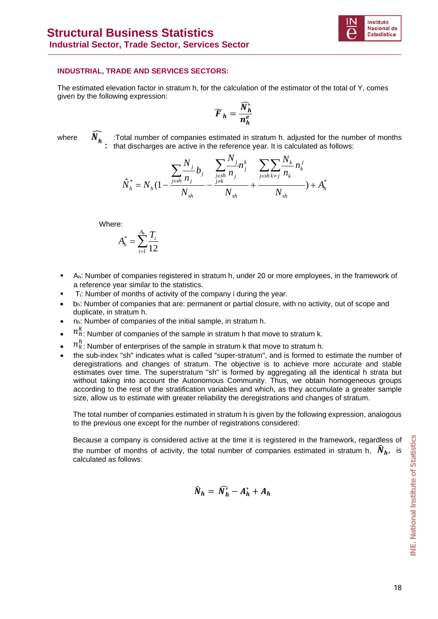

#### **INDUSTRIAL, TRADE AND SERVICES SECTORS:**

The estimated elevation factor in stratum h, for the calculation of the estimator of the total of Y, comes given by the following expression:

$$
\widehat{F}_h = \frac{\widehat{N}_h^*}{n_h^e}
$$

where  $\overline{N}_{L}$  Total number of companies estimated in stratum h. adjusted for the number of months that discharges are active in the reference year. It is calculated as follows:

$$
\hat{N}_{h}^{*} = N_{h} \left(1 - \frac{\sum_{j \in sh}^{N} h_{j}}{N_{sh}} - \frac{\sum_{j \in sh}^{N} h_{j}}{N_{sh}} + \frac{\sum_{j \in sh}^{N} h_{\neq j}}{N_{sh}} n_{k}^{j}}{N_{sh}}\right) + A_{h}^{*}
$$

Where:

$$
A_h^* = \sum_{i=1}^{A_h} \frac{T_i}{12}
$$

- Ah: Number of companies registered in stratum h, under 20 or more employees, in the framework of a reference year similar to the statistics.
- Ti: Number of months of activity of the company i during the year.
- $b<sub>h</sub>$ : Number of companies that are: permanent or partial closure, with no activity, out of scope and duplicate, in stratum h.
- nh: Number of companies of the initial sample, in stratum h.
- $\bullet$   $n_h^k$ : Number of companies of the sample in stratum h that move to stratum k.
- $\bullet$   $n_k^h$ : Number of enterprises of the sample in stratum k that move to stratum h.
- the sub-index "sh" indicates what is called "super-stratum", and is formed to estimate the number of deregistrations and changes of stratum. The objective is to achieve more accurate and stable estimates over time. The superstratum "sh" is formed by aggregating all the identical h strata but without taking into account the Autonomous Community. Thus, we obtain homogeneous groups according to the rest of the stratification variables and which, as they accumulate a greater sample size, allow us to estimate with greater reliability the deregistrations and changes of stratum.

The total number of companies estimated in stratum h is given by the following expression, analogous to the previous one except for the number of registrations considered:

Because a company is considered active at the time it is registered in the framework, regardless of the number of months of activity, the total number of companies estimated in stratum h,  $\hat{N}_h$ , is calculated as follows:

$$
\widehat{N}_h = \widehat{N}_h^* - A_h^* + A_h
$$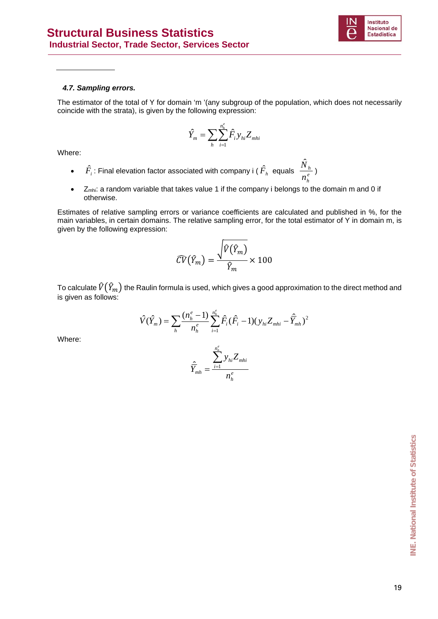

#### *4.7. Sampling errors.*

The estimator of the total of Y for domain 'm '(any subgroup of the population, which does not necessarily coincide with the strata), is given by the following expression:

$$
\hat{Y}_m = \sum_{h} \sum_{i=1}^{n_h^e} \hat{F}_i y_{hi} Z_{mhi}
$$

Where:

- $\hat{F}_i$ : Final elevation factor associated with company i ( $\hat{F}_h$  equals  $\frac{N_f}{n^e}$ *h h n*  $\frac{\hat{N}_h}{\hat{N}}$
- Zmhi: a random variable that takes value 1 if the company i belongs to the domain m and 0 if otherwise.

Estimates of relative sampling errors or variance coefficients are calculated and published in %, for the main variables, in certain domains. The relative sampling error, for the total estimator of Y in domain m, is given by the following expression:

$$
\widehat{CV}(\widehat{Y}_m) = \frac{\sqrt{\widehat{V}(\widehat{Y}_m)}}{\widehat{Y}_m} \times 100
$$

To calculate  $\widehat{V}\big(\widehat{Y}_m\big)$  the Raulin formula is used, which gives a good approximation to the direct method and is given as follows:

$$
\hat{V}(\hat{Y}_m) = \sum_{h} \frac{(n_h^e - 1)}{n_h^e} \sum_{i=1}^{n_h^e} \hat{F}_i(\hat{F}_i - 1)(y_{hi}Z_{mhi} - \hat{Y}_{mh})^2
$$

Where:

$$
\hat{\overline{Y}}_{mh} = \frac{\sum_{i=1}^{n_n^e} y_{hi} Z_{mhi}}{n_h^e}
$$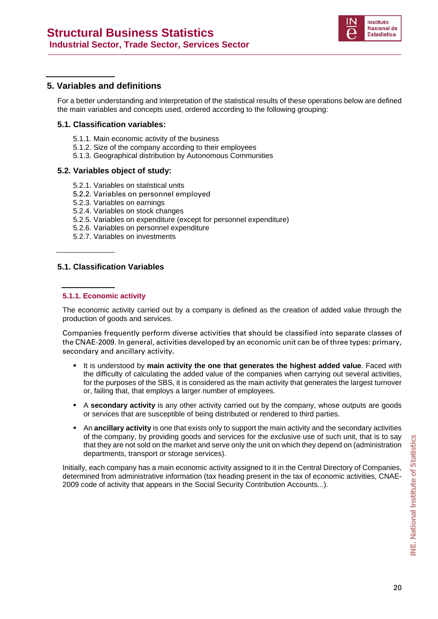

#### **5. Variables and definitions**

For a better understanding and interpretation of the statistical results of these operations below are defined the main variables and concepts used, ordered according to the following grouping:

#### **5.1. Classification variables:**

- 5.1.1. Main economic activity of the business
- 5.1.2. Size of the company according to their employees
- 5.1.3. Geographical distribution by Autonomous Communities

#### **5.2. Variables object of study:**

- 5.2.1. Variables on statistical units
- 5.2.2. Variables on personnel employed
- 5.2.3. Variables on earnings
- 5.2.4. Variables on stock changes
- 5.2.5. Variables on expenditure (except for personnel expenditure)
- 5.2.6. Variables on personnel expenditure
- 5.2.7. Variables on investments

#### **5.1. Classification Variables**

#### **5.1.1. Economic activity**

The economic activity carried out by a company is defined as the creation of added value through the production of goods and services.

Companies frequently perform diverse activities that should be classified into separate classes of the CNAE-2009. In general, activities developed by an economic unit can be of three types: primary, secondary and ancillary activity**.** 

- It is understood by **main activity the one that generates the highest added value**. Faced with the difficulty of calculating the added value of the companies when carrying out several activities, for the purposes of the SBS, it is considered as the main activity that generates the largest turnover or, failing that, that employs a larger number of employees.
- A **secondary activity** is any other activity carried out by the company, whose outputs are goods or services that are susceptible of being distributed or rendered to third parties.
- An **ancillary activity** is one that exists only to support the main activity and the secondary activities of the company, by providing goods and services for the exclusive use of such unit, that is to say that they are not sold on the market and serve only the unit on which they depend on (administration departments, transport or storage services).

Initially, each company has a main economic activity assigned to it in the Central Directory of Companies, determined from administrative information (tax heading present in the tax of economic activities, CNAE-2009 code of activity that appears in the Social Security Contribution Accounts...).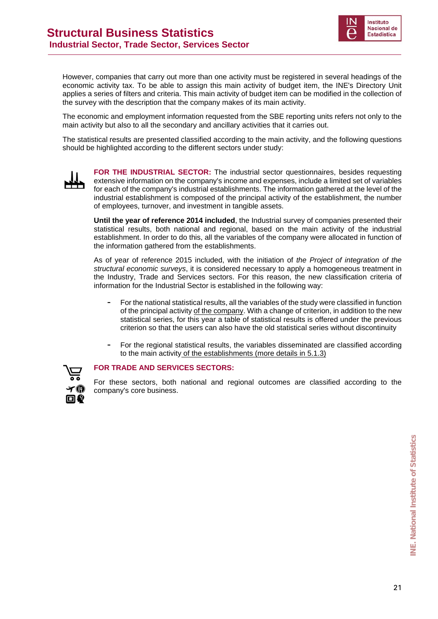

However, companies that carry out more than one activity must be registered in several headings of the economic activity tax. To be able to assign this main activity of budget item, the INE's Directory Unit applies a series of filters and criteria. This main activity of budget item can be modified in the collection of the survey with the description that the company makes of its main activity.

The economic and employment information requested from the SBE reporting units refers not only to the main activity but also to all the secondary and ancillary activities that it carries out.

The statistical results are presented classified according to the main activity, and the following questions should be highlighted according to the different sectors under study:



**FOR THE INDUSTRIAL SECTOR:** The industrial sector questionnaires, besides requesting extensive information on the company's income and expenses, include a limited set of variables for each of the company's industrial establishments. The information gathered at the level of the industrial establishment is composed of the principal activity of the establishment, the number of employees, turnover, and investment in tangible assets.

**Until the year of reference 2014 included**, the Industrial survey of companies presented their statistical results, both national and regional, based on the main activity of the industrial establishment. In order to do this, all the variables of the company were allocated in function of the information gathered from the establishments.

As of year of reference 2015 included, with the initiation of *the Project of integration of the structural economic surveys*, it is considered necessary to apply a homogeneous treatment in the Industry, Trade and Services sectors. For this reason, the new classification criteria of information for the Industrial Sector is established in the following way:

- **-** For the national statistical results, all the variables of the study were classified in function of the principal activity of the company. With a change of criterion, in addition to the new statistical series, for this year a table of statistical results is offered under the previous criterion so that the users can also have the old statistical series without discontinuity
- **-** For the regional statistical results, the variables disseminated are classified according to the main activity of the establishments (more details in 5.1.3)



#### **FOR TRADE AND SERVICES SECTORS:**

For these sectors, both national and regional outcomes are classified according to the company's core business.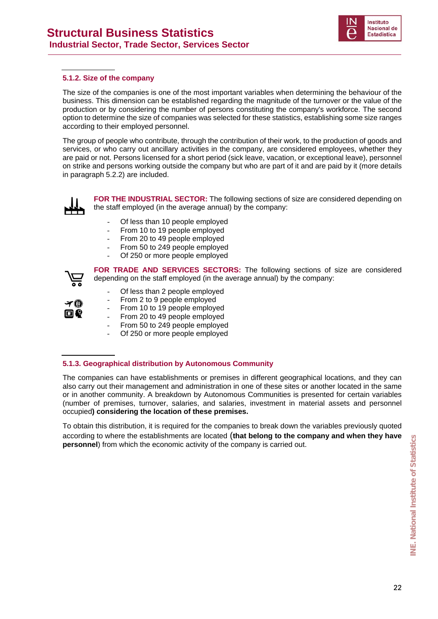

#### **5.1.2. Size of the company**

The size of the companies is one of the most important variables when determining the behaviour of the business. This dimension can be established regarding the magnitude of the turnover or the value of the production or by considering the number of persons constituting the company's workforce. The second option to determine the size of companies was selected for these statistics, establishing some size ranges according to their employed personnel.

The group of people who contribute, through the contribution of their work, to the production of goods and services, or who carry out ancillary activities in the company, are considered employees, whether they are paid or not. Persons licensed for a short period (sick leave, vacation, or exceptional leave), personnel on strike and persons working outside the company but who are part of it and are paid by it (more details in paragraph 5.2.2) are included.



**FOR THE INDUSTRIAL SECTOR:** The following sections of size are considered depending on the staff employed (in the average annual) by the company:

- Of less than 10 people employed
- From 10 to 19 people employed
- From 20 to 49 people employed
- From 50 to 249 people employed
- Of 250 or more people employed



**FOR TRADE AND SERVICES SECTORS:** The following sections of size are considered depending on the staff employed (in the average annual) by the company:

- Of less than 2 people employed
- From 2 to 9 people employed
- From 10 to 19 people employed
- From 20 to 49 people employed
- From 50 to 249 people employed
- Of 250 or more people employed

#### **5.1.3. Geographical distribution by Autonomous Community**

The companies can have establishments or premises in different geographical locations, and they can also carry out their management and administration in one of these sites or another located in the same or in another community. A breakdown by Autonomous Communities is presented for certain variables (number of premises, turnover, salaries, and salaries, investment in material assets and personnel occupied**) considering the location of these premises.** 

To obtain this distribution, it is required for the companies to break down the variables previously quoted according to where the establishments are located (**that belong to the company and when they have personnel**) from which the economic activity of the company is carried out.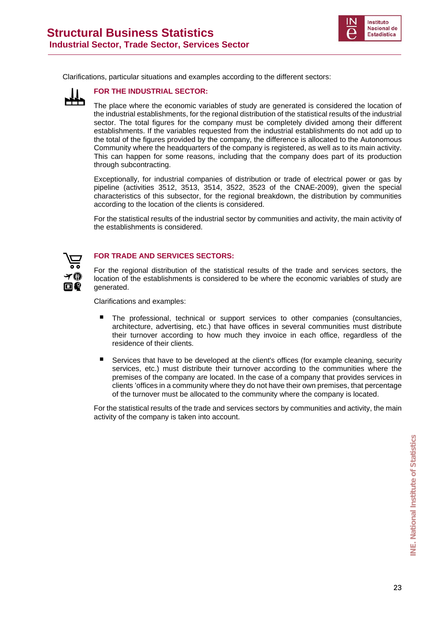

Clarifications, particular situations and examples according to the different sectors:



**FOR THE INDUSTRIAL SECTOR:** 

The place where the economic variables of study are generated is considered the location of the industrial establishments, for the regional distribution of the statistical results of the industrial sector. The total figures for the company must be completely divided among their different establishments. If the variables requested from the industrial establishments do not add up to the total of the figures provided by the company, the difference is allocated to the Autonomous Community where the headquarters of the company is registered, as well as to its main activity. This can happen for some reasons, including that the company does part of its production through subcontracting.

Exceptionally, for industrial companies of distribution or trade of electrical power or gas by pipeline (activities 3512, 3513, 3514, 3522, 3523 of the CNAE-2009), given the special characteristics of this subsector, for the regional breakdown, the distribution by communities according to the location of the clients is considered.

For the statistical results of the industrial sector by communities and activity, the main activity of the establishments is considered.



#### **FOR TRADE AND SERVICES SECTORS:**

For the regional distribution of the statistical results of the trade and services sectors, the location of the establishments is considered to be where the economic variables of study are generated.

Clarifications and examples:

- The professional, technical or support services to other companies (consultancies, architecture, advertising, etc.) that have offices in several communities must distribute their turnover according to how much they invoice in each office, regardless of the residence of their clients.
- Services that have to be developed at the client's offices (for example cleaning, security services, etc.) must distribute their turnover according to the communities where the premises of the company are located. In the case of a company that provides services in clients 'offices in a community where they do not have their own premises, that percentage of the turnover must be allocated to the community where the company is located.

For the statistical results of the trade and services sectors by communities and activity, the main activity of the company is taken into account.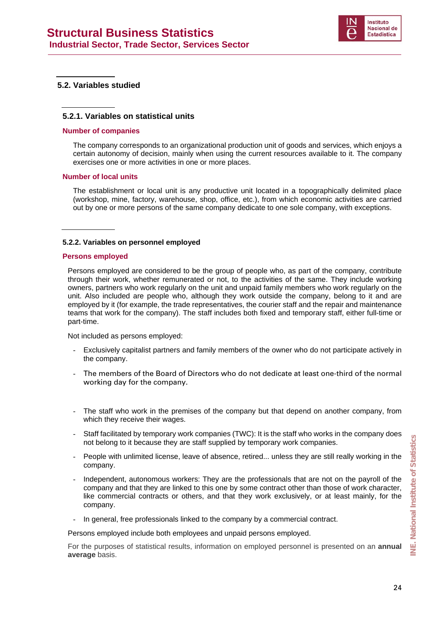

#### **5.2. Variables studied**

#### **5.2.1. Variables on statistical units**

#### **Number of companies**

The company corresponds to an organizational production unit of goods and services, which enjoys a certain autonomy of decision, mainly when using the current resources available to it. The company exercises one or more activities in one or more places.

#### **Number of local units**

The establishment or local unit is any productive unit located in a topographically delimited place (workshop, mine, factory, warehouse, shop, office, etc.), from which economic activities are carried out by one or more persons of the same company dedicate to one sole company, with exceptions.

#### **5.2.2. Variables on personnel employed**

#### **Persons employed**

Persons employed are considered to be the group of people who, as part of the company, contribute through their work, whether remunerated or not, to the activities of the same. They include working owners, partners who work regularly on the unit and unpaid family members who work regularly on the unit. Also included are people who, although they work outside the company, belong to it and are employed by it (for example, the trade representatives, the courier staff and the repair and maintenance teams that work for the company). The staff includes both fixed and temporary staff, either full-time or part-time.

Not included as persons employed:

- Exclusively capitalist partners and family members of the owner who do not participate actively in the company.
- The members of the Board of Directors who do not dedicate at least one-third of the normal working day for the company.
- The staff who work in the premises of the company but that depend on another company, from which they receive their wages.
- Staff facilitated by temporary work companies (TWC): It is the staff who works in the company does not belong to it because they are staff supplied by temporary work companies.
- People with unlimited license, leave of absence, retired... unless they are still really working in the company.
- Independent, autonomous workers: They are the professionals that are not on the payroll of the company and that they are linked to this one by some contract other than those of work character, like commercial contracts or others, and that they work exclusively, or at least mainly, for the company.
- In general, free professionals linked to the company by a commercial contract.

Persons employed include both employees and unpaid persons employed.

For the purposes of statistical results, information on employed personnel is presented on an **annual average** basis.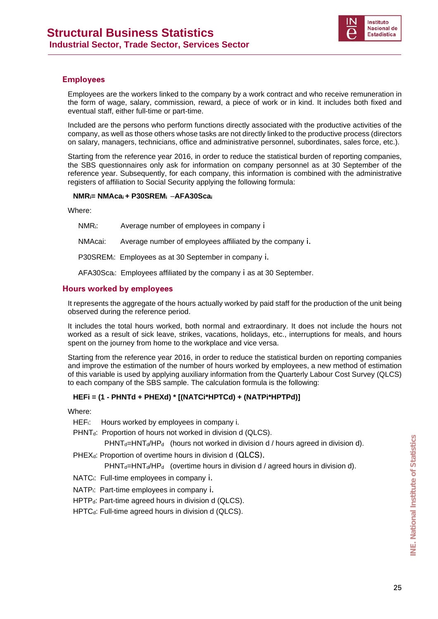

#### **Employees**

Employees are the workers linked to the company by a work contract and who receive remuneration in the form of wage, salary, commission, reward, a piece of work or in kind. It includes both fixed and eventual staff, either full-time or part-time.

Included are the persons who perform functions directly associated with the productive activities of the company, as well as those others whose tasks are not directly linked to the productive process (directors on salary, managers, technicians, office and administrative personnel, subordinates, sales force, etc.).

Starting from the reference year 2016, in order to reduce the statistical burden of reporting companies, the SBS questionnaires only ask for information on company personnel as at 30 September of the reference year. Subsequently, for each company, this information is combined with the administrative registers of affiliation to Social Security applying the following formula:

#### **NMRi= NMAcai + P30SREMi** –**AFA30Scai**

Where:

NMRi: Average number of employees in company i

NMAcai: Average number of employees affiliated by the company i.

P30SREMi: Employees as at 30 September in company i.

AFA30Scai: Employees affiliated by the company i as at 30 September.

#### **Hours worked by employees**

It represents the aggregate of the hours actually worked by paid staff for the production of the unit being observed during the reference period.

It includes the total hours worked, both normal and extraordinary. It does not include the hours not worked as a result of sick leave, strikes, vacations, holidays, etc., interruptions for meals, and hours spent on the journey from home to the workplace and vice versa.

Starting from the reference year 2016, in order to reduce the statistical burden on reporting companies and improve the estimation of the number of hours worked by employees, a new method of estimation of this variable is used by applying auxiliary information from the Quarterly Labour Cost Survey (QLCS) to each company of the SBS sample. The calculation formula is the following:

#### **HEFi = (1 - PHNTd + PHEXd) \* [(NATCi\*HPTCd) + (NATPi\*HPTPd)]**

Where:

HEFi: Hours worked by employees in company i.

PHNT<sub>d</sub>: Proportion of hours not worked in division d (QLCS).

 $PHNT_d=HNT_d/HP_d$  (hours not worked in division d / hours agreed in division d).

PHEX<sub>d</sub>: Proportion of overtime hours in division d (QLCS).

 $PHNT_d=HNT_d/HP_d$  (overtime hours in division d / agreed hours in division d).

- NATCi: Full-time employees in company i.
- NATPi: Part-time employees in company i.
- HPTP<sub>d</sub>: Part-time agreed hours in division d (QLCS).

HPTC<sub>d</sub>: Full-time agreed hours in division d (QLCS).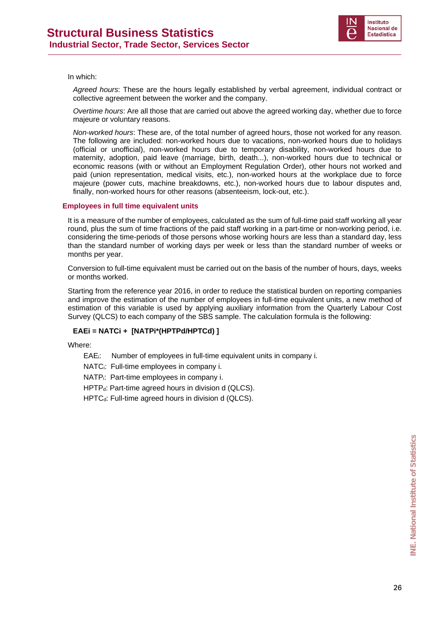

#### In which:

*Agreed hours*: These are the hours legally established by verbal agreement, individual contract or collective agreement between the worker and the company.

*Overtime hours*: Are all those that are carried out above the agreed working day, whether due to force majeure or voluntary reasons.

*Non-worked hours*: These are, of the total number of agreed hours, those not worked for any reason. The following are included: non-worked hours due to vacations, non-worked hours due to holidays (official or unofficial), non-worked hours due to temporary disability, non-worked hours due to maternity, adoption, paid leave (marriage, birth, death...), non-worked hours due to technical or economic reasons (with or without an Employment Regulation Order), other hours not worked and paid (union representation, medical visits, etc.), non-worked hours at the workplace due to force majeure (power cuts, machine breakdowns, etc.), non-worked hours due to labour disputes and, finally, non-worked hours for other reasons (absenteeism, lock-out, etc.).

#### **Employees in full time equivalent units**

It is a measure of the number of employees, calculated as the sum of full-time paid staff working all year round, plus the sum of time fractions of the paid staff working in a part-time or non-working period, i.e. considering the time-periods of those persons whose working hours are less than a standard day, less than the standard number of working days per week or less than the standard number of weeks or months per year.

Conversion to full-time equivalent must be carried out on the basis of the number of hours, days, weeks or months worked.

Starting from the reference year 2016, in order to reduce the statistical burden on reporting companies and improve the estimation of the number of employees in full-time equivalent units, a new method of estimation of this variable is used by applying auxiliary information from the Quarterly Labour Cost Survey (QLCS) to each company of the SBS sample. The calculation formula is the following:

#### **EAEi = NATCi + [NATPi\*(HPTPd/HPTCd) ]**

Where:

EAEi: Number of employees in full-time equivalent units in company i.

NATC<sub>i</sub>: Full-time employees in company i.

NATPi: Part-time employees in company i.

 $HPTP<sub>d</sub>: Part-time agreed hours in division d (QLCS).$ 

 $HPTC_d$ : Full-time agreed hours in division d (QLCS).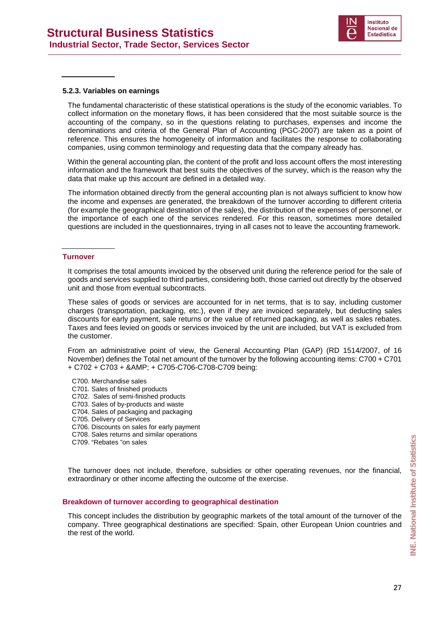

#### **5.2.3. Variables on earnings**

The fundamental characteristic of these statistical operations is the study of the economic variables. To collect information on the monetary flows, it has been considered that the most suitable source is the accounting of the company, so in the questions relating to purchases, expenses and income the denominations and criteria of the General Plan of Accounting (PGC-2007) are taken as a point of reference. This ensures the homogeneity of information and facilitates the response to collaborating companies, using common terminology and requesting data that the company already has.

Within the general accounting plan, the content of the profit and loss account offers the most interesting information and the framework that best suits the objectives of the survey, which is the reason why the data that make up this account are defined in a detailed way.

The information obtained directly from the general accounting plan is not always sufficient to know how the income and expenses are generated, the breakdown of the turnover according to different criteria (for example the geographical destination of the sales), the distribution of the expenses of personnel, or the importance of each one of the services rendered. For this reason, sometimes more detailed questions are included in the questionnaires, trying in all cases not to leave the accounting framework.

#### **Turnover**

It comprises the total amounts invoiced by the observed unit during the reference period for the sale of goods and services supplied to third parties, considering both, those carried out directly by the observed unit and those from eventual subcontracts.

These sales of goods or services are accounted for in net terms, that is to say, including customer charges (transportation, packaging, etc.), even if they are invoiced separately, but deducting sales discounts for early payment, sale returns or the value of returned packaging, as well as sales rebates. Taxes and fees levied on goods or services invoiced by the unit are included, but VAT is excluded from the customer.

From an administrative point of view, the General Accounting Plan (GAP) (RD 1514/2007, of 16 November) defines the Total net amount of the turnover by the following accounting items: C700 + C701  $+$  C702 + C703 + & AMP; + C705-C706-C708-C709 being:

- C700. Merchandise sales
- C701. Sales of finished products
- C702. Sales of semi-finished products
- C703. Sales of by-products and waste
- C704. Sales of packaging and packaging
- C705. Delivery of Services
- C706. Discounts on sales for early payment
- C708. Sales returns and similar operations
- C709. "Rebates "on sales

The turnover does not include, therefore, subsidies or other operating revenues, nor the financial, extraordinary or other income affecting the outcome of the exercise.

#### **Breakdown of turnover according to geographical destination**

This concept includes the distribution by geographic markets of the total amount of the turnover of the company. Three geographical destinations are specified: Spain, other European Union countries and the rest of the world. **EXECTOB.** "Rebates "on sales<br>
The turnover does not include, therefore, subsidies or other operating revenues, nor the financial,<br>
extraordinary or other income affecting the outcome of the exercise.<br> **Breakdown of turnov**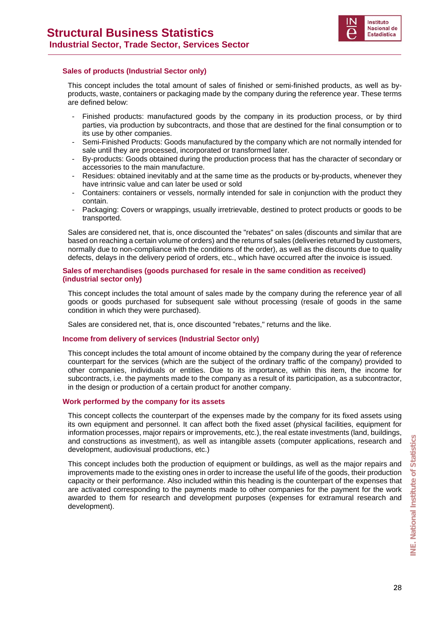

#### **Sales of products (Industrial Sector only)**

This concept includes the total amount of sales of finished or semi-finished products, as well as byproducts, waste, containers or packaging made by the company during the reference year. These terms are defined below:

- Finished products: manufactured goods by the company in its production process, or by third parties, via production by subcontracts, and those that are destined for the final consumption or to its use by other companies.
- Semi-Finished Products: Goods manufactured by the company which are not normally intended for sale until they are processed, incorporated or transformed later.
- By-products: Goods obtained during the production process that has the character of secondary or accessories to the main manufacture.
- Residues: obtained inevitably and at the same time as the products or by-products, whenever they have intrinsic value and can later be used or sold
- Containers: containers or vessels, normally intended for sale in conjunction with the product they contain.
- Packaging: Covers or wrappings, usually irretrievable, destined to protect products or goods to be transported.

Sales are considered net, that is, once discounted the "rebates" on sales (discounts and similar that are based on reaching a certain volume of orders) and the returns of sales (deliveries returned by customers, normally due to non-compliance with the conditions of the order), as well as the discounts due to quality defects, delays in the delivery period of orders, etc., which have occurred after the invoice is issued.

#### **Sales of merchandises (goods purchased for resale in the same condition as received) (industrial sector only)**

This concept includes the total amount of sales made by the company during the reference year of all goods or goods purchased for subsequent sale without processing (resale of goods in the same condition in which they were purchased).

Sales are considered net, that is, once discounted "rebates," returns and the like.

#### **Income from delivery of services (Industrial Sector only)**

This concept includes the total amount of income obtained by the company during the year of reference counterpart for the services (which are the subject of the ordinary traffic of the company) provided to other companies, individuals or entities. Due to its importance, within this item, the income for subcontracts, i.e. the payments made to the company as a result of its participation, as a subcontractor, in the design or production of a certain product for another company.

#### **Work performed by the company for its assets**

This concept collects the counterpart of the expenses made by the company for its fixed assets using its own equipment and personnel. It can affect both the fixed asset (physical facilities, equipment for information processes, major repairs or improvements, etc.), the real estate investments (land, buildings, and constructions as investment), as well as intangible assets (computer applications, research and development, audiovisual productions, etc.)

This concept includes both the production of equipment or buildings, as well as the major repairs and improvements made to the existing ones in order to increase the useful life of the goods, their production capacity or their performance. Also included within this heading is the counterpart of the expenses that are activated corresponding to the payments made to other companies for the payment for the work awarded to them for research and development purposes (expenses for extramural research and development).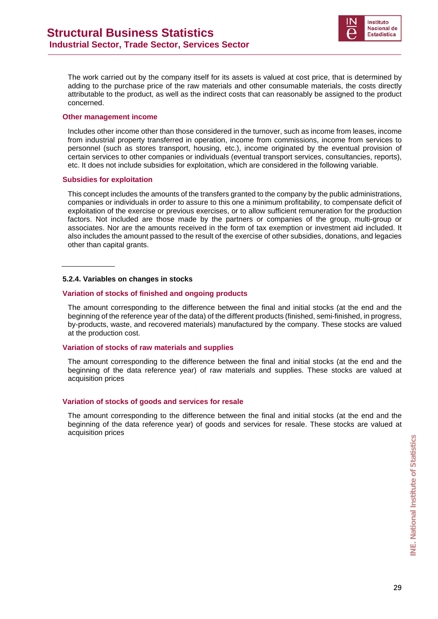

The work carried out by the company itself for its assets is valued at cost price, that is determined by adding to the purchase price of the raw materials and other consumable materials, the costs directly attributable to the product, as well as the indirect costs that can reasonably be assigned to the product concerned.

#### **Other management income**

Includes other income other than those considered in the turnover, such as income from leases, income from industrial property transferred in operation, income from commissions, income from services to personnel (such as stores transport, housing, etc.), income originated by the eventual provision of certain services to other companies or individuals (eventual transport services, consultancies, reports), etc. It does not include subsidies for exploitation, which are considered in the following variable.

#### **Subsidies for exploitation**

This concept includes the amounts of the transfers granted to the company by the public administrations, companies or individuals in order to assure to this one a minimum profitability, to compensate deficit of exploitation of the exercise or previous exercises, or to allow sufficient remuneration for the production factors. Not included are those made by the partners or companies of the group, multi-group or associates. Nor are the amounts received in the form of tax exemption or investment aid included. It also includes the amount passed to the result of the exercise of other subsidies, donations, and legacies other than capital grants.

#### **5.2.4. Variables on changes in stocks**

#### **Variation of stocks of finished and ongoing products**

The amount corresponding to the difference between the final and initial stocks (at the end and the beginning of the reference year of the data) of the different products (finished, semi-finished, in progress, by-products, waste, and recovered materials) manufactured by the company. These stocks are valued at the production cost.

#### **Variation of stocks of raw materials and supplies**

The amount corresponding to the difference between the final and initial stocks (at the end and the beginning of the data reference year) of raw materials and supplies. These stocks are valued at acquisition prices

#### **Variation of stocks of goods and services for resale**

The amount corresponding to the difference between the final and initial stocks (at the end and the beginning of the data reference year) of goods and services for resale. These stocks are valued at acquisition prices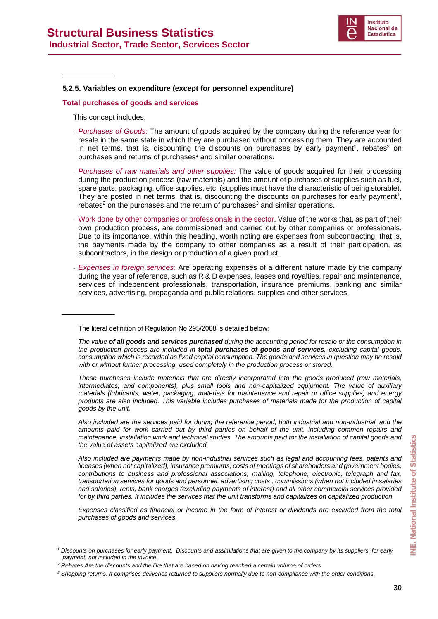

#### **5.2.5. Variables on expenditure (except for personnel expenditure)**

#### **Total purchases of goods and services**

This concept includes:

- *Purchases of Goods:* The amount of goods acquired by the company during the reference year for resale in the same state in which they are purchased without processing them. They are accounted in net terms, that is, discounting the discounts on purchases by early payment<sup>1</sup>, rebates<sup>2</sup> on purchases and returns of purchases<sup>3</sup> and similar operations.
- *Purchases of raw materials and other supplies:* The value of goods acquired for their processing during the production process (raw materials) and the amount of purchases of supplies such as fuel, spare parts, packaging, office supplies, etc. (supplies must have the characteristic of being storable). They are posted in net terms, that is, discounting the discounts on purchases for early payment<sup>1</sup>,  $rebates<sup>2</sup>$  on the purchases and the return of purchases<sup>3</sup> and similar operations.
- Work done by other companies or professionals in the sector. Value of the works that, as part of their own production process, are commissioned and carried out by other companies or professionals. Due to its importance, within this heading, worth noting are expenses from subcontracting, that is, the payments made by the company to other companies as a result of their participation, as subcontractors, in the design or production of a given product.
- *Expenses in foreign services:* Are operating expenses of a different nature made by the company during the year of reference, such as R & D expenses, leases and royalties, repair and maintenance, services of independent professionals, transportation, insurance premiums, banking and similar services, advertising, propaganda and public relations, supplies and other services.

The literal definition of Regulation No 295/2008 is detailed below:

*Also included are the services paid for during the reference period, both industrial and non-industrial, and the amounts paid for work carried out by third parties on behalf of the unit, including common repairs and maintenance, installation work and technical studies. The amounts paid for the installation of capital goods and the value of assets capitalized are excluded.* 

*Also included are payments made by non-industrial services such as legal and accounting fees, patents and licenses (when not capitalized), insurance premiums, costs of meetings of shareholders and government bodies, contributions to business and professional associations, mailing, telephone, electronic, telegraph and fax, transportation services for goods and personnel, advertising costs , commissions (when not included in salaries and salaries), rents, bank charges (excluding payments of interest) and all other commercial services provided*  for by third parties. It includes the services that the unit transforms and capitalizes on capitalized production.

*Expenses classified as financial or income in the form of interest or dividends are excluded from the total purchases of goods and services.* 

*The value of all goods and services purchased during the accounting period for resale or the consumption in the production process are included in total purchases of goods and services, excluding capital goods, consumption which is recorded as fixed capital consumption. The goods and services in question may be resold with or without further processing, used completely in the production process or stored.* 

*These purchases include materials that are directly incorporated into the goods produced (raw materials, intermediates, and components), plus small tools and non-capitalized equipment. The value of auxiliary materials (lubricants, water, packaging, materials for maintenance and repair or office supplies) and energy products are also included. This variable includes purchases of materials made for the production of capital goods by the unit.* 

<sup>1</sup> *Discounts on purchases for early payment. Discounts and assimilations that are given to the company by its suppliers, for early payment, not included in the invoice.* 

<sup>&</sup>lt;sup>2</sup> Rebates Are the discounts and the like that are based on having reached a certain volume of orders

*<sup>3</sup> Shopping returns. It comprises deliveries returned to suppliers normally due to non-compliance with the order conditions.*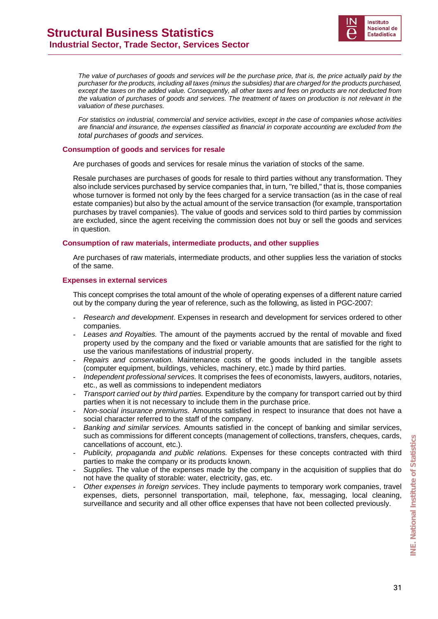

*The value of purchases of goods and services will be the purchase price, that is, the price actually paid by the purchaser for the products, including all taxes (minus the subsidies) that are charged for the products purchased, except the taxes on the added value. Consequently, all other taxes and fees on products are not deducted from the valuation of purchases of goods and services. The treatment of taxes on production is not relevant in the valuation of these purchases.* 

*For statistics on industrial, commercial and service activities, except in the case of companies whose activities are financial and insurance, the expenses classified as financial in corporate accounting are excluded from the total purchases of goods and services.* 

#### **Consumption of goods and services for resale**

Are purchases of goods and services for resale minus the variation of stocks of the same.

Resale purchases are purchases of goods for resale to third parties without any transformation. They also include services purchased by service companies that, in turn, "re billed," that is, those companies whose turnover is formed not only by the fees charged for a service transaction (as in the case of real estate companies) but also by the actual amount of the service transaction (for example, transportation purchases by travel companies). The value of goods and services sold to third parties by commission are excluded, since the agent receiving the commission does not buy or sell the goods and services in question.

#### **Consumption of raw materials, intermediate products, and other supplies**

Are purchases of raw materials, intermediate products, and other supplies less the variation of stocks of the same.

#### **Expenses in external services**

This concept comprises the total amount of the whole of operating expenses of a different nature carried out by the company during the year of reference, such as the following, as listed in PGC-2007:

- *Research and development*. Expenses in research and development for services ordered to other companies.
- *Leases and Royalties.* The amount of the payments accrued by the rental of movable and fixed property used by the company and the fixed or variable amounts that are satisfied for the right to use the various manifestations of industrial property.
- *Repairs and conservation.* Maintenance costs of the goods included in the tangible assets (computer equipment, buildings, vehicles, machinery, etc.) made by third parties.
- *Independent professional services.* It comprises the fees of economists, lawyers, auditors, notaries, etc., as well as commissions to independent mediators
- *Transport carried out by third parties.* Expenditure by the company for transport carried out by third parties when it is not necessary to include them in the purchase price.
- *Non-social insurance premiums.* Amounts satisfied in respect to insurance that does not have a social character referred to the staff of the company.
- *Banking and similar services.* Amounts satisfied in the concept of banking and similar services, such as commissions for different concepts (management of collections, transfers, cheques, cards, cancellations of account, etc.).
- *Publicity, propaganda and public relations.* Expenses for these concepts contracted with third parties to make the company or its products known.
- *Supplies.* The value of the expenses made by the company in the acquisition of supplies that do not have the quality of storable: water, electricity, gas, etc.
- *Other expenses in foreign services*. They include payments to temporary work companies, travel expenses, diets, personnel transportation, mail, telephone, fax, messaging, local cleaning, surveillance and security and all other office expenses that have not been collected previously.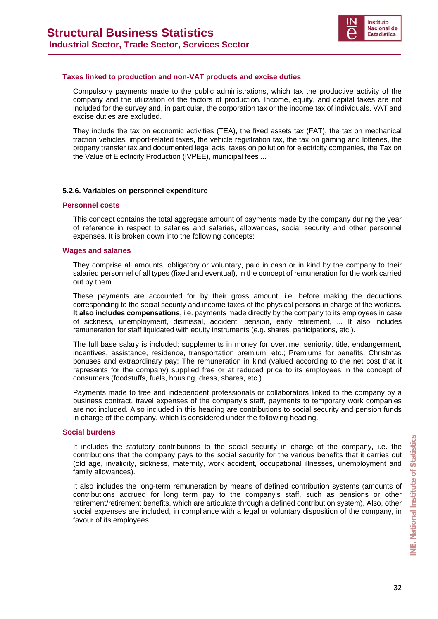

#### **Taxes linked to production and non-VAT products and excise duties**

Compulsory payments made to the public administrations, which tax the productive activity of the company and the utilization of the factors of production. Income, equity, and capital taxes are not included for the survey and, in particular, the corporation tax or the income tax of individuals. VAT and excise duties are excluded.

They include the tax on economic activities (TEA), the fixed assets tax (FAT), the tax on mechanical traction vehicles, import-related taxes, the vehicle registration tax, the tax on gaming and lotteries, the property transfer tax and documented legal acts, taxes on pollution for electricity companies, the Tax on the Value of Electricity Production (IVPEE), municipal fees ...

#### **5.2.6. Variables on personnel expenditure**

#### **Personnel costs**

This concept contains the total aggregate amount of payments made by the company during the year of reference in respect to salaries and salaries, allowances, social security and other personnel expenses. It is broken down into the following concepts:

#### **Wages and salaries**

They comprise all amounts, obligatory or voluntary, paid in cash or in kind by the company to their salaried personnel of all types (fixed and eventual), in the concept of remuneration for the work carried out by them.

These payments are accounted for by their gross amount, i.e. before making the deductions corresponding to the social security and income taxes of the physical persons in charge of the workers. **It also includes compensations**, i.e. payments made directly by the company to its employees in case of sickness, unemployment, dismissal, accident, pension, early retirement, ... It also includes remuneration for staff liquidated with equity instruments (e.g. shares, participations, etc.).

The full base salary is included; supplements in money for overtime, seniority, title, endangerment, incentives, assistance, residence, transportation premium, etc.; Premiums for benefits, Christmas bonuses and extraordinary pay; The remuneration in kind (valued according to the net cost that it represents for the company) supplied free or at reduced price to its employees in the concept of consumers (foodstuffs, fuels, housing, dress, shares, etc.).

Payments made to free and independent professionals or collaborators linked to the company by a business contract, travel expenses of the company's staff, payments to temporary work companies are not included. Also included in this heading are contributions to social security and pension funds in charge of the company, which is considered under the following heading.

#### **Social burdens**

It includes the statutory contributions to the social security in charge of the company, i.e. the contributions that the company pays to the social security for the various benefits that it carries out (old age, invalidity, sickness, maternity, work accident, occupational illnesses, unemployment and family allowances).

It also includes the long-term remuneration by means of defined contribution systems (amounts of contributions accrued for long term pay to the company's staff, such as pensions or other retirement/retirement benefits, which are articulate through a defined contribution system). Also, other social expenses are included, in compliance with a legal or voluntary disposition of the company, in favour of its employees.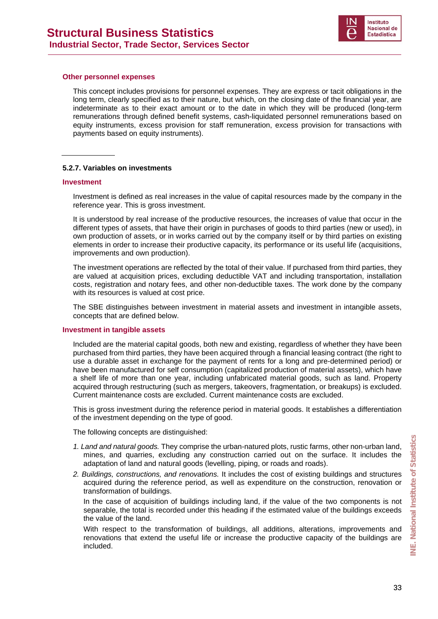

#### **Other personnel expenses**

This concept includes provisions for personnel expenses. They are express or tacit obligations in the long term, clearly specified as to their nature, but which, on the closing date of the financial year, are indeterminate as to their exact amount or to the date in which they will be produced (long-term remunerations through defined benefit systems, cash-liquidated personnel remunerations based on equity instruments, excess provision for staff remuneration, excess provision for transactions with payments based on equity instruments).

#### **5.2.7. Variables on investments**

#### **Investment**

Investment is defined as real increases in the value of capital resources made by the company in the reference year. This is gross investment.

It is understood by real increase of the productive resources, the increases of value that occur in the different types of assets, that have their origin in purchases of goods to third parties (new or used), in own production of assets, or in works carried out by the company itself or by third parties on existing elements in order to increase their productive capacity, its performance or its useful life (acquisitions, improvements and own production).

The investment operations are reflected by the total of their value. If purchased from third parties, they are valued at acquisition prices, excluding deductible VAT and including transportation, installation costs, registration and notary fees, and other non-deductible taxes. The work done by the company with its resources is valued at cost price.

The SBE distinguishes between investment in material assets and investment in intangible assets, concepts that are defined below.

#### **Investment in tangible assets**

Included are the material capital goods, both new and existing, regardless of whether they have been purchased from third parties, they have been acquired through a financial leasing contract (the right to use a durable asset in exchange for the payment of rents for a long and pre-determined period) or have been manufactured for self consumption (capitalized production of material assets), which have a shelf life of more than one year, including unfabricated material goods, such as land. Property acquired through restructuring (such as mergers, takeovers, fragmentation, or breakups) is excluded. Current maintenance costs are excluded. Current maintenance costs are excluded.

This is gross investment during the reference period in material goods. It establishes a differentiation of the investment depending on the type of good.

The following concepts are distinguished:

- *1. Land and natural goods.* They comprise the urban-natured plots, rustic farms, other non-urban land, mines, and quarries, excluding any construction carried out on the surface. It includes the adaptation of land and natural goods (levelling, piping, or roads and roads).
- *2. Buildings, constructions, and renovations.* It includes the cost of existing buildings and structures acquired during the reference period, as well as expenditure on the construction, renovation or transformation of buildings.

In the case of acquisition of buildings including land, if the value of the two components is not separable, the total is recorded under this heading if the estimated value of the buildings exceeds the value of the land.

With respect to the transformation of buildings, all additions, alterations, improvements and renovations that extend the useful life or increase the productive capacity of the buildings are included.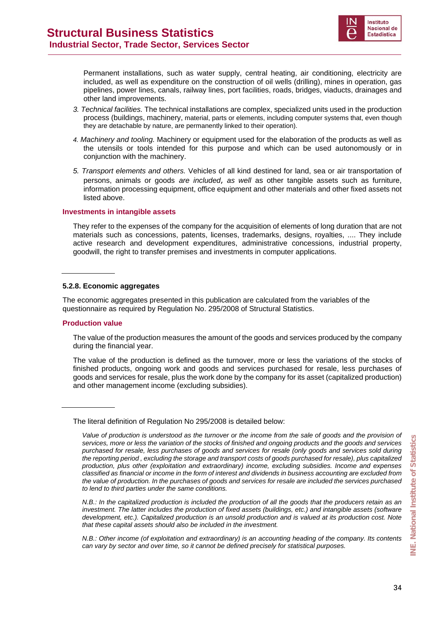

Permanent installations, such as water supply, central heating, air conditioning, electricity are included, as well as expenditure on the construction of oil wells (drilling), mines in operation, gas pipelines, power lines, canals, railway lines, port facilities, roads, bridges, viaducts, drainages and other land improvements.

- *3. Technical facilities.* The technical installations are complex, specialized units used in the production process (buildings, machinery, material, parts or elements, including computer systems that, even though they are detachable by nature, are permanently linked to their operation).
- *4. Machinery and tooling.* Machinery or equipment used for the elaboration of the products as well as the utensils or tools intended for this purpose and which can be used autonomously or in conjunction with the machinery.
- *5. Transport elements and others.* Vehicles of all kind destined for land, sea or air transportation of persons, animals or goods *are included*, *as well* as other tangible assets such as furniture, information processing equipment, office equipment and other materials and other fixed assets not listed above.

#### **Investments in intangible assets**

They refer to the expenses of the company for the acquisition of elements of long duration that are not materials such as concessions, patents, licenses, trademarks, designs, royalties, .... They include active research and development expenditures, administrative concessions, industrial property, goodwill, the right to transfer premises and investments in computer applications.

#### **5.2.8. Economic aggregates**

The economic aggregates presented in this publication are calculated from the variables of the questionnaire as required by Regulation No. 295/2008 of Structural Statistics.

#### **Production value**

The value of the production measures the amount of the goods and services produced by the company during the financial year.

The value of the production is defined as the turnover, more or less the variations of the stocks of finished products, ongoing work and goods and services purchased for resale, less purchases of goods and services for resale, plus the work done by the company for its asset (capitalized production) and other management income (excluding subsidies).

The literal definition of Regulation No 295/2008 is detailed below:

*Value of production is understood as the turnover or the income from the sale of goods and the provision of services, more or less the variation of the stocks of finished and ongoing products and the goods and services purchased for resale, less purchases of goods and services for resale (only goods and services sold during the reporting period , excluding the storage and transport costs of goods purchased for resale), plus capitalized production, plus other (exploitation and extraordinary) income, excluding subsidies. Income and expenses classified as financial or income in the form of interest and dividends in business accounting are excluded from the value of production. In the purchases of goods and services for resale are included the services purchased to lend to third parties under the same conditions.* 

*N.B.: In the capitalized production is included the production of all the goods that the producers retain as an investment. The latter includes the production of fixed assets (buildings, etc.) and intangible assets (software development, etc.). Capitalized production is an unsold production and is valued at its production cost. Note that these capital assets should also be included in the investment.* 

*N.B.: Other income (of exploitation and extraordinary) is an accounting heading of the company. Its contents can vary by sector and over time, so it cannot be defined precisely for statistical purposes.*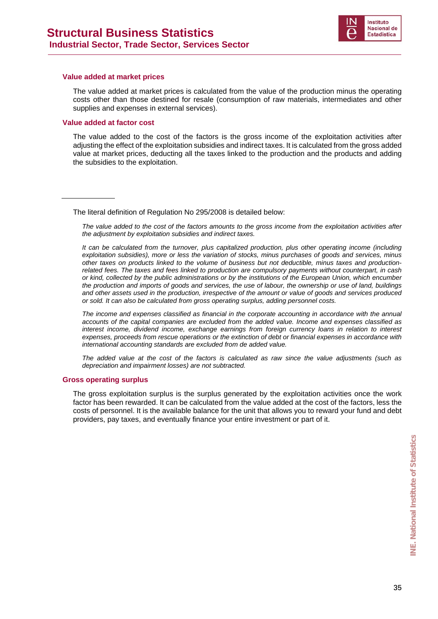

#### **Value added at market prices**

The value added at market prices is calculated from the value of the production minus the operating costs other than those destined for resale (consumption of raw materials, intermediates and other supplies and expenses in external services).

#### **Value added at factor cost**

The value added to the cost of the factors is the gross income of the exploitation activities after adjusting the effect of the exploitation subsidies and indirect taxes. It is calculated from the gross added value at market prices, deducting all the taxes linked to the production and the products and adding the subsidies to the exploitation.

The literal definition of Regulation No 295/2008 is detailed below:

*The value added to the cost of the factors amounts to the gross income from the exploitation activities after the adjustment by exploitation subsidies and indirect taxes.* 

*It can be calculated from the turnover, plus capitalized production, plus other operating income (including exploitation subsidies), more or less the variation of stocks, minus purchases of goods and services, minus other taxes on products linked to the volume of business but not deductible, minus taxes and productionrelated fees. The taxes and fees linked to production are compulsory payments without counterpart, in cash or kind, collected by the public administrations or by the institutions of the European Union, which encumber the production and imports of goods and services, the use of labour, the ownership or use of land, buildings and other assets used in the production, irrespective of the amount or value of goods and services produced or sold. It can also be calculated from gross operating surplus, adding personnel costs.* 

*The income and expenses classified as financial in the corporate accounting in accordance with the annual accounts of the capital companies are excluded from the added value. Income and expenses classified as interest income, dividend income, exchange earnings from foreign currency loans in relation to interest expenses, proceeds from rescue operations or the extinction of debt or financial expenses in accordance with international accounting standards are excluded from de added value.* 

*The added value at the cost of the factors is calculated as raw since the value adjustments (such as depreciation and impairment losses) are not subtracted.*

#### **Gross operating surplus**

The gross exploitation surplus is the surplus generated by the exploitation activities once the work factor has been rewarded. It can be calculated from the value added at the cost of the factors, less the costs of personnel. It is the available balance for the unit that allows you to reward your fund and debt providers, pay taxes, and eventually finance your entire investment or part of it.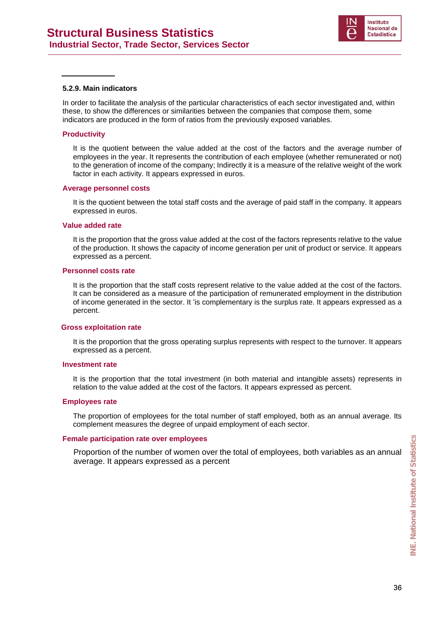

#### **5.2.9. Main indicators**

In order to facilitate the analysis of the particular characteristics of each sector investigated and, within these, to show the differences or similarities between the companies that compose them, some indicators are produced in the form of ratios from the previously exposed variables.

#### **Productivity**

It is the quotient between the value added at the cost of the factors and the average number of employees in the year. It represents the contribution of each employee (whether remunerated or not) to the generation of income of the company; Indirectly it is a measure of the relative weight of the work factor in each activity. It appears expressed in euros.

#### **Average personnel costs**

It is the quotient between the total staff costs and the average of paid staff in the company. It appears expressed in euros.

#### **Value added rate**

It is the proportion that the gross value added at the cost of the factors represents relative to the value of the production. It shows the capacity of income generation per unit of product or service. It appears expressed as a percent.

#### **Personnel costs rate**

It is the proportion that the staff costs represent relative to the value added at the cost of the factors. It can be considered as a measure of the participation of remunerated employment in the distribution of income generated in the sector. It 'is complementary is the surplus rate. It appears expressed as a percent.

#### **Gross exploitation rate**

It is the proportion that the gross operating surplus represents with respect to the turnover. It appears expressed as a percent.

#### **Investment rate**

It is the proportion that the total investment (in both material and intangible assets) represents in relation to the value added at the cost of the factors. It appears expressed as percent.

#### **Employees rate**

The proportion of employees for the total number of staff employed, both as an annual average. Its complement measures the degree of unpaid employment of each sector.

#### **Female participation rate over employees**

Proportion of the number of women over the total of employees, both variables as an annual average. It appears expressed as a percent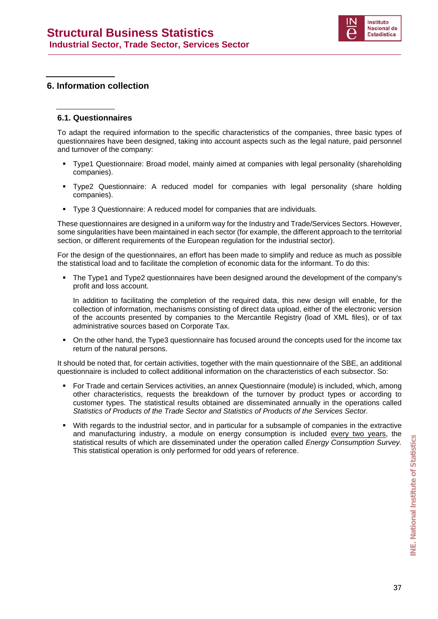

#### **6. Information collection**

#### **6.1. Questionnaires**

To adapt the required information to the specific characteristics of the companies, three basic types of questionnaires have been designed, taking into account aspects such as the legal nature, paid personnel and turnover of the company:

- Type1 Questionnaire: Broad model, mainly aimed at companies with legal personality (shareholding companies).
- Type2 Questionnaire: A reduced model for companies with legal personality (share holding companies).
- Type 3 Questionnaire: A reduced model for companies that are individuals.

These questionnaires are designed in a uniform way for the Industry and Trade/Services Sectors. However, some singularities have been maintained in each sector (for example, the different approach to the territorial section, or different requirements of the European regulation for the industrial sector).

For the design of the questionnaires, an effort has been made to simplify and reduce as much as possible the statistical load and to facilitate the completion of economic data for the informant. To do this:

 The Type1 and Type2 questionnaires have been designed around the development of the company's profit and loss account.

In addition to facilitating the completion of the required data, this new design will enable, for the collection of information, mechanisms consisting of direct data upload, either of the electronic version of the accounts presented by companies to the Mercantile Registry (load of XML files), or of tax administrative sources based on Corporate Tax.

 On the other hand, the Type3 questionnaire has focused around the concepts used for the income tax return of the natural persons.

It should be noted that, for certain activities, together with the main questionnaire of the SBE, an additional questionnaire is included to collect additional information on the characteristics of each subsector. So:

- For Trade and certain Services activities, an annex Questionnaire (module) is included, which, among other characteristics, requests the breakdown of the turnover by product types or according to customer types. The statistical results obtained are disseminated annually in the operations called *Statistics of Products of the Trade Sector and Statistics of Products of the Services Sector.*
- With regards to the industrial sector, and in particular for a subsample of companies in the extractive and manufacturing industry, a module on energy consumption is included every two years, the statistical results of which are disseminated under the operation called *Energy Consumption Survey.*  This statistical operation is only performed for odd years of reference.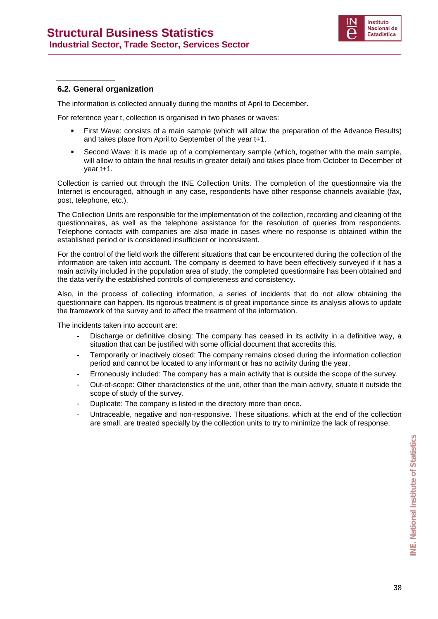

#### **6.2. General organization**

The information is collected annually during the months of April to December.

For reference year t, collection is organised in two phases or waves:

- First Wave: consists of a main sample (which will allow the preparation of the Advance Results) and takes place from April to September of the year t+1.
- Second Wave: it is made up of a complementary sample (which, together with the main sample, will allow to obtain the final results in greater detail) and takes place from October to December of year t+1.

Collection is carried out through the INE Collection Units. The completion of the questionnaire via the Internet is encouraged, although in any case, respondents have other response channels available (fax, post, telephone, etc.).

The Collection Units are responsible for the implementation of the collection, recording and cleaning of the questionnaires, as well as the telephone assistance for the resolution of queries from respondents. Telephone contacts with companies are also made in cases where no response is obtained within the established period or is considered insufficient or inconsistent.

For the control of the field work the different situations that can be encountered during the collection of the information are taken into account. The company is deemed to have been effectively surveyed if it has a main activity included in the population area of study, the completed questionnaire has been obtained and the data verify the established controls of completeness and consistency.

Also, in the process of collecting information, a series of incidents that do not allow obtaining the questionnaire can happen. Its rigorous treatment is of great importance since its analysis allows to update the framework of the survey and to affect the treatment of the information.

The incidents taken into account are:

- Discharge or definitive closing: The company has ceased in its activity in a definitive way, a situation that can be justified with some official document that accredits this.
- Temporarily or inactively closed: The company remains closed during the information collection period and cannot be located to any informant or has no activity during the year.
- Erroneously included: The company has a main activity that is outside the scope of the survey.
- Out-of-scope: Other characteristics of the unit, other than the main activity, situate it outside the scope of study of the survey.
- Duplicate: The company is listed in the directory more than once.
- Untraceable, negative and non-responsive. These situations, which at the end of the collection are small, are treated specially by the collection units to try to minimize the lack of response.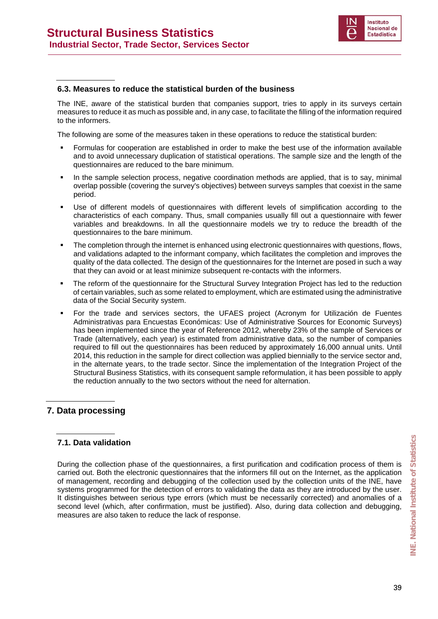

#### **6.3. Measures to reduce the statistical burden of the business**

The INE, aware of the statistical burden that companies support, tries to apply in its surveys certain measures to reduce it as much as possible and, in any case, to facilitate the filling of the information required to the informers.

The following are some of the measures taken in these operations to reduce the statistical burden:

- Formulas for cooperation are established in order to make the best use of the information available and to avoid unnecessary duplication of statistical operations. The sample size and the length of the questionnaires are reduced to the bare minimum.
- In the sample selection process, negative coordination methods are applied, that is to say, minimal overlap possible (covering the survey's objectives) between surveys samples that coexist in the same period.
- Use of different models of questionnaires with different levels of simplification according to the characteristics of each company. Thus, small companies usually fill out a questionnaire with fewer variables and breakdowns. In all the questionnaire models we try to reduce the breadth of the questionnaires to the bare minimum.
- The completion through the internet is enhanced using electronic questionnaires with questions, flows, and validations adapted to the informant company, which facilitates the completion and improves the quality of the data collected. The design of the questionnaires for the Internet are posed in such a way that they can avoid or at least minimize subsequent re-contacts with the informers.
- The reform of the questionnaire for the Structural Survey Integration Project has led to the reduction of certain variables, such as some related to employment, which are estimated using the administrative data of the Social Security system.
- For the trade and services sectors, the UFAES project (Acronym for Utilización de Fuentes Administrativas para Encuestas Económicas: Use of Administrative Sources for Economic Surveys) has been implemented since the year of Reference 2012, whereby 23% of the sample of Services or Trade (alternatively, each year) is estimated from administrative data, so the number of companies required to fill out the questionnaires has been reduced by approximately 16,000 annual units. Until 2014, this reduction in the sample for direct collection was applied biennially to the service sector and, in the alternate years, to the trade sector. Since the implementation of the Integration Project of the Structural Business Statistics, with its consequent sample reformulation, it has been possible to apply the reduction annually to the two sectors without the need for alternation.

#### **7. Data processing**

#### **7.1. Data validation**

During the collection phase of the questionnaires, a first purification and codification process of them is carried out. Both the electronic questionnaires that the informers fill out on the Internet, as the application of management, recording and debugging of the collection used by the collection units of the INE, have systems programmed for the detection of errors to validating the data as they are introduced by the user. It distinguishes between serious type errors (which must be necessarily corrected) and anomalies of a second level (which, after confirmation, must be justified). Also, during data collection and debugging, measures are also taken to reduce the lack of response.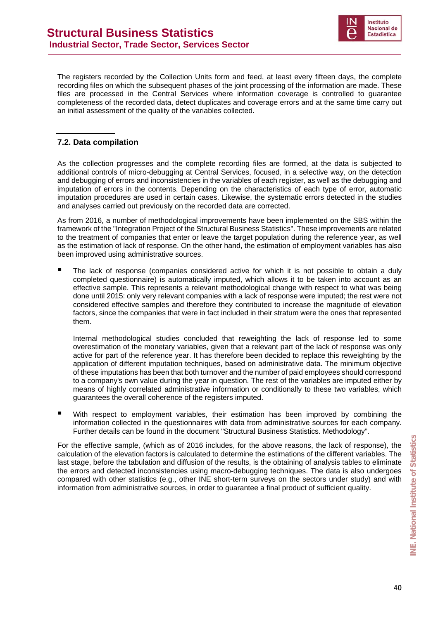

The registers recorded by the Collection Units form and feed, at least every fifteen days, the complete recording files on which the subsequent phases of the joint processing of the information are made. These files are processed in the Central Services where information coverage is controlled to guarantee completeness of the recorded data, detect duplicates and coverage errors and at the same time carry out an initial assessment of the quality of the variables collected.

#### **7.2. Data compilation**

As the collection progresses and the complete recording files are formed, at the data is subjected to additional controls of micro-debugging at Central Services, focused, in a selective way, on the detection and debugging of errors and inconsistencies in the variables of each register, as well as the debugging and imputation of errors in the contents. Depending on the characteristics of each type of error, automatic imputation procedures are used in certain cases. Likewise, the systematic errors detected in the studies and analyses carried out previously on the recorded data are corrected.

As from 2016, a number of methodological improvements have been implemented on the SBS within the framework of the "Integration Project of the Structural Business Statistics". These improvements are related to the treatment of companies that enter or leave the target population during the reference year, as well as the estimation of lack of response. On the other hand, the estimation of employment variables has also been improved using administrative sources.

 The lack of response (companies considered active for which it is not possible to obtain a duly completed questionnaire) is automatically imputed, which allows it to be taken into account as an effective sample. This represents a relevant methodological change with respect to what was being done until 2015: only very relevant companies with a lack of response were imputed; the rest were not considered effective samples and therefore they contributed to increase the magnitude of elevation factors, since the companies that were in fact included in their stratum were the ones that represented them.

Internal methodological studies concluded that reweighting the lack of response led to some overestimation of the monetary variables, given that a relevant part of the lack of response was only active for part of the reference year. It has therefore been decided to replace this reweighting by the application of different imputation techniques, based on administrative data. The minimum objective of these imputations has been that both turnover and the number of paid employees should correspond to a company's own value during the year in question. The rest of the variables are imputed either by means of highly correlated administrative information or conditionally to these two variables, which guarantees the overall coherence of the registers imputed.

 With respect to employment variables, their estimation has been improved by combining the information collected in the questionnaires with data from administrative sources for each company. Further details can be found in the document "Structural Business Statistics. Methodology".

For the effective sample, (which as of 2016 includes, for the above reasons, the lack of response), the calculation of the elevation factors is calculated to determine the estimations of the different variables. The last stage, before the tabulation and diffusion of the results, is the obtaining of analysis tables to eliminate the errors and detected inconsistencies using macro-debugging techniques. The data is also undergoes compared with other statistics (e.g., other INE short-term surveys on the sectors under study) and with information from administrative sources, in order to guarantee a final product of sufficient quality.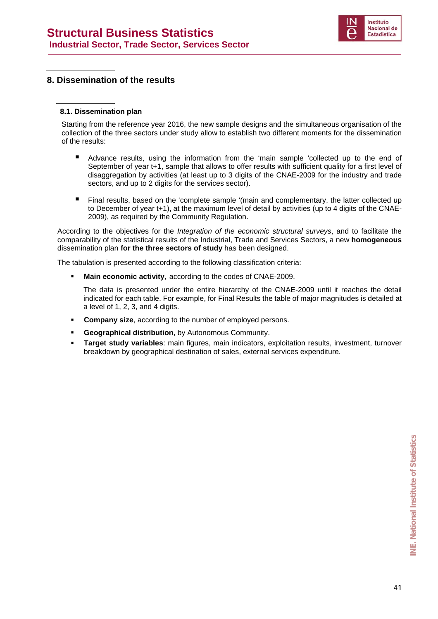

#### **8. Dissemination of the results**

#### **8.1. Dissemination plan**

Starting from the reference year 2016, the new sample designs and the simultaneous organisation of the collection of the three sectors under study allow to establish two different moments for the dissemination of the results:

- Advance results, using the information from the 'main sample 'collected up to the end of September of year t+1, sample that allows to offer results with sufficient quality for a first level of disaggregation by activities (at least up to 3 digits of the CNAE-2009 for the industry and trade sectors, and up to 2 digits for the services sector).
- Final results, based on the 'complete sample '(main and complementary, the latter collected up to December of year t+1), at the maximum level of detail by activities (up to 4 digits of the CNAE-2009), as required by the Community Regulation.

According to the objectives for the *Integration of the economic structural surveys*, and to facilitate the comparability of the statistical results of the Industrial, Trade and Services Sectors, a new **homogeneous** dissemination plan **for the three sectors of study** has been designed.

The tabulation is presented according to the following classification criteria:

**Main economic activity**, according to the codes of CNAE-2009.

 The data is presented under the entire hierarchy of the CNAE-2009 until it reaches the detail indicated for each table. For example, for Final Results the table of major magnitudes is detailed at a level of 1, 2, 3, and 4 digits.

- **Company size**, according to the number of employed persons.
- **Geographical distribution**, by Autonomous Community.
- **Target study variables**: main figures, main indicators, exploitation results, investment, turnover breakdown by geographical destination of sales, external services expenditure.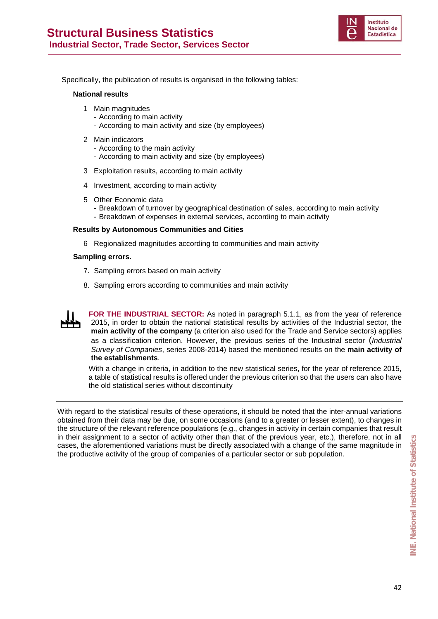

Specifically, the publication of results is organised in the following tables:

#### **National results**

- 1 Main magnitudes
	- According to main activity
	- According to main activity and size (by employees)
- 2 Main indicators
	- According to the main activity
	- According to main activity and size (by employees)
- 3 Exploitation results, according to main activity
- 4 Investment, according to main activity
- 5 Other Economic data
	- Breakdown of turnover by geographical destination of sales, according to main activity
	- Breakdown of expenses in external services, according to main activity

#### **Results by Autonomous Communities and Cities**

6 Regionalized magnitudes according to communities and main activity

#### **Sampling errors.**

- 7. Sampling errors based on main activity
- 8. Sampling errors according to communities and main activity



**FOR THE INDUSTRIAL SECTOR:** As noted in paragraph 5.1.1, as from the year of reference 2015, in order to obtain the national statistical results by activities of the Industrial sector, the **main activity of the company** (a criterion also used for the Trade and Service sectors) applies as a classification criterion. However, the previous series of the Industrial sector (*Industrial Survey of Companies*, series 2008-2014) based the mentioned results on the **main activity of the establishments**.

With a change in criteria, in addition to the new statistical series, for the year of reference 2015, a table of statistical results is offered under the previous criterion so that the users can also have the old statistical series without discontinuity

With regard to the statistical results of these operations, it should be noted that the inter-annual variations obtained from their data may be due, on some occasions (and to a greater or lesser extent), to changes in the structure of the relevant reference populations (e.g., changes in activity in certain companies that result in their assignment to a sector of activity other than that of the previous year, etc.), therefore, not in all cases, the aforementioned variations must be directly associated with a change of the same magnitude in the productive activity of the group of companies of a particular sector or sub population.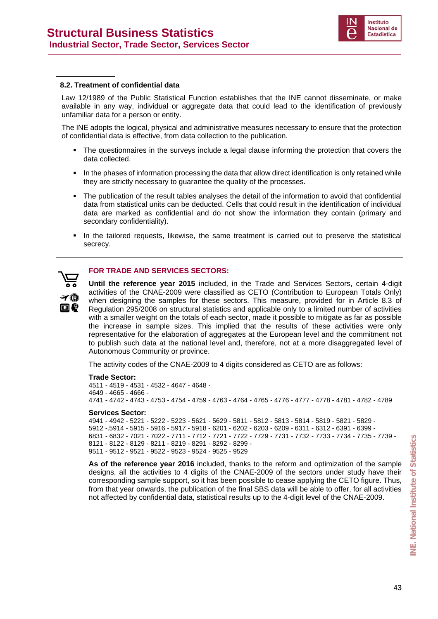

#### **8.2. Treatment of confidential data**

Law 12/1989 of the Public Statistical Function establishes that the INE cannot disseminate, or make available in any way, individual or aggregate data that could lead to the identification of previously unfamiliar data for a person or entity.

The INE adopts the logical, physical and administrative measures necessary to ensure that the protection of confidential data is effective, from data collection to the publication.

- The questionnaires in the surveys include a legal clause informing the protection that covers the data collected.
- In the phases of information processing the data that allow direct identification is only retained while they are strictly necessary to guarantee the quality of the processes.
- The publication of the result tables analyses the detail of the information to avoid that confidential data from statistical units can be deducted. Cells that could result in the identification of individual data are marked as confidential and do not show the information they contain (primary and secondary confidentiality).
- In the tailored requests, likewise, the same treatment is carried out to preserve the statistical secrecy.



#### **FOR TRADE AND SERVICES SECTORS:**

**Until the reference year 2015** included, in the Trade and Services Sectors, certain 4-digit activities of the CNAE-2009 were classified as CETO (Contribution to European Totals Only) when designing the samples for these sectors. This measure, provided for in Article 8.3 of Regulation 295/2008 on structural statistics and applicable only to a limited number of activities with a smaller weight on the totals of each sector, made it possible to mitigate as far as possible the increase in sample sizes. This implied that the results of these activities were only representative for the elaboration of aggregates at the European level and the commitment not to publish such data at the national level and, therefore, not at a more disaggregated level of Autonomous Community or province.

The activity codes of the CNAE-2009 to 4 digits considered as CETO are as follows:

#### **Trade Sector:**

4511 - 4519 - 4531 - 4532 - 4647 - 4648 - 4649 - 4665 - 4666 - 4741 - 4742 - 4743 - 4753 - 4754 - 4759 - 4763 - 4764 - 4765 - 4776 - 4777 - 4778 - 4781 - 4782 - 4789

#### **Services Sector:**

4941 - 4942 - 5221 - 5222 - 5223 - 5621 - 5629 - 5811 - 5812 - 5813 - 5814 - 5819 - 5821 - 5829 - 5912 -.5914 - 5915 - 5916 - 5917 - 5918 - 6201 - 6202 - 6203 - 6209 - 6311 - 6312 - 6391 - 6399 - 6831 - 6832 - 7021 - 7022 - 7711 - 7712 - 7721 - 7722 - 7729 - 7731 - 7732 - 7733 - 7734 - 7735 - 7739 - 8121 - 8122 - 8129 - 8211 - 8219 - 8291 - 8292 - 8299 - 9511 - 9512 - 9521 - 9522 - 9523 - 9524 - 9525 - 9529

**As of the reference year 2016** included, thanks to the reform and optimization of the sample designs, all the activities to 4 digits of the CNAE-2009 of the sectors under study have their corresponding sample support, so it has been possible to cease applying the CETO figure. Thus, from that year onwards, the publication of the final SBS data will be able to offer, for all activities not affected by confidential data, statistical results up to the 4-digit level of the CNAE-2009.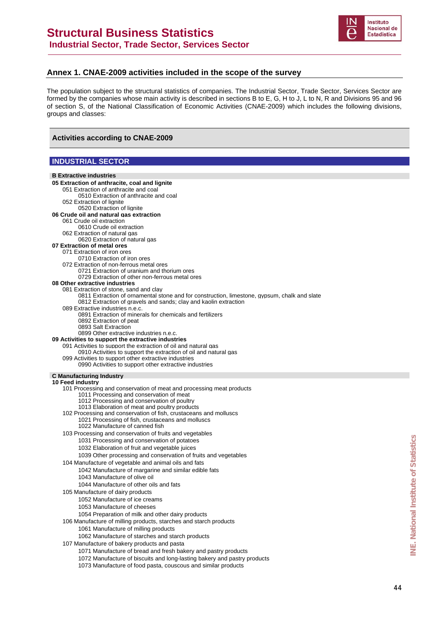

#### **Annex 1. CNAE-2009 activities included in the scope of the survey**

The population subject to the structural statistics of companies. The Industrial Sector, Trade Sector, Services Sector are formed by the companies whose main activity is described in sections B to E, G, H to J, L to N, R and Divisions 95 and 96 of section S, of the National Classification of Economic Activities (CNAE-2009) which includes the following divisions, groups and classes:

#### **Activities according to CNAE-2009**

#### **INDUSTRIAL SECTOR**

| <b>B</b> Extractive industries                                                                                                            |  |
|-------------------------------------------------------------------------------------------------------------------------------------------|--|
|                                                                                                                                           |  |
| 05 Extraction of anthracite, coal and lignite                                                                                             |  |
| 051 Extraction of anthracite and coal<br>0510 Extraction of anthracite and coal                                                           |  |
| 052 Extraction of lignite                                                                                                                 |  |
| 0520 Extraction of lignite                                                                                                                |  |
| 06 Crude oil and natural gas extraction                                                                                                   |  |
| 061 Crude oil extraction                                                                                                                  |  |
| 0610 Crude oil extraction                                                                                                                 |  |
| 062 Extraction of natural gas                                                                                                             |  |
| 0620 Extraction of natural gas                                                                                                            |  |
| 07 Extraction of metal ores                                                                                                               |  |
| 071 Extraction of iron ores                                                                                                               |  |
| 0710 Extraction of iron ores<br>072 Extraction of non-ferrous metal ores                                                                  |  |
| 0721 Extraction of uranium and thorium ores                                                                                               |  |
| 0729 Extraction of other non-ferrous metal ores                                                                                           |  |
| 08 Other extractive industries                                                                                                            |  |
| 081 Extraction of stone, sand and clay                                                                                                    |  |
| 0811 Extraction of ornamental stone and for construction, limestone, gypsum, chalk and slate                                              |  |
| 0812 Extraction of gravels and sands; clay and kaolin extraction                                                                          |  |
| 089 Extractive industries n.e.c.                                                                                                          |  |
| 0891 Extraction of minerals for chemicals and fertilizers                                                                                 |  |
| 0892 Extraction of peat                                                                                                                   |  |
| 0893 Salt Extraction                                                                                                                      |  |
| 0899 Other extractive industries n.e.c.<br>09 Activities to support the extractive industries                                             |  |
| 091 Activities to support the extraction of oil and natural gas                                                                           |  |
| 0910 Activities to support the extraction of oil and natural gas                                                                          |  |
| 099 Activities to support other extractive industries                                                                                     |  |
| 0990 Activities to support other extractive industries                                                                                    |  |
|                                                                                                                                           |  |
|                                                                                                                                           |  |
| <b>C</b> Manufacturing Industry                                                                                                           |  |
| <b>10 Feed industry</b>                                                                                                                   |  |
| 101 Processing and conservation of meat and processing meat products                                                                      |  |
| 1011 Processing and conservation of meat<br>1012 Processing and conservation of poultry                                                   |  |
| 1013 Elaboration of meat and poultry products                                                                                             |  |
| 102 Processing and conservation of fish, crustaceans and molluscs                                                                         |  |
| 1021 Processing of fish, crustaceans and molluscs                                                                                         |  |
| 1022 Manufacture of canned fish                                                                                                           |  |
| 103 Processing and conservation of fruits and vegetables                                                                                  |  |
| 1031 Processing and conservation of potatoes                                                                                              |  |
| 1032 Elaboration of fruit and vegetable juices                                                                                            |  |
|                                                                                                                                           |  |
| 1039 Other processing and conservation of fruits and vegetables                                                                           |  |
| 104 Manufacture of vegetable and animal oils and fats                                                                                     |  |
| 1042 Manufacture of margarine and similar edible fats                                                                                     |  |
| 1043 Manufacture of olive oil                                                                                                             |  |
| 1044 Manufacture of other oils and fats                                                                                                   |  |
| 105 Manufacture of dairy products                                                                                                         |  |
| 1052 Manufacture of ice creams                                                                                                            |  |
| 1053 Manufacture of cheeses                                                                                                               |  |
| 1054 Preparation of milk and other dairy products                                                                                         |  |
| 106 Manufacture of milling products, starches and starch products                                                                         |  |
| 1061 Manufacture of milling products                                                                                                      |  |
| 1062 Manufacture of starches and starch products                                                                                          |  |
| 107 Manufacture of bakery products and pasta                                                                                              |  |
| 1071 Manufacture of bread and fresh bakery and pastry products                                                                            |  |
| 1072 Manufacture of biscuits and long-lasting bakery and pastry products<br>1073 Manufacture of food pasta, couscous and similar products |  |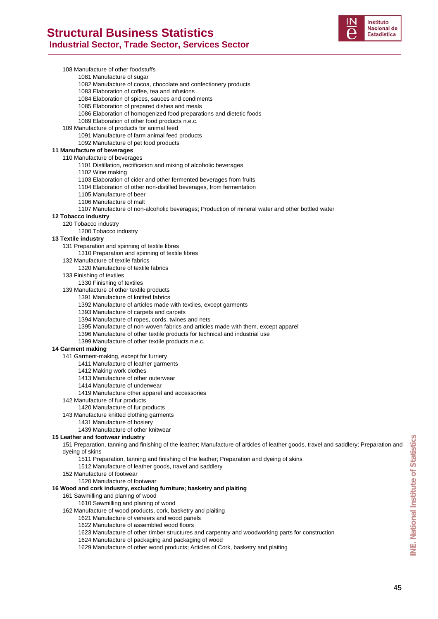

108 Manufacture of other foodstuffs 1081 Manufacture of sugar 1082 Manufacture of cocoa, chocolate and confectionery products 1083 Elaboration of coffee, tea and infusions 1084 Elaboration of spices, sauces and condiments 1085 Elaboration of prepared dishes and meals 1086 Elaboration of homogenized food preparations and dietetic foods 1089 Elaboration of other food products n.e.c. 109 Manufacture of products for animal feed 1091 Manufacture of farm animal feed products 1092 Manufacture of pet food products **11 Manufacture of beverages**  110 Manufacture of beverages 1101 Distillation, rectification and mixing of alcoholic beverages 1102 Wine making 1103 Elaboration of cider and other fermented beverages from fruits 1104 Elaboration of other non-distilled beverages, from fermentation 1105 Manufacture of beer 1106 Manufacture of malt 1107 Manufacture of non-alcoholic beverages; Production of mineral water and other bottled water **12 Tobacco industry**  120 Tobacco industry 1200 Tobacco industry **13 Textile industry**  131 Preparation and spinning of textile fibres 1310 Preparation and spinning of textile fibres 132 Manufacture of textile fabrics 1320 Manufacture of textile fabrics 133 Finishing of textiles 1330 Finishing of textiles 139 Manufacture of other textile products 1391 Manufacture of knitted fabrics 1392 Manufacture of articles made with textiles, except garments 1393 Manufacture of carpets and carpets 1394 Manufacture of ropes, cords, twines and nets 1395 Manufacture of non-woven fabrics and articles made with them, except apparel 1396 Manufacture of other textile products for technical and industrial use 1399 Manufacture of other textile products n.e.c. **14 Garment making**  141 Garment-making, except for furriery 1411 Manufacture of leather garments 1412 Making work clothes 1413 Manufacture of other outerwear 1414 Manufacture of underwear 1419 Manufacture other apparel and accessories 142 Manufacture of fur products 1420 Manufacture of fur products 143 Manufacture knitted clothing garments 1431 Manufacture of hosiery 1439 Manufacture of other knitwear **15 Leather and footwear industry**  151 Preparation, tanning and finishing of the leather; Manufacture of articles of leather goods, travel and saddlery; Preparation and dyeing of skins

- 1511 Preparation, tanning and finishing of the leather; Preparation and dyeing of skins
- 1512 Manufacture of leather goods, travel and saddlery
- 152 Manufacture of footwear
- 1520 Manufacture of footwear

#### **16 Wood and cork industry, excluding furniture; basketry and plaiting**

#### 161 Sawmilling and planing of wood

1610 Sawmilling and planing of wood

- 162 Manufacture of wood products, cork, basketry and plaiting
	- 1621 Manufacture of veneers and wood panels 1622 Manufacture of assembled wood floors
	- 1623 Manufacture of other timber structures and carpentry and woodworking parts for construction
	- 1624 Manufacture of packaging and packaging of wood
	- 1629 Manufacture of other wood products; Articles of Cork, basketry and plaiting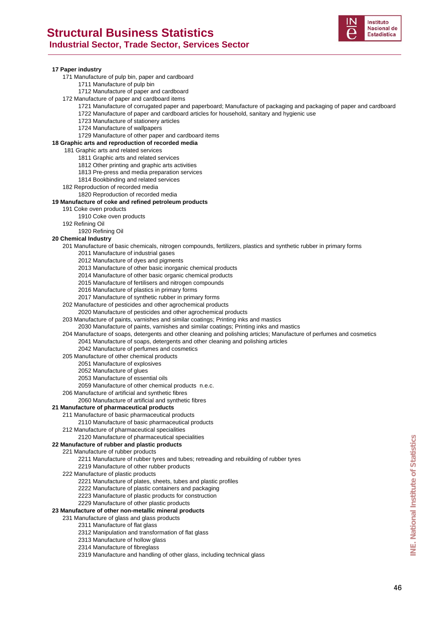

#### **17 Paper industry**

- 171 Manufacture of pulp bin, paper and cardboard
	- 1711 Manufacture of pulp bin
	- 1712 Manufacture of paper and cardboard
- 172 Manufacture of paper and cardboard items
	- 1721 Manufacture of corrugated paper and paperboard; Manufacture of packaging and packaging of paper and cardboard 1722 Manufacture of paper and cardboard articles for household, sanitary and hygienic use
	- 1723 Manufacture of stationery articles
	- 1724 Manufacture of wallpapers
	- 1729 Manufacture of other paper and cardboard items

#### **18 Graphic arts and reproduction of recorded media**

- 181 Graphic arts and related services
	- 1811 Graphic arts and related services
	- 1812 Other printing and graphic arts activities
	- 1813 Pre-press and media preparation services
	- 1814 Bookbinding and related services
- 182 Reproduction of recorded media
- 1820 Reproduction of recorded media

#### **19 Manufacture of coke and refined petroleum products**

- 191 Coke oven products
	- 1910 Coke oven products
- 192 Refining Oil
- 1920 Refining Oil

#### **20 Chemical Industry**

- 201 Manufacture of basic chemicals, nitrogen compounds, fertilizers, plastics and synthetic rubber in primary forms 2011 Manufacture of industrial gases
	- 2012 Manufacture of dyes and pigments
	- 2013 Manufacture of other basic inorganic chemical products
	- 2014 Manufacture of other basic organic chemical products
	- 2015 Manufacture of fertilisers and nitrogen compounds
	- 2016 Manufacture of plastics in primary forms
	- 2017 Manufacture of synthetic rubber in primary forms
- 202 Manufacture of pesticides and other agrochemical products
	- 2020 Manufacture of pesticides and other agrochemical products
- 203 Manufacture of paints, varnishes and similar coatings; Printing inks and mastics
- 2030 Manufacture of paints, varnishes and similar coatings; Printing inks and mastics
- 204 Manufacture of soaps, detergents and other cleaning and polishing articles; Manufacture of perfumes and cosmetics
	- 2041 Manufacture of soaps, detergents and other cleaning and polishing articles
	- 2042 Manufacture of perfumes and cosmetics
- 205 Manufacture of other chemical products
	- 2051 Manufacture of explosives
	- 2052 Manufacture of glues
	- 2053 Manufacture of essential oils
	- 2059 Manufacture of other chemical products n.e.c.
- 206 Manufacture of artificial and synthetic fibres
- 2060 Manufacture of artificial and synthetic fibres

#### **21 Manufacture of pharmaceutical products**

- 211 Manufacture of basic pharmaceutical products
	- 2110 Manufacture of basic pharmaceutical products
- 212 Manufacture of pharmaceutical specialities

#### 2120 Manufacture of pharmaceutical specialities

#### **22 Manufacture of rubber and plastic products**

221 Manufacture of rubber products

2211 Manufacture of rubber tyres and tubes; retreading and rebuilding of rubber tyres

#### 2219 Manufacture of other rubber products

- 222 Manufacture of plastic products
	- 2221 Manufacture of plates, sheets, tubes and plastic profiles
	- 2222 Manufacture of plastic containers and packaging
		- 2223 Manufacture of plastic products for construction
		- 2229 Manufacture of other plastic products

#### **23 Manufacture of other non-metallic mineral products**

- 231 Manufacture of glass and glass products
	- 2311 Manufacture of flat glass
	- 2312 Manipulation and transformation of flat glass
	- 2313 Manufacture of hollow glass
	- 2314 Manufacture of fibreglass
	- 2319 Manufacture and handling of other glass, including technical glass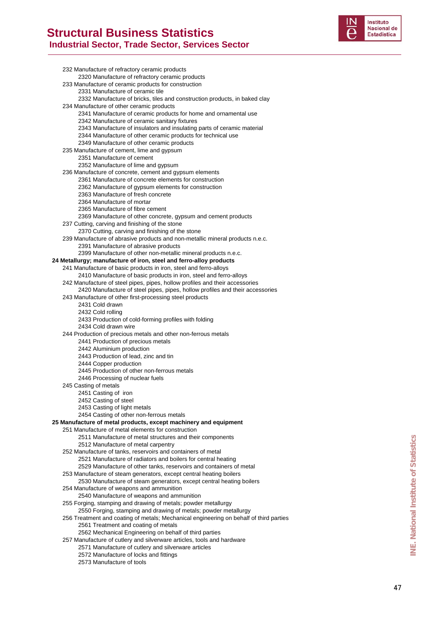

232 Manufacture of refractory ceramic products 2320 Manufacture of refractory ceramic products 233 Manufacture of ceramic products for construction 2331 Manufacture of ceramic tile 2332 Manufacture of bricks, tiles and construction products, in baked clay 234 Manufacture of other ceramic products 2341 Manufacture of ceramic products for home and ornamental use 2342 Manufacture of ceramic sanitary fixtures 2343 Manufacture of insulators and insulating parts of ceramic material 2344 Manufacture of other ceramic products for technical use 2349 Manufacture of other ceramic products 235 Manufacture of cement, lime and gypsum 2351 Manufacture of cement 2352 Manufacture of lime and gypsum 236 Manufacture of concrete, cement and gypsum elements 2361 Manufacture of concrete elements for construction 2362 Manufacture of gypsum elements for construction 2363 Manufacture of fresh concrete 2364 Manufacture of mortar 2365 Manufacture of fibre cement 2369 Manufacture of other concrete, gypsum and cement products 237 Cutting, carving and finishing of the stone 2370 Cutting, carving and finishing of the stone 239 Manufacture of abrasive products and non-metallic mineral products n.e.c. 2391 Manufacture of abrasive products 2399 Manufacture of other non-metallic mineral products n.e.c. **24 Metallurgy; manufacture of iron, steel and ferro-alloy products**  241 Manufacture of basic products in iron, steel and ferro-alloys 2410 Manufacture of basic products in iron, steel and ferro-alloys 242 Manufacture of steel pipes, pipes, hollow profiles and their accessories 2420 Manufacture of steel pipes, pipes, hollow profiles and their accessories 243 Manufacture of other first-processing steel products 2431 Cold drawn 2432 Cold rolling 2433 Production of cold-forming profiles with folding 2434 Cold drawn wire 244 Production of precious metals and other non-ferrous metals 2441 Production of precious metals 2442 Aluminium production 2443 Production of lead, zinc and tin 2444 Copper production 2445 Production of other non-ferrous metals 2446 Processing of nuclear fuels 245 Casting of metals 2451 Casting of iron 2452 Casting of steel 2453 Casting of light metals 2454 Casting of other non-ferrous metals **25 Manufacture of metal products, except machinery and equipment**  251 Manufacture of metal elements for construction 2511 Manufacture of metal structures and their components 2512 Manufacture of metal carpentry 252 Manufacture of tanks, reservoirs and containers of metal 2521 Manufacture of radiators and boilers for central heating 2529 Manufacture of other tanks, reservoirs and containers of metal 253 Manufacture of steam generators, except central heating boilers 2530 Manufacture of steam generators, except central heating boilers 254 Manufacture of weapons and ammunition 2540 Manufacture of weapons and ammunition 255 Forging, stamping and drawing of metals; powder metallurgy 2550 Forging, stamping and drawing of metals; powder metallurgy 256 Treatment and coating of metals; Mechanical engineering on behalf of third parties 2561 Treatment and coating of metals 2562 Mechanical Engineering on behalf of third parties 257 Manufacture of cutlery and silverware articles, tools and hardware 2571 Manufacture of cutlery and silverware articles 2572 Manufacture of locks and fittings

2573 Manufacture of tools

47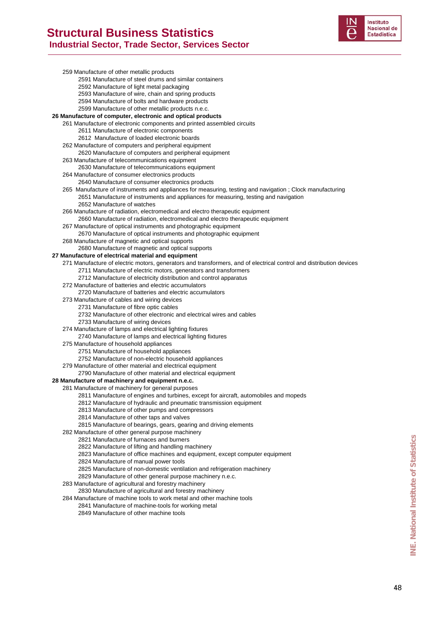

|  | 259 Manufacture of other metallic products                                                                          |
|--|---------------------------------------------------------------------------------------------------------------------|
|  | 2591 Manufacture of steel drums and similar containers                                                              |
|  | 2592 Manufacture of light metal packaging                                                                           |
|  | 2593 Manufacture of wire, chain and spring products                                                                 |
|  | 2594 Manufacture of bolts and hardware products                                                                     |
|  | 2599 Manufacture of other metallic products n.e.c.                                                                  |
|  | 26 Manufacture of computer, electronic and optical products                                                         |
|  | 261 Manufacture of electronic components and printed assembled circuits                                             |
|  | 2611 Manufacture of electronic components                                                                           |
|  | 2612 Manufacture of loaded electronic boards                                                                        |
|  | 262 Manufacture of computers and peripheral equipment                                                               |
|  | 2620 Manufacture of computers and peripheral equipment                                                              |
|  | 263 Manufacture of telecommunications equipment                                                                     |
|  | 2630 Manufacture of telecommunications equipment                                                                    |
|  | 264 Manufacture of consumer electronics products                                                                    |
|  | 2640 Manufacture of consumer electronics products                                                                   |
|  | 265 Manufacture of instruments and appliances for measuring, testing and navigation; Clock manufacturing            |
|  | 2651 Manufacture of instruments and appliances for measuring, testing and navigation                                |
|  | 2652 Manufacture of watches                                                                                         |
|  | 266 Manufacture of radiation, electromedical and electro therapeutic equipment                                      |
|  | 2660 Manufacture of radiation, electromedical and electro therapeutic equipment                                     |
|  | 267 Manufacture of optical instruments and photographic equipment                                                   |
|  | 2670 Manufacture of optical instruments and photographic equipment                                                  |
|  | 268 Manufacture of magnetic and optical supports                                                                    |
|  | 2680 Manufacture of magnetic and optical supports<br>27 Manufacture of electrical material and equipment            |
|  | 271 Manufacture of electric motors, generators and transformers, and of electrical control and distribution devices |
|  | 2711 Manufacture of electric motors, generators and transformers                                                    |
|  | 2712 Manufacture of electricity distribution and control apparatus                                                  |
|  | 272 Manufacture of batteries and electric accumulators                                                              |
|  | 2720 Manufacture of batteries and electric accumulators                                                             |
|  | 273 Manufacture of cables and wiring devices                                                                        |
|  | 2731 Manufacture of fibre optic cables                                                                              |
|  | 2732 Manufacture of other electronic and electrical wires and cables                                                |
|  | 2733 Manufacture of wiring devices                                                                                  |
|  | 274 Manufacture of lamps and electrical lighting fixtures                                                           |
|  | 2740 Manufacture of lamps and electrical lighting fixtures                                                          |
|  | 275 Manufacture of household appliances                                                                             |
|  | 2751 Manufacture of household appliances                                                                            |
|  | 2752 Manufacture of non-electric household appliances                                                               |
|  | 279 Manufacture of other material and electrical equipment                                                          |
|  | 2790 Manufacture of other material and electrical equipment                                                         |
|  | 28 Manufacture of machinery and equipment n.e.c.                                                                    |
|  | 281 Manufacture of machinery for general purposes                                                                   |
|  | 2811 Manufacture of engines and turbines, except for aircraft, automobiles and mopeds                               |
|  | 2812 Manufacture of hydraulic and pneumatic transmission equipment                                                  |
|  | 2813 Manufacture of other pumps and compressors                                                                     |
|  | 2814 Manufacture of other taps and valves                                                                           |
|  | 2815 Manufacture of bearings, gears, gearing and driving elements                                                   |
|  | 282 Manufacture of other general purpose machinery                                                                  |
|  | 2821 Manufacture of furnaces and burners                                                                            |
|  | 2822 Manufacture of lifting and handling machinery                                                                  |
|  | 2823 Manufacture of office machines and equipment, except computer equipment                                        |
|  | 2824 Manufacture of manual power tools                                                                              |
|  | 2825 Manufacture of non-domestic ventilation and refrigeration machinery                                            |
|  | 2829 Manufacture of other general purpose machinery n.e.c.                                                          |
|  | 283 Manufacture of agricultural and forestry machinery                                                              |
|  | 2830 Manufacture of agricultural and forestry machinery                                                             |
|  | 284 Manufacture of machine tools to work metal and other machine tools                                              |
|  | 2841 Manufacture of machine-tools for working metal                                                                 |
|  | 2849 Manufacture of other machine tools                                                                             |
|  |                                                                                                                     |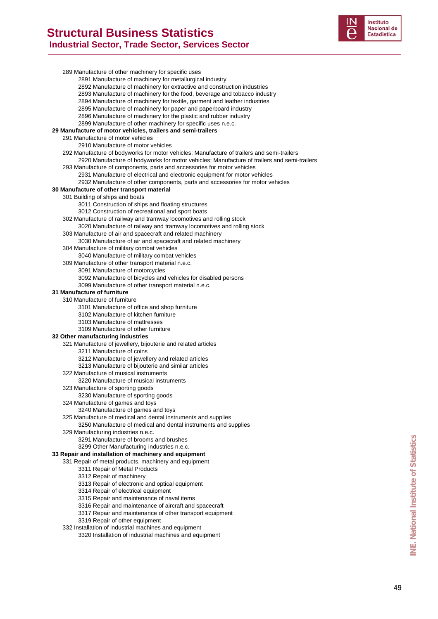

289 Manufacture of other machinery for specific uses 2891 Manufacture of machinery for metallurgical industry 2892 Manufacture of machinery for extractive and construction industries 2893 Manufacture of machinery for the food, beverage and tobacco industry 2894 Manufacture of machinery for textile, garment and leather industries 2895 Manufacture of machinery for paper and paperboard industry 2896 Manufacture of machinery for the plastic and rubber industry 2899 Manufacture of other machinery for specific uses n.e.c. **29 Manufacture of motor vehicles, trailers and semi-trailers**  291 Manufacture of motor vehicles 2910 Manufacture of motor vehicles 292 Manufacture of bodyworks for motor vehicles; Manufacture of trailers and semi-trailers 2920 Manufacture of bodyworks for motor vehicles; Manufacture of trailers and semi-trailers 293 Manufacture of components, parts and accessories for motor vehicles 2931 Manufacture of electrical and electronic equipment for motor vehicles 2932 Manufacture of other components, parts and accessories for motor vehicles **30 Manufacture of other transport material**  301 Building of ships and boats 3011 Construction of ships and floating structures 3012 Construction of recreational and sport boats 302 Manufacture of railway and tramway locomotives and rolling stock 3020 Manufacture of railway and tramway locomotives and rolling stock 303 Manufacture of air and spacecraft and related machinery 3030 Manufacture of air and spacecraft and related machinery 304 Manufacture of military combat vehicles 3040 Manufacture of military combat vehicles 309 Manufacture of other transport material n.e.c. 3091 Manufacture of motorcycles 3092 Manufacture of bicycles and vehicles for disabled persons 3099 Manufacture of other transport material n.e.c. **31 Manufacture of furniture**  310 Manufacture of furniture 3101 Manufacture of office and shop furniture 3102 Manufacture of kitchen furniture 3103 Manufacture of mattresses 3109 Manufacture of other furniture **32 Other manufacturing industries**  321 Manufacture of jewellery, bijouterie and related articles 3211 Manufacture of coins 3212 Manufacture of jewellery and related articles 3213 Manufacture of bijouterie and similar articles 322 Manufacture of musical instruments 3220 Manufacture of musical instruments 323 Manufacture of sporting goods 3230 Manufacture of sporting goods 324 Manufacture of games and toys 3240 Manufacture of games and toys 325 Manufacture of medical and dental instruments and supplies 3250 Manufacture of medical and dental instruments and supplies 329 Manufacturing industries n.e.c. 3291 Manufacture of brooms and brushes 3299 Other Manufacturing industries n.e.c. **33 Repair and installation of machinery and equipment**  331 Repair of metal products, machinery and equipment 3311 Repair of Metal Products 3312 Repair of machinery 3313 Repair of electronic and optical equipment 3314 Repair of electrical equipment 3315 Repair and maintenance of naval items 3316 Repair and maintenance of aircraft and spacecraft 3317 Repair and maintenance of other transport equipment 3319 Repair of other equipment 3291 Manufacture of brooms and brushes.<br> **Institute of Manufacturing industries n.e.c.**<br> **IPapari of metal products**, machinery and equipment<br>
331 Repair of metal products, machinery and equipment<br>
3312 Repair of Mealth Pr

332 Installation of industrial machines and equipment

3320 Installation of industrial machines and equipment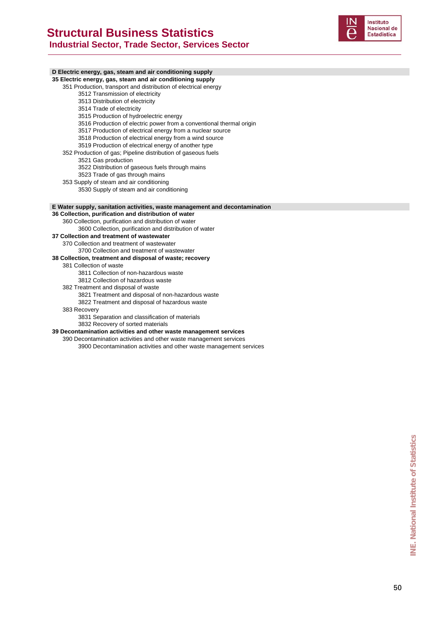

#### **D Electric energy, gas, steam and air conditioning supply**

#### **35 Electric energy, gas, steam and air conditioning supply**

351 Production, transport and distribution of electrical energy

- 3512 Transmission of electricity
- 3513 Distribution of electricity
- 3514 Trade of electricity
- 3515 Production of hydroelectric energy
- 3516 Production of electric power from a conventional thermal origin
- 3517 Production of electrical energy from a nuclear source
- 3518 Production of electrical energy from a wind source
- 3519 Production of electrical energy of another type
- 352 Production of gas; Pipeline distribution of gaseous fuels
	- 3521 Gas production
	- 3522 Distribution of gaseous fuels through mains
	- 3523 Trade of gas through mains
- 353 Supply of steam and air conditioning
	- 3530 Supply of steam and air conditioning

#### **E Water supply, sanitation activities, waste management and decontamination**

- **36 Collection, purification and distribution of water** 
	- 360 Collection, purification and distribution of water
	- 3600 Collection, purification and distribution of water

#### **37 Collection and treatment of wastewater**

370 Collection and treatment of wastewater

3700 Collection and treatment of wastewater

#### **38 Collection, treatment and disposal of waste; recovery**

381 Collection of waste

- 3811 Collection of non-hazardous waste
- 3812 Collection of hazardous waste
- 382 Treatment and disposal of waste
	- 3821 Treatment and disposal of non-hazardous waste
	- 3822 Treatment and disposal of hazardous waste

#### 383 Recovery

3831 Separation and classification of materials

3832 Recovery of sorted materials

#### **39 Decontamination activities and other waste management services**

390 Decontamination activities and other waste management services

3900 Decontamination activities and other waste management services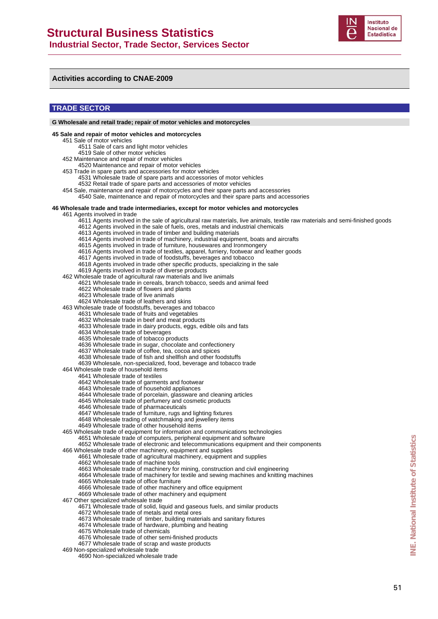

#### **Activities according to CNAE-2009**

#### **TRADE SECTOR**

**G Wholesale and retail trade; repair of motor vehicles and motorcycles 45 Sale and repair of motor vehicles and motorcycles** 451 Sale of motor vehicles 4511 Sale of cars and light motor vehicles 4519 Sale of other motor vehicles 452 Maintenance and repair of motor vehicles 4520 Maintenance and repair of motor vehicles 453 Trade in spare parts and accessories for motor vehicles 4531 Wholesale trade of spare parts and accessories of motor vehicles 4532 Retail trade of spare parts and accessories of motor vehicles 454 Sale, maintenance and repair of motorcycles and their spare parts and accessories 4540 Sale, maintenance and repair of motorcycles and their spare parts and accessories **46 Wholesale trade and trade intermediaries, except for motor vehicles and motorcycles** 461 Agents involved in trade 4611 Agents involved in the sale of agricultural raw materials, live animals, textile raw materials and semi-finished goods 4612 Agents involved in the sale of fuels, ores, metals and industrial chemicals 4613 Agents involved in trade of timber and building materials 4614 Agents involved in trade of machinery, industrial equipment, boats and aircrafts 4615 Agents involved in trade of furniture, housewares and Ironmongery 4616 Agents involved in trade of textiles, apparel, furriery, footwear and leather goods 4617 Agents involved in trade of foodstuffs, beverages and tobacco 4618 Agents involved in trade other specific products, specializing in the sale 4619 Agents involved in trade of diverse products 462 Wholesale trade of agricultural raw materials and live animals 4621 Wholesale trade in cereals, branch tobacco, seeds and animal feed 4622 Wholesale trade of flowers and plants 4623 Wholesale trade of live animals 4624 Wholesale trade of leathers and skins 463 Wholesale trade of foodstuffs, beverages and tobacco 4631 Wholesale trade of fruits and vegetables 4632 Wholesale trade in beef and meat products 4633 Wholesale trade in dairy products, eggs, edible oils and fats 4634 Wholesale trade of beverages 4635 Wholesale trade of tobacco products 4636 Wholesale trade in sugar, chocolate and confectionery 4637 Wholesale trade of coffee, tea, cocoa and spices 4638 Wholesale trade of fish and shellfish and other foodstuffs 4639 Wholesale, non-specialized, food, beverage and tobacco trade 464 Wholesale trade of household items 4641 Wholesale trade of textiles 4642 Wholesale trade of garments and footwear 4643 Wholesale trade of household appliances 4644 Wholesale trade of porcelain, glassware and cleaning articles 4645 Wholesale trade of perfumery and cosmetic products 4646 Wholesale trade of pharmaceuticals 4647 Wholesale trade of furniture, rugs and lighting fixtures 4648 Wholesale trading of watchmaking and jewellery items 4649 Wholesale trade of other household items 465 Wholesale trade of equipment for information and communications technologies 4651 Wholesale trade of computers, peripheral equipment and software 4652 Wholesale trade of electronic and telecommunications equipment and their components 466 Wholesale trade of other machinery, equipment and supplies 4661 Wholesale trade of agricultural machinery, equipment and supplies 4662 Wholesale trade of machine tools 4663 Wholesale trade of machinery for mining, construction and civil engineering 4664 Wholesale trade of machinery for textile and sewing machines and knitting machines 4665 Wholesale trade of office furniture 4666 Wholesale trade of other machinery and office equipment 4669 Wholesale trade of other machinery and equipment 467 Other specialized wholesale trade 4671 Wholesale trade of solid, liquid and gaseous fuels, and similar products 4672 Wholesale trade of metals and metal ores 4673 Wholesale trade of timber, building materials and sanitary fixtures 4674 Wholesale trade of hardware, plumbing and heating 4675 Wholesale trade of chemicals 4676 Wholesale trade of other semi-finished products 4677 Wholesale trade of scrap and waste products 469 Non-specialized wholesale trade 4690 Non-specialized wholesale trade

**INE. National Institute of Statistics**

一<br>NE

National Institute of Statistics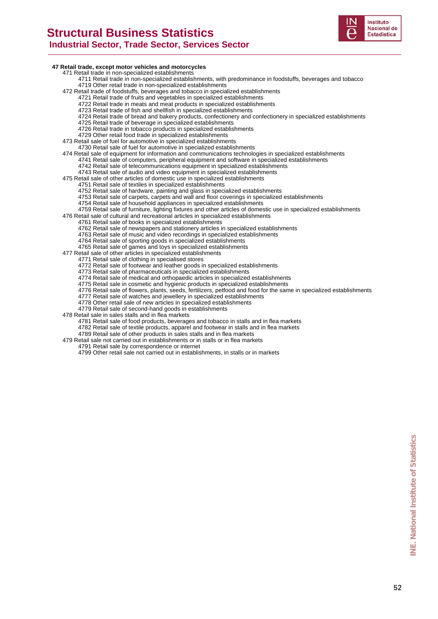### **Structural Business Statistics Industrial Sector, Trade Sector, Services Sector**



#### **47 Retail trade, except motor vehicles and motorcycles**

471 Retail trade in non-specialized establishments

- 4711 Retail trade in non-specialized establishments, with predominance in foodstuffs, beverages and tobacco 4719 Other retail trade in non-specialized establishments
- 472 Retail trade of foodstuffs, beverages and tobacco in specialized establishments
	- 4721 Retail trade of fruits and vegetables in specialized establishments
	- 4722 Retail trade in meats and meat products in specialized establishments
	- 4723 Retail trade of fish and shellfish in specialized establishments
	- 4724 Retail trade of bread and bakery products, confectionery and confectionery in specialized establishments
	- 4725 Retail trade of beverage in specialized establishments
	- 4726 Retail trade in tobacco products in specialized establishments
	- 4729 Other retail food trade in specialized establishments

473 Retail sale of fuel for automotive in specialized establishments 4730 Retail sale of fuel for automotive in specialized establishments

- 
- 474 Retail sale of equipment for information and communications technologies in specialized establishments 4741 Retail sale of computers, peripheral equipment and software in specialized establishments
	- 4742 Retail sale of telecommunications equipment in specialized establishments
	- 4743 Retail sale of audio and video equipment in specialized establishments
- 475 Retail sale of other articles of domestic use in specialized establishments
	- 4751 Retail sale of textiles in specialized establishments 4752 Retail sale of hardware, painting and glass in specialized establishments
		- 4753 Retail sale of carpets, carpets and wall and floor coverings in specialized establishments
		- 4754 Retail sale of household appliances in specialized establishments
- 4759 Retail sale of furniture, lighting fixtures and other articles of domestic use in specialized establishments

476 Retail sale of cultural and recreational articles in specialized establishments

- 4761 Retail sale of books in specialized establishments
- 4762 Retail sale of newspapers and stationery articles in specialized establishments
- 4763 Retail sale of music and video recordings in specialized establishments
- 4764 Retail sale of sporting goods in specialized establishments
- 4765 Retail sale of games and toys in specialized establishments
- 477 Retail sale of other articles in specialized establishments
	- 4771 Retail sale of clothing in specialised stores
		- 4772 Retail sale of footwear and leather goods in specialized establishments
		- 4773 Retail sale of pharmaceuticals in specialized establishments
		- 4774 Retail sale of medical and orthopaedic articles in specialized establishments
		- 4775 Retail sale in cosmetic and hygienic products in specialized establishments
		- 4776 Retail sale of flowers, plants, seeds, fertilizers, petfood and food for the same in specialized establishments
		- 4777 Retail sale of watches and jewellery in specialized establishments
		- 4778 Other retail sale of new articles in specialized establishments
		- 4779 Retail sale of second-hand goods in establishments
- 478 Retail sale in sales stalls and in flea markets
	- 4781 Retail sale of food products, beverages and tobacco in stalls and in flea markets
	- 4782 Retail sale of textile products, apparel and footwear in stalls and in flea markets
	- 4789 Retail sale of other products in sales stalls and in flea markets
- 479 Retail sale not carried out in establishments or in stalls or in flea markets
	- 4791 Retail sale by correspondence or internet
	- 4799 Other retail sale not carried out in establishments, in stalls or in markets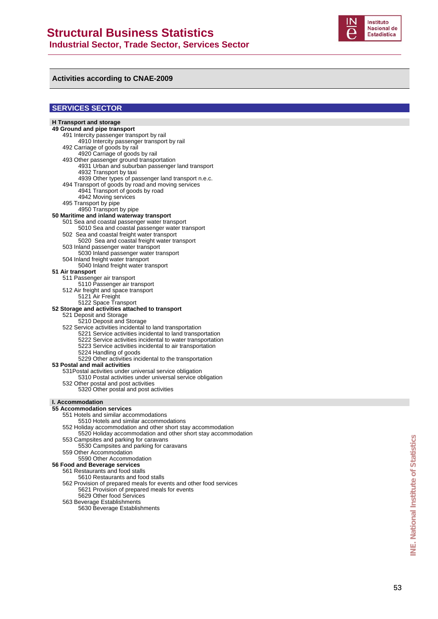

#### **Activities according to CNAE-2009**

#### **SERVICES SECTOR**

#### **H Transport and storage 49 Ground and pipe transport** 491 Intercity passenger transport by rail 4910 Intercity passenger transport by rail 492 Carriage of goods by rail 4920 Carriage of goods by rail 493 Other passenger ground transportation 4931 Urban and suburban passenger land transport 4932 Transport by taxi 4939 Other types of passenger land transport n.e.c. 494 Transport of goods by road and moving services 4941 Transport of goods by road 4942 Moving services 495 Transport by pipe 4950 Transport by pipe **50 Maritime and inland waterway transport**  501 Sea and coastal passenger water transport 5010 Sea and coastal passenger water transport 502 Sea and coastal freight water transport 5020 Sea and coastal freight water transport 503 Inland passenger water transport 5030 Inland passenger water transport 504 Inland freight water transport 5040 Inland freight water transport **51 Air transport**  511 Passenger air transport 5110 Passenger air transport 512 Air freight and space transport 5121 Air Freight 5122 Space Transport **52 Storage and activities attached to transport** 521 Deposit and Storage 5210 Deposit and Storage 522 Service activities incidental to land transportation 5221 Service activities incidental to land transportation 5222 Service activities incidental to water transportation 5223 Service activities incidental to air transportation 5224 Handling of goods 5229 Other activities incidental to the transportation **53 Postal and mail activities** 531Postal activities under universal service obligation 5310 Postal activities under universal service obligation 532 Other postal and post activities 5320 Other postal and post activities **I. Accommodation 55 Accommodation services** 551 Hotels and similar accommodations 5510 Hotels and similar accommodations 552 Holiday accommodation and other short stay accommodation 5520 Holiday accommodation and other short stay accommodation 553 Campsites and parking for caravans 5530 Campsites and parking for caravans 559 Other Accommodation 5590 Other Accommodation **56 Food and Beverage services**  561 Restaurants and food stalls 5610 Restaurants and food stalls 562 Provision of prepared meals for events and other food services 5621 Provision of prepared meals for events

- 5629 Othe r food Services 563 Beverage Establishments
	- 5630 Beverage Establishments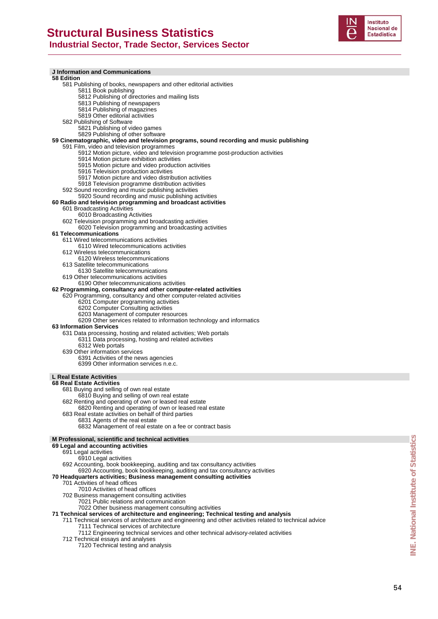

| <b>J</b> Information and Communications                                                                                                                         |
|-----------------------------------------------------------------------------------------------------------------------------------------------------------------|
| <b>58 Edition</b><br>581 Publishing of books, newspapers and other editorial activities                                                                         |
| 5811 Book publishing                                                                                                                                            |
| 5812 Publishing of directories and mailing lists                                                                                                                |
| 5813 Publishing of newspapers                                                                                                                                   |
| 5814 Publishing of magazines<br>5819 Other editorial activities                                                                                                 |
| 582 Publishing of Software                                                                                                                                      |
| 5821 Publishing of video games                                                                                                                                  |
| 5829 Publishing of other software                                                                                                                               |
| 59 Cinematographic, video and television programs, sound recording and music publishing                                                                         |
| 591 Film, video and television programmes<br>5912 Motion picture, video and television programme post-production activities                                     |
| 5914 Motion picture exhibition activities                                                                                                                       |
| 5915 Motion picture and video production activities                                                                                                             |
| 5916 Television production activities                                                                                                                           |
| 5917 Motion picture and video distribution activities<br>5918 Television programme distribution activities                                                      |
| 592 Sound recording and music publishing activities                                                                                                             |
| 5920 Sound recording and music publishing activities                                                                                                            |
| 60 Radio and television programming and broadcast activities                                                                                                    |
| 601 Broadcasting Activities<br>6010 Broadcasting Activities                                                                                                     |
| 602 Television programming and broadcasting activities                                                                                                          |
| 6020 Television programming and broadcasting activities                                                                                                         |
| 61 Telecommunications                                                                                                                                           |
| 611 Wired telecommunications activities                                                                                                                         |
| 6110 Wired telecommunications activities<br>612 Wireless telecommunications                                                                                     |
| 6120 Wireless telecommunications                                                                                                                                |
| 613 Satellite telecommunications                                                                                                                                |
| 6130 Satellite telecommunications                                                                                                                               |
| 619 Other telecommunications activities<br>6190 Other telecommunications activities                                                                             |
| 62 Programming, consultancy and other computer-related activities                                                                                               |
| 620 Programming, consultancy and other computer-related activities                                                                                              |
| 6201 Computer programming activities                                                                                                                            |
| 6202 Computer Consulting activities<br>6203 Management of computer resources                                                                                    |
| 6209 Other services related to information technology and informatics                                                                                           |
| <b>63 Information Services</b>                                                                                                                                  |
| 631 Data processing, hosting and related activities; Web portals                                                                                                |
| 6311 Data processing, hosting and related activities<br>6312 Web portals                                                                                        |
| 639 Other information services                                                                                                                                  |
| 6391 Activities of the news agencies                                                                                                                            |
| 6399 Other information services n.e.c.                                                                                                                          |
| <b>L Real Estate Activities</b>                                                                                                                                 |
| <b>68 Real Estate Activities</b>                                                                                                                                |
| 681 Buying and selling of own real estate                                                                                                                       |
| 6810 Buying and selling of own real estate                                                                                                                      |
| 682 Renting and operating of own or leased real estate<br>6820 Renting and operating of own or leased real estate                                               |
| 683 Real estate activities on behalf of third parties                                                                                                           |
| 6831 Agents of the real estate                                                                                                                                  |
| 6832 Management of real estate on a fee or contract basis                                                                                                       |
|                                                                                                                                                                 |
| M Professional, scientific and technical activities                                                                                                             |
| 69 Legal and accounting activities                                                                                                                              |
| 691 Legal activities                                                                                                                                            |
| 6910 Legal activities                                                                                                                                           |
| 692 Accounting, book bookkeeping, auditing and tax consultancy activities                                                                                       |
| 6920 Accounting, book bookkeeping, auditing and tax consultancy activities<br>70 Headquarters activities; Business management consulting activities             |
| 701 Activities of head offices                                                                                                                                  |
| 7010 Activities of head offices                                                                                                                                 |
| 702 Business management consulting activities                                                                                                                   |
| 7021 Public relations and communication<br>7022 Other business management consulting activities                                                                 |
| 71 Technical services of architecture and engineering; Technical testing and analysis                                                                           |
| 711 Technical services of architecture and engineering and other activities related to technical advice                                                         |
| 7111 Technical services of architecture                                                                                                                         |
| 7112 Engineering technical services and other technical advisory-related activities<br>712 Technical essays and analyses<br>7120 Technical testing and analysis |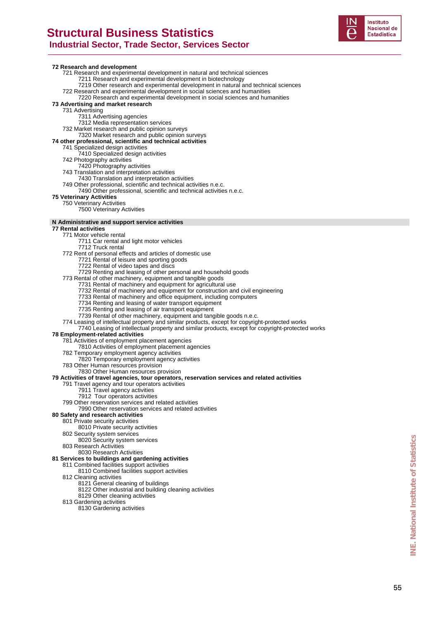

#### **72 Research and development**

- 721 Research and experimental development in natural and technical sciences
	- 7211 Research and experimental development in biotechnology
	- 7219 Other research and experimental development in natural and technical sciences
- 722 Research and experimental development in social sciences and humanities 7220 Research and experimental development in social sciences and humanities
- **73 Advertising and market research** 
	- 731 Advertising
		- - 7311 Advertising agencies 7312 Media representation services
	- 732 Market research and public opinion surveys
		- 7320 Market research and public opinion surveys
- **74 other professional, scientific and technical activities**
- 741 Specialized design activities
	- 7410 Specialized design activities
	- 742 Photography activities
		- 7420 Photography activities
	- 743 Translation and interpretation activities
		- 7430 Translation and interpretation activities
	- 749 Other professional, scientific and technical activities n.e.c. 7490 Other professional, scientific and technical activities n.e.c.

#### **75 Veterinary Activities**

#### 750 Veterinary Activities

7500 Veterinary Activities

#### **N Administrative and support service activities**

#### **77 Rental activities**

- 771 Motor vehicle rental
	- 7711 Car rental and light motor vehicles
	- 7712 Truck rental
- 772 Rent of personal effects and articles of domestic use
	- 7721 Rental of leisure and sporting goods
	- 7722 Rental of video tapes and discs
- 7729 Renting and leasing of other personal and household goods
- 773 Rental of other machinery, equipment and tangible goods
	- 7731 Rental of machinery and equipment for agricultural use
	- 7732 Rental of machinery and equipment for construction and civil engineering
	- 7733 Rental of machinery and office equipment, including computers
	- 7734 Renting and leasing of water transport equipment
	- 7735 Renting and leasing of air transport equipment
	- 7739 Rental of other machinery, equipment and tangible goods n.e.c.
- 774 Leasing of intellectual property and similar products, except for copyright-protected works
- 7740 Leasing of intellectual property and similar products, except for copyright-protected works

#### **78 Employment-related activities**

- 781 Activities of employment placement agencies
- 7810 Activities of employment placement agencies
- 782 Temporary employment agency activities
- 7820 Temporary employment agency activities
- 783 Other Human resources provision
- 7830 Other Human resources provision

#### **79 Activities of travel agencies, tour operators, reservation services and related activities**

- 791 Travel agency and tour operators activities
	- 7911 Travel agency activities
	- 7912 Tour operators activities
- 799 Other reservation services and related activities
- 7990 Other reservation services and related activities

#### **80 Safety and research activities**

- 801 Private security activities
	- 8010 Private security activities
	- 802 Security system services
	- 8020 Security system services
	- 803 Research Activities
		- 8030 Research Activities

#### **81 Services to buildings and gardening activities**

- 811 Combined facilities support activities
- 8110 Combined facilities support activities
- 812 Cleaning activities
	- 8121 General cleaning of buildings
		- 8122 Other industrial and building cleaning activities
	- 8129 Other cleaning activities
- 813 Gardening activities
	- 8130 Gardening activities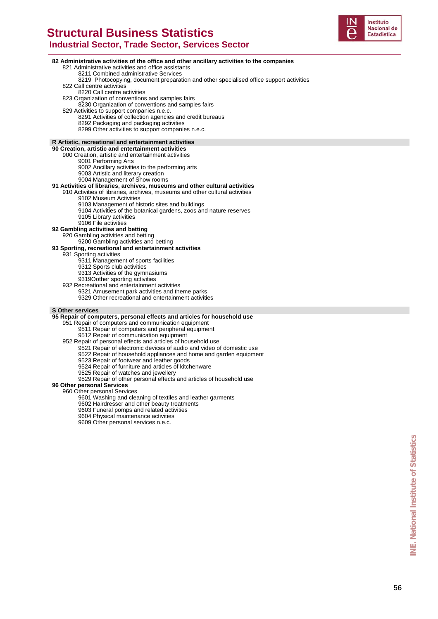# **Structural Business Statistics**



 **Industrial Sector, Trade Sector, Services Sector 82 Administrative activities of the office and other ancillary activities to the companies** 821 Administrative activities and office assistants 8211 Combined administrative Services 8219 Photocopying, document preparation and other specialised office support activities 822 Call centre activities 8220 Call centre activities 823 Organization of conventions and samples fairs 8230 Organization of conventions and samples fairs 829 Activities to support companies n.e.c. 8291 Activities of collection agencies and credit bureaus 8292 Packaging and packaging activities 8299 Other activities to support companies n.e.c. **R Artistic, recreational and entertainment activities 90 Creation, artistic and entertainment activities** 900 Creation, artistic and entertainment activities 9001 Performing Arts 9002 Ancillary activities to the performing arts 9003 Artistic and literary creation 9004 Management of Show rooms **91 Activities of libraries, archives, museums and other cultural activities** 910 Activities of libraries, archives, museums and other cultural activities 9102 Museum Activities 9103 Management of historic sites and buildings 9104 Activities of the botanical gardens, zoos and nature reserves 9105 Library activities 9106 File activities **92 Gambling activities and betting**  920 Gambling activities and betting 9200 Gambling activities and betting **93 Sporting, recreational and entertainment activities** 931 Sporting activities 9311 Management of sports facilities 9312 Sports club activities 9313 Activities of the gymnasiums 9319Oother sporting activities 932 Recreational and entertainment activities 9321 Amusement park activities and theme parks 9329 Other recreational and entertainment activities **S Other services 95 Repair of computers, personal effects and articles for household use** 951 Repair of computers and communication equipment 9511 Repair of computers and peripheral equipment 9512 Repair of communication equipment 952 Repair of personal effects and articles of household use 9521 Repair of electronic devices of audio and video of domestic use 9522 Repair of household appliances and home and garden equipment 9523 Repair of footwear and leather goods 9524 Repair of furniture and articles of kitchenware 9525 Repair of watches and jewellery 9529 Repair of other personal effects and articles of household use **96 Other personal Services**  960 Other personal Services 9601 Washing and cleaning of textiles and leather garments 9602 Hairdresser and other beauty treatments 9603 Funeral pomps and related activities 9604 Physical maintenance activities 9609 Other personal services n.e.c.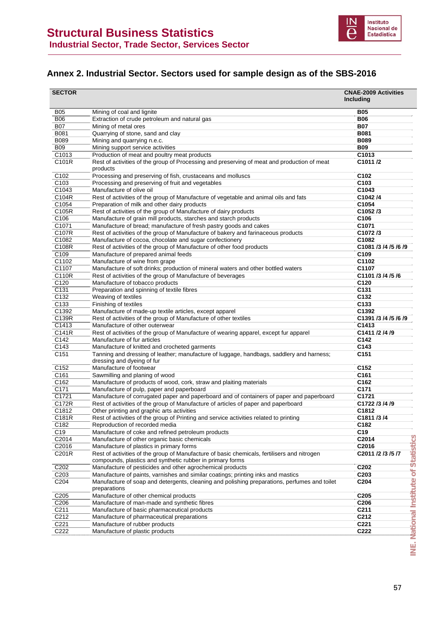

### **Annex 2. Industrial Sector. Sectors used for sample design as of the SBS-2016**

| <b>SECTOR</b>    |                                                                                                              | <b>CNAE-2009 Activities</b><br><b>Includina</b> |
|------------------|--------------------------------------------------------------------------------------------------------------|-------------------------------------------------|
| <b>B05</b>       | Mining of coal and lignite                                                                                   | <b>B05</b>                                      |
| <b>B06</b>       | Extraction of crude petroleum and natural gas                                                                | <b>B06</b>                                      |
| <b>B07</b>       | Mining of metal ores                                                                                         | <b>B07</b>                                      |
| B081             | Quarrying of stone, sand and clay                                                                            | <b>B081</b>                                     |
| <b>B089</b>      | Mining and quarrying n.e.c.                                                                                  | <b>B089</b>                                     |
| <b>B09</b>       | Mining support service activities                                                                            | <b>B09</b>                                      |
| C1013            | Production of meat and poultry meat products                                                                 | C1013                                           |
| C101R            | Rest of activities of the group of Processing and preserving of meat and production of meat<br>products      | C1011/2                                         |
| C102             | Processing and preserving of fish, crustaceans and molluscs                                                  | C102                                            |
| C <sub>103</sub> | Processing and preserving of fruit and vegetables                                                            | C <sub>103</sub>                                |
| C1043            | Manufacture of olive oil                                                                                     | C1043                                           |
| C104R            | Rest of activities of the group of Manufacture of vegetable and animal oils and fats                         | C1042/4                                         |
| C1054            | Preparation of milk and other dairy products                                                                 | C1054                                           |
| C105R            | Rest of activities of the group of Manufacture of dairy products                                             | C1052/3                                         |
| C106             | Manufacture of grain mill products, starches and starch products                                             | C <sub>106</sub>                                |
| C1071            | Manufacture of bread; manufacture of fresh pastry goods and cakes                                            | C1071                                           |
| C107R            | Rest of activities of the group of Manufacture of bakery and farinaceous products                            | C1072/3                                         |
| C1082            | Manufacture of cocoa, chocolate and sugar confectionery                                                      | C1082                                           |
| C108R            | Rest of activities of the group of Manufacture of other food products                                        | C1081 /3 /4 /5 /6 /9                            |
| C109             | Manufacture of prepared animal feeds                                                                         | C <sub>109</sub>                                |
| C1102            | Manufacture of wine from grape                                                                               | C1102                                           |
| C1107            | Manufacture of soft drinks; production of mineral waters and other bottled waters                            | C1107                                           |
| C110R            | Rest of activities of the group of Manufacture of beverages                                                  | C1101 /3 /4 /5 /6                               |
| C120             | Manufacture of tobacco products                                                                              | C <sub>120</sub>                                |
| C131             | Preparation and spinning of textile fibres                                                                   | C <sub>131</sub>                                |
| C132             | Weaving of textiles                                                                                          | C132                                            |
| C <sub>133</sub> | Finishing of textiles                                                                                        | C <sub>133</sub>                                |
| C1392            | Manufacture of made-up textile articles, except apparel                                                      | C1392                                           |
| C139R            | Rest of activities of the group of Manufacture of other textiles                                             | C1391 /3 /4 /5 /6 /9                            |
| C1413            | Manufacture of other outerwear                                                                               | C1413                                           |
| C141R            | Rest of activities of the group of Manufacture of wearing apparel, except fur apparel                        | C1411 /2 /4 /9                                  |
| C142             | Manufacture of fur articles                                                                                  | C <sub>142</sub>                                |
| C143             | Manufacture of knitted and crocheted garments                                                                | C143                                            |
| C151             | Tanning and dressing of leather; manufacture of luggage, handbags, saddlery and harness;                     | C <sub>151</sub>                                |
| C <sub>152</sub> | dressing and dyeing of fur<br>Manufacture of footwear                                                        | C <sub>152</sub>                                |
| C161             | Sawmilling and planing of wood                                                                               | C <sub>161</sub>                                |
| C162             | Manufacture of products of wood, cork, straw and plaiting materials                                          | C162                                            |
| C171             | Manufacture of pulp, paper and paperboard                                                                    | C <sub>171</sub>                                |
| C1721            | Manufacture of corrugated paper and paperboard and of containers of paper and paperboard                     | C1721                                           |
| C172R            | Rest of activities of the group of Manufacture of articles of paper and paperboard                           | C1722 /3 /4 /9                                  |
| C1812            | Other printing and graphic arts activities                                                                   | C1812                                           |
| C181R            | Rest of activities of the group of Printing and service activities related to printing                       | C1811 /3 /4                                     |
| C <sub>182</sub> | Reproduction of recorded media                                                                               | C <sub>182</sub>                                |
| C19              | Manufacture of coke and refined petroleum products                                                           | C <sub>19</sub>                                 |
| C2014            | Manufacture of other organic basic chemicals                                                                 | C2014                                           |
| C2016            | Manufacture of plastics in primary forms                                                                     | C2016                                           |
| C201R            | Rest of activities of the group of Manufacture of basic chemicals, fertilisers and nitrogen                  | C2011 /2 /3 /5 /7                               |
|                  | compounds, plastics and synthetic rubber in primary forms                                                    |                                                 |
| C202             | Manufacture of pesticides and other agrochemical products                                                    | C <sub>202</sub>                                |
| C <sub>203</sub> | Manufacture of paints, varnishes and similar coatings; printing inks and mastics                             | C203                                            |
| C204             | Manufacture of soap and detergents, cleaning and polishing preparations, perfumes and toilet<br>preparations | C <sub>204</sub>                                |
| C205             | Manufacture of other chemical products                                                                       | C205                                            |
| C206             | Manufacture of man-made and synthetic fibres                                                                 | C <sub>206</sub>                                |
| C211             | Manufacture of basic pharmaceutical products                                                                 | C211                                            |
| C212             | Manufacture of pharmaceutical preparations                                                                   | C <sub>212</sub>                                |
| C221             | Manufacture of rubber products                                                                               | C221                                            |
| C222             | Manufacture of plastic products                                                                              | C222                                            |
|                  |                                                                                                              |                                                 |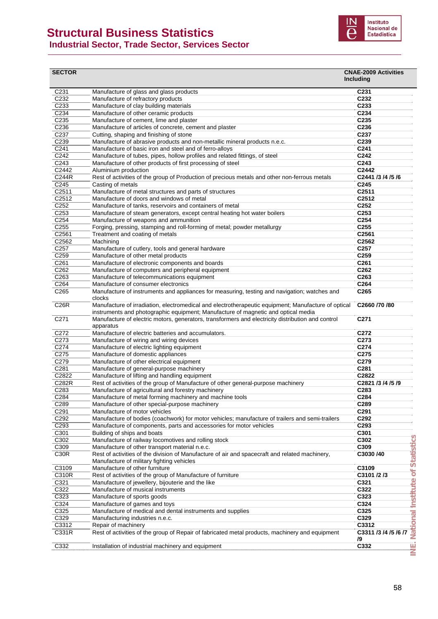### **Structural Business Statistics**





| C231<br>Manufacture of glass and glass products<br>C <sub>231</sub><br>C232<br>Manufacture of refractory products<br>C <sub>232</sub><br>C233<br>Manufacture of clay building materials<br>C <sub>233</sub><br>C <sub>234</sub><br>Manufacture of other ceramic products<br>C234<br>C235<br>Manufacture of cement, lime and plaster<br>C <sub>235</sub><br>C236<br>C236<br>Manufacture of articles of concrete, cement and plaster<br>C237<br>Cutting, shaping and finishing of stone<br>C237<br>C239<br>C239<br>Manufacture of abrasive products and non-metallic mineral products n.e.c.<br>C <sub>241</sub><br>Manufacture of basic iron and steel and of ferro-alloys<br>C241<br>C242<br>Manufacture of tubes, pipes, hollow profiles and related fittings, of steel<br>C242<br>C243<br>C243<br>Manufacture of other products of first processing of steel<br>C2442<br>C2442<br>Aluminium production<br>C244R<br>Rest of activities of the group of Production of precious metals and other non-ferrous metals<br>C2441 /3 /4 /5 /6<br>C245<br>C <sub>245</sub><br>Casting of metals<br>C2511<br>Manufacture of metal structures and parts of structures<br>C <sub>2511</sub><br>C2512<br>C2512<br>Manufacture of doors and windows of metal<br>C <sub>252</sub><br>C252<br>Manufacture of tanks, reservoirs and containers of metal<br>C253<br>Manufacture of steam generators, except central heating hot water boilers<br>C <sub>253</sub><br>C254<br>C254<br>Manufacture of weapons and ammunition<br>C255<br>Forging, pressing, stamping and roll-forming of metal; powder metallurgy<br>C <sub>255</sub><br>C2561<br>C2561<br>Treatment and coating of metals<br>C2562<br>Machining<br>C2562<br>C257<br>Manufacture of cutlery, tools and general hardware<br>C <sub>257</sub><br>C259<br>Manufacture of other metal products<br>C <sub>259</sub><br>C261<br>Manufacture of electronic components and boards<br>C261<br>C262<br>Manufacture of computers and peripheral equipment<br>C <sub>262</sub><br>C263<br>Manufacture of telecommunications equipment<br>C <sub>263</sub><br>C264<br>Manufacture of consumer electronics<br>C264<br>C265<br>Manufacture of instruments and appliances for measuring, testing and navigation; watches and<br>C <sub>265</sub><br>clocks<br>C26R<br>Manufacture of irradiation, electromedical and electrotherapeutic equipment; Manufacture of optical<br>C2660 /70 /80<br>instruments and photographic equipment; Manufacture of magnetic and optical media<br>C271<br>Manufacture of electric motors, generators, transformers and electricity distribution and control<br>C <sub>271</sub><br>apparatus<br>C272<br>Manufacture of electric batteries and accumulators.<br>C272<br>C273<br>Manufacture of wiring and wiring devices<br>C273<br>C274<br>Manufacture of electric lighting equipment<br>C274<br>C275<br>Manufacture of domestic appliances<br>C <sub>275</sub><br>C279<br>Manufacture of other electrical equipment<br>C279<br>C281<br>C281<br>Manufacture of general-purpose machinery<br>C2822<br>Manufacture of lifting and handling equipment<br>C2822<br>C282R<br>Rest of activities of the group of Manufacture of other general-purpose machinery<br>C2821 /3 /4 /5 /9<br>C283<br>Manufacture of agricultural and forestry machinery<br>C283<br>C284<br>Manufacture of metal forming machinery and machine tools<br>C284<br>C289<br>C289<br>Manufacture of other special-purpose machinery<br>C291<br>Manufacture of motor vehicles<br>C291<br>C292<br>Manufacture of bodies (coachwork) for motor vehicles; manufacture of trailers and semi-trailers<br>C292<br>C293<br>Manufacture of components, parts and accessories for motor vehicles<br>C293<br>C301<br>Building of ships and boats<br>C301<br>C302<br>Manufacture of railway locomotives and rolling stock<br>C302<br>C309<br>Manufacture of other transport material n.e.c.<br>C309<br>C30R<br>Rest of activities of the division of Manufacture of air and spacecraft and related machinery,<br>C3030/40<br>Manufacture of military fighting vehicles<br>C3109<br>Manufacture of other furniture<br>C3109<br>C310R<br>Rest of activities of the group of Manufacture of furniture<br>C3101 /2 /3<br>C321<br>Manufacture of jewellery, bijouterie and the like<br>C321<br>C322<br>Manufacture of musical instruments<br>C322<br>C323<br>Manufacture of sports goods<br>C323<br>C324<br>Manufacture of games and toys<br>C324<br>C325<br>C325<br>Manufacture of medical and dental instruments and supplies<br>C329<br>Manufacturing industries n.e.c.<br>C329<br>C3312<br>Repair of machinery<br>C3312<br>C331R<br>Rest of activities of the group of Repair of fabricated metal products, machinery and equipment<br>C3311 /3 /4 /5 /6 /7<br>/9<br>C332<br>C332<br>Installation of industrial machinery and equipment | <b>SECTOR</b> | <b>CNAE-2009 Activities</b><br>Including |
|---------------------------------------------------------------------------------------------------------------------------------------------------------------------------------------------------------------------------------------------------------------------------------------------------------------------------------------------------------------------------------------------------------------------------------------------------------------------------------------------------------------------------------------------------------------------------------------------------------------------------------------------------------------------------------------------------------------------------------------------------------------------------------------------------------------------------------------------------------------------------------------------------------------------------------------------------------------------------------------------------------------------------------------------------------------------------------------------------------------------------------------------------------------------------------------------------------------------------------------------------------------------------------------------------------------------------------------------------------------------------------------------------------------------------------------------------------------------------------------------------------------------------------------------------------------------------------------------------------------------------------------------------------------------------------------------------------------------------------------------------------------------------------------------------------------------------------------------------------------------------------------------------------------------------------------------------------------------------------------------------------------------------------------------------------------------------------------------------------------------------------------------------------------------------------------------------------------------------------------------------------------------------------------------------------------------------------------------------------------------------------------------------------------------------------------------------------------------------------------------------------------------------------------------------------------------------------------------------------------------------------------------------------------------------------------------------------------------------------------------------------------------------------------------------------------------------------------------------------------------------------------------------------------------------------------------------------------------------------------------------------------------------------------------------------------------------------------------------------------------------------------------------------------------------------------------------------------------------------------------------------------------------------------------------------------------------------------------------------------------------------------------------------------------------------------------------------------------------------------------------------------------------------------------------------------------------------------------------------------------------------------------------------------------------------------------------------------------------------------------------------------------------------------------------------------------------------------------------------------------------------------------------------------------------------------------------------------------------------------------------------------------------------------------------------------------------------------------------------------------------------------------------------------------------------------------------------------------------------------------------------------------------------------------------------------------------------------------------------------------------------------------------------------------------------------------------------------------------------------------------------------------------------------------------------------------------------------------------------------------------------------------------------------------------------------------------------------------------------------------------------------------------------------------------------------------------------------------------------|---------------|------------------------------------------|
|                                                                                                                                                                                                                                                                                                                                                                                                                                                                                                                                                                                                                                                                                                                                                                                                                                                                                                                                                                                                                                                                                                                                                                                                                                                                                                                                                                                                                                                                                                                                                                                                                                                                                                                                                                                                                                                                                                                                                                                                                                                                                                                                                                                                                                                                                                                                                                                                                                                                                                                                                                                                                                                                                                                                                                                                                                                                                                                                                                                                                                                                                                                                                                                                                                                                                                                                                                                                                                                                                                                                                                                                                                                                                                                                                                                                                                                                                                                                                                                                                                                                                                                                                                                                                                                                                                                                                                                                                                                                                                                                                                                                                                                                                                                                                                                                                                                         |               |                                          |
|                                                                                                                                                                                                                                                                                                                                                                                                                                                                                                                                                                                                                                                                                                                                                                                                                                                                                                                                                                                                                                                                                                                                                                                                                                                                                                                                                                                                                                                                                                                                                                                                                                                                                                                                                                                                                                                                                                                                                                                                                                                                                                                                                                                                                                                                                                                                                                                                                                                                                                                                                                                                                                                                                                                                                                                                                                                                                                                                                                                                                                                                                                                                                                                                                                                                                                                                                                                                                                                                                                                                                                                                                                                                                                                                                                                                                                                                                                                                                                                                                                                                                                                                                                                                                                                                                                                                                                                                                                                                                                                                                                                                                                                                                                                                                                                                                                                         |               |                                          |
|                                                                                                                                                                                                                                                                                                                                                                                                                                                                                                                                                                                                                                                                                                                                                                                                                                                                                                                                                                                                                                                                                                                                                                                                                                                                                                                                                                                                                                                                                                                                                                                                                                                                                                                                                                                                                                                                                                                                                                                                                                                                                                                                                                                                                                                                                                                                                                                                                                                                                                                                                                                                                                                                                                                                                                                                                                                                                                                                                                                                                                                                                                                                                                                                                                                                                                                                                                                                                                                                                                                                                                                                                                                                                                                                                                                                                                                                                                                                                                                                                                                                                                                                                                                                                                                                                                                                                                                                                                                                                                                                                                                                                                                                                                                                                                                                                                                         |               |                                          |
|                                                                                                                                                                                                                                                                                                                                                                                                                                                                                                                                                                                                                                                                                                                                                                                                                                                                                                                                                                                                                                                                                                                                                                                                                                                                                                                                                                                                                                                                                                                                                                                                                                                                                                                                                                                                                                                                                                                                                                                                                                                                                                                                                                                                                                                                                                                                                                                                                                                                                                                                                                                                                                                                                                                                                                                                                                                                                                                                                                                                                                                                                                                                                                                                                                                                                                                                                                                                                                                                                                                                                                                                                                                                                                                                                                                                                                                                                                                                                                                                                                                                                                                                                                                                                                                                                                                                                                                                                                                                                                                                                                                                                                                                                                                                                                                                                                                         |               |                                          |
|                                                                                                                                                                                                                                                                                                                                                                                                                                                                                                                                                                                                                                                                                                                                                                                                                                                                                                                                                                                                                                                                                                                                                                                                                                                                                                                                                                                                                                                                                                                                                                                                                                                                                                                                                                                                                                                                                                                                                                                                                                                                                                                                                                                                                                                                                                                                                                                                                                                                                                                                                                                                                                                                                                                                                                                                                                                                                                                                                                                                                                                                                                                                                                                                                                                                                                                                                                                                                                                                                                                                                                                                                                                                                                                                                                                                                                                                                                                                                                                                                                                                                                                                                                                                                                                                                                                                                                                                                                                                                                                                                                                                                                                                                                                                                                                                                                                         |               |                                          |
|                                                                                                                                                                                                                                                                                                                                                                                                                                                                                                                                                                                                                                                                                                                                                                                                                                                                                                                                                                                                                                                                                                                                                                                                                                                                                                                                                                                                                                                                                                                                                                                                                                                                                                                                                                                                                                                                                                                                                                                                                                                                                                                                                                                                                                                                                                                                                                                                                                                                                                                                                                                                                                                                                                                                                                                                                                                                                                                                                                                                                                                                                                                                                                                                                                                                                                                                                                                                                                                                                                                                                                                                                                                                                                                                                                                                                                                                                                                                                                                                                                                                                                                                                                                                                                                                                                                                                                                                                                                                                                                                                                                                                                                                                                                                                                                                                                                         |               |                                          |
|                                                                                                                                                                                                                                                                                                                                                                                                                                                                                                                                                                                                                                                                                                                                                                                                                                                                                                                                                                                                                                                                                                                                                                                                                                                                                                                                                                                                                                                                                                                                                                                                                                                                                                                                                                                                                                                                                                                                                                                                                                                                                                                                                                                                                                                                                                                                                                                                                                                                                                                                                                                                                                                                                                                                                                                                                                                                                                                                                                                                                                                                                                                                                                                                                                                                                                                                                                                                                                                                                                                                                                                                                                                                                                                                                                                                                                                                                                                                                                                                                                                                                                                                                                                                                                                                                                                                                                                                                                                                                                                                                                                                                                                                                                                                                                                                                                                         |               |                                          |
|                                                                                                                                                                                                                                                                                                                                                                                                                                                                                                                                                                                                                                                                                                                                                                                                                                                                                                                                                                                                                                                                                                                                                                                                                                                                                                                                                                                                                                                                                                                                                                                                                                                                                                                                                                                                                                                                                                                                                                                                                                                                                                                                                                                                                                                                                                                                                                                                                                                                                                                                                                                                                                                                                                                                                                                                                                                                                                                                                                                                                                                                                                                                                                                                                                                                                                                                                                                                                                                                                                                                                                                                                                                                                                                                                                                                                                                                                                                                                                                                                                                                                                                                                                                                                                                                                                                                                                                                                                                                                                                                                                                                                                                                                                                                                                                                                                                         |               |                                          |
|                                                                                                                                                                                                                                                                                                                                                                                                                                                                                                                                                                                                                                                                                                                                                                                                                                                                                                                                                                                                                                                                                                                                                                                                                                                                                                                                                                                                                                                                                                                                                                                                                                                                                                                                                                                                                                                                                                                                                                                                                                                                                                                                                                                                                                                                                                                                                                                                                                                                                                                                                                                                                                                                                                                                                                                                                                                                                                                                                                                                                                                                                                                                                                                                                                                                                                                                                                                                                                                                                                                                                                                                                                                                                                                                                                                                                                                                                                                                                                                                                                                                                                                                                                                                                                                                                                                                                                                                                                                                                                                                                                                                                                                                                                                                                                                                                                                         |               |                                          |
|                                                                                                                                                                                                                                                                                                                                                                                                                                                                                                                                                                                                                                                                                                                                                                                                                                                                                                                                                                                                                                                                                                                                                                                                                                                                                                                                                                                                                                                                                                                                                                                                                                                                                                                                                                                                                                                                                                                                                                                                                                                                                                                                                                                                                                                                                                                                                                                                                                                                                                                                                                                                                                                                                                                                                                                                                                                                                                                                                                                                                                                                                                                                                                                                                                                                                                                                                                                                                                                                                                                                                                                                                                                                                                                                                                                                                                                                                                                                                                                                                                                                                                                                                                                                                                                                                                                                                                                                                                                                                                                                                                                                                                                                                                                                                                                                                                                         |               |                                          |
|                                                                                                                                                                                                                                                                                                                                                                                                                                                                                                                                                                                                                                                                                                                                                                                                                                                                                                                                                                                                                                                                                                                                                                                                                                                                                                                                                                                                                                                                                                                                                                                                                                                                                                                                                                                                                                                                                                                                                                                                                                                                                                                                                                                                                                                                                                                                                                                                                                                                                                                                                                                                                                                                                                                                                                                                                                                                                                                                                                                                                                                                                                                                                                                                                                                                                                                                                                                                                                                                                                                                                                                                                                                                                                                                                                                                                                                                                                                                                                                                                                                                                                                                                                                                                                                                                                                                                                                                                                                                                                                                                                                                                                                                                                                                                                                                                                                         |               |                                          |
|                                                                                                                                                                                                                                                                                                                                                                                                                                                                                                                                                                                                                                                                                                                                                                                                                                                                                                                                                                                                                                                                                                                                                                                                                                                                                                                                                                                                                                                                                                                                                                                                                                                                                                                                                                                                                                                                                                                                                                                                                                                                                                                                                                                                                                                                                                                                                                                                                                                                                                                                                                                                                                                                                                                                                                                                                                                                                                                                                                                                                                                                                                                                                                                                                                                                                                                                                                                                                                                                                                                                                                                                                                                                                                                                                                                                                                                                                                                                                                                                                                                                                                                                                                                                                                                                                                                                                                                                                                                                                                                                                                                                                                                                                                                                                                                                                                                         |               |                                          |
|                                                                                                                                                                                                                                                                                                                                                                                                                                                                                                                                                                                                                                                                                                                                                                                                                                                                                                                                                                                                                                                                                                                                                                                                                                                                                                                                                                                                                                                                                                                                                                                                                                                                                                                                                                                                                                                                                                                                                                                                                                                                                                                                                                                                                                                                                                                                                                                                                                                                                                                                                                                                                                                                                                                                                                                                                                                                                                                                                                                                                                                                                                                                                                                                                                                                                                                                                                                                                                                                                                                                                                                                                                                                                                                                                                                                                                                                                                                                                                                                                                                                                                                                                                                                                                                                                                                                                                                                                                                                                                                                                                                                                                                                                                                                                                                                                                                         |               |                                          |
|                                                                                                                                                                                                                                                                                                                                                                                                                                                                                                                                                                                                                                                                                                                                                                                                                                                                                                                                                                                                                                                                                                                                                                                                                                                                                                                                                                                                                                                                                                                                                                                                                                                                                                                                                                                                                                                                                                                                                                                                                                                                                                                                                                                                                                                                                                                                                                                                                                                                                                                                                                                                                                                                                                                                                                                                                                                                                                                                                                                                                                                                                                                                                                                                                                                                                                                                                                                                                                                                                                                                                                                                                                                                                                                                                                                                                                                                                                                                                                                                                                                                                                                                                                                                                                                                                                                                                                                                                                                                                                                                                                                                                                                                                                                                                                                                                                                         |               |                                          |
|                                                                                                                                                                                                                                                                                                                                                                                                                                                                                                                                                                                                                                                                                                                                                                                                                                                                                                                                                                                                                                                                                                                                                                                                                                                                                                                                                                                                                                                                                                                                                                                                                                                                                                                                                                                                                                                                                                                                                                                                                                                                                                                                                                                                                                                                                                                                                                                                                                                                                                                                                                                                                                                                                                                                                                                                                                                                                                                                                                                                                                                                                                                                                                                                                                                                                                                                                                                                                                                                                                                                                                                                                                                                                                                                                                                                                                                                                                                                                                                                                                                                                                                                                                                                                                                                                                                                                                                                                                                                                                                                                                                                                                                                                                                                                                                                                                                         |               |                                          |
|                                                                                                                                                                                                                                                                                                                                                                                                                                                                                                                                                                                                                                                                                                                                                                                                                                                                                                                                                                                                                                                                                                                                                                                                                                                                                                                                                                                                                                                                                                                                                                                                                                                                                                                                                                                                                                                                                                                                                                                                                                                                                                                                                                                                                                                                                                                                                                                                                                                                                                                                                                                                                                                                                                                                                                                                                                                                                                                                                                                                                                                                                                                                                                                                                                                                                                                                                                                                                                                                                                                                                                                                                                                                                                                                                                                                                                                                                                                                                                                                                                                                                                                                                                                                                                                                                                                                                                                                                                                                                                                                                                                                                                                                                                                                                                                                                                                         |               |                                          |
|                                                                                                                                                                                                                                                                                                                                                                                                                                                                                                                                                                                                                                                                                                                                                                                                                                                                                                                                                                                                                                                                                                                                                                                                                                                                                                                                                                                                                                                                                                                                                                                                                                                                                                                                                                                                                                                                                                                                                                                                                                                                                                                                                                                                                                                                                                                                                                                                                                                                                                                                                                                                                                                                                                                                                                                                                                                                                                                                                                                                                                                                                                                                                                                                                                                                                                                                                                                                                                                                                                                                                                                                                                                                                                                                                                                                                                                                                                                                                                                                                                                                                                                                                                                                                                                                                                                                                                                                                                                                                                                                                                                                                                                                                                                                                                                                                                                         |               |                                          |
|                                                                                                                                                                                                                                                                                                                                                                                                                                                                                                                                                                                                                                                                                                                                                                                                                                                                                                                                                                                                                                                                                                                                                                                                                                                                                                                                                                                                                                                                                                                                                                                                                                                                                                                                                                                                                                                                                                                                                                                                                                                                                                                                                                                                                                                                                                                                                                                                                                                                                                                                                                                                                                                                                                                                                                                                                                                                                                                                                                                                                                                                                                                                                                                                                                                                                                                                                                                                                                                                                                                                                                                                                                                                                                                                                                                                                                                                                                                                                                                                                                                                                                                                                                                                                                                                                                                                                                                                                                                                                                                                                                                                                                                                                                                                                                                                                                                         |               |                                          |
|                                                                                                                                                                                                                                                                                                                                                                                                                                                                                                                                                                                                                                                                                                                                                                                                                                                                                                                                                                                                                                                                                                                                                                                                                                                                                                                                                                                                                                                                                                                                                                                                                                                                                                                                                                                                                                                                                                                                                                                                                                                                                                                                                                                                                                                                                                                                                                                                                                                                                                                                                                                                                                                                                                                                                                                                                                                                                                                                                                                                                                                                                                                                                                                                                                                                                                                                                                                                                                                                                                                                                                                                                                                                                                                                                                                                                                                                                                                                                                                                                                                                                                                                                                                                                                                                                                                                                                                                                                                                                                                                                                                                                                                                                                                                                                                                                                                         |               |                                          |
|                                                                                                                                                                                                                                                                                                                                                                                                                                                                                                                                                                                                                                                                                                                                                                                                                                                                                                                                                                                                                                                                                                                                                                                                                                                                                                                                                                                                                                                                                                                                                                                                                                                                                                                                                                                                                                                                                                                                                                                                                                                                                                                                                                                                                                                                                                                                                                                                                                                                                                                                                                                                                                                                                                                                                                                                                                                                                                                                                                                                                                                                                                                                                                                                                                                                                                                                                                                                                                                                                                                                                                                                                                                                                                                                                                                                                                                                                                                                                                                                                                                                                                                                                                                                                                                                                                                                                                                                                                                                                                                                                                                                                                                                                                                                                                                                                                                         |               |                                          |
|                                                                                                                                                                                                                                                                                                                                                                                                                                                                                                                                                                                                                                                                                                                                                                                                                                                                                                                                                                                                                                                                                                                                                                                                                                                                                                                                                                                                                                                                                                                                                                                                                                                                                                                                                                                                                                                                                                                                                                                                                                                                                                                                                                                                                                                                                                                                                                                                                                                                                                                                                                                                                                                                                                                                                                                                                                                                                                                                                                                                                                                                                                                                                                                                                                                                                                                                                                                                                                                                                                                                                                                                                                                                                                                                                                                                                                                                                                                                                                                                                                                                                                                                                                                                                                                                                                                                                                                                                                                                                                                                                                                                                                                                                                                                                                                                                                                         |               |                                          |
|                                                                                                                                                                                                                                                                                                                                                                                                                                                                                                                                                                                                                                                                                                                                                                                                                                                                                                                                                                                                                                                                                                                                                                                                                                                                                                                                                                                                                                                                                                                                                                                                                                                                                                                                                                                                                                                                                                                                                                                                                                                                                                                                                                                                                                                                                                                                                                                                                                                                                                                                                                                                                                                                                                                                                                                                                                                                                                                                                                                                                                                                                                                                                                                                                                                                                                                                                                                                                                                                                                                                                                                                                                                                                                                                                                                                                                                                                                                                                                                                                                                                                                                                                                                                                                                                                                                                                                                                                                                                                                                                                                                                                                                                                                                                                                                                                                                         |               |                                          |
|                                                                                                                                                                                                                                                                                                                                                                                                                                                                                                                                                                                                                                                                                                                                                                                                                                                                                                                                                                                                                                                                                                                                                                                                                                                                                                                                                                                                                                                                                                                                                                                                                                                                                                                                                                                                                                                                                                                                                                                                                                                                                                                                                                                                                                                                                                                                                                                                                                                                                                                                                                                                                                                                                                                                                                                                                                                                                                                                                                                                                                                                                                                                                                                                                                                                                                                                                                                                                                                                                                                                                                                                                                                                                                                                                                                                                                                                                                                                                                                                                                                                                                                                                                                                                                                                                                                                                                                                                                                                                                                                                                                                                                                                                                                                                                                                                                                         |               |                                          |
|                                                                                                                                                                                                                                                                                                                                                                                                                                                                                                                                                                                                                                                                                                                                                                                                                                                                                                                                                                                                                                                                                                                                                                                                                                                                                                                                                                                                                                                                                                                                                                                                                                                                                                                                                                                                                                                                                                                                                                                                                                                                                                                                                                                                                                                                                                                                                                                                                                                                                                                                                                                                                                                                                                                                                                                                                                                                                                                                                                                                                                                                                                                                                                                                                                                                                                                                                                                                                                                                                                                                                                                                                                                                                                                                                                                                                                                                                                                                                                                                                                                                                                                                                                                                                                                                                                                                                                                                                                                                                                                                                                                                                                                                                                                                                                                                                                                         |               |                                          |
|                                                                                                                                                                                                                                                                                                                                                                                                                                                                                                                                                                                                                                                                                                                                                                                                                                                                                                                                                                                                                                                                                                                                                                                                                                                                                                                                                                                                                                                                                                                                                                                                                                                                                                                                                                                                                                                                                                                                                                                                                                                                                                                                                                                                                                                                                                                                                                                                                                                                                                                                                                                                                                                                                                                                                                                                                                                                                                                                                                                                                                                                                                                                                                                                                                                                                                                                                                                                                                                                                                                                                                                                                                                                                                                                                                                                                                                                                                                                                                                                                                                                                                                                                                                                                                                                                                                                                                                                                                                                                                                                                                                                                                                                                                                                                                                                                                                         |               |                                          |
|                                                                                                                                                                                                                                                                                                                                                                                                                                                                                                                                                                                                                                                                                                                                                                                                                                                                                                                                                                                                                                                                                                                                                                                                                                                                                                                                                                                                                                                                                                                                                                                                                                                                                                                                                                                                                                                                                                                                                                                                                                                                                                                                                                                                                                                                                                                                                                                                                                                                                                                                                                                                                                                                                                                                                                                                                                                                                                                                                                                                                                                                                                                                                                                                                                                                                                                                                                                                                                                                                                                                                                                                                                                                                                                                                                                                                                                                                                                                                                                                                                                                                                                                                                                                                                                                                                                                                                                                                                                                                                                                                                                                                                                                                                                                                                                                                                                         |               |                                          |
|                                                                                                                                                                                                                                                                                                                                                                                                                                                                                                                                                                                                                                                                                                                                                                                                                                                                                                                                                                                                                                                                                                                                                                                                                                                                                                                                                                                                                                                                                                                                                                                                                                                                                                                                                                                                                                                                                                                                                                                                                                                                                                                                                                                                                                                                                                                                                                                                                                                                                                                                                                                                                                                                                                                                                                                                                                                                                                                                                                                                                                                                                                                                                                                                                                                                                                                                                                                                                                                                                                                                                                                                                                                                                                                                                                                                                                                                                                                                                                                                                                                                                                                                                                                                                                                                                                                                                                                                                                                                                                                                                                                                                                                                                                                                                                                                                                                         |               |                                          |
|                                                                                                                                                                                                                                                                                                                                                                                                                                                                                                                                                                                                                                                                                                                                                                                                                                                                                                                                                                                                                                                                                                                                                                                                                                                                                                                                                                                                                                                                                                                                                                                                                                                                                                                                                                                                                                                                                                                                                                                                                                                                                                                                                                                                                                                                                                                                                                                                                                                                                                                                                                                                                                                                                                                                                                                                                                                                                                                                                                                                                                                                                                                                                                                                                                                                                                                                                                                                                                                                                                                                                                                                                                                                                                                                                                                                                                                                                                                                                                                                                                                                                                                                                                                                                                                                                                                                                                                                                                                                                                                                                                                                                                                                                                                                                                                                                                                         |               |                                          |
|                                                                                                                                                                                                                                                                                                                                                                                                                                                                                                                                                                                                                                                                                                                                                                                                                                                                                                                                                                                                                                                                                                                                                                                                                                                                                                                                                                                                                                                                                                                                                                                                                                                                                                                                                                                                                                                                                                                                                                                                                                                                                                                                                                                                                                                                                                                                                                                                                                                                                                                                                                                                                                                                                                                                                                                                                                                                                                                                                                                                                                                                                                                                                                                                                                                                                                                                                                                                                                                                                                                                                                                                                                                                                                                                                                                                                                                                                                                                                                                                                                                                                                                                                                                                                                                                                                                                                                                                                                                                                                                                                                                                                                                                                                                                                                                                                                                         |               |                                          |
|                                                                                                                                                                                                                                                                                                                                                                                                                                                                                                                                                                                                                                                                                                                                                                                                                                                                                                                                                                                                                                                                                                                                                                                                                                                                                                                                                                                                                                                                                                                                                                                                                                                                                                                                                                                                                                                                                                                                                                                                                                                                                                                                                                                                                                                                                                                                                                                                                                                                                                                                                                                                                                                                                                                                                                                                                                                                                                                                                                                                                                                                                                                                                                                                                                                                                                                                                                                                                                                                                                                                                                                                                                                                                                                                                                                                                                                                                                                                                                                                                                                                                                                                                                                                                                                                                                                                                                                                                                                                                                                                                                                                                                                                                                                                                                                                                                                         |               |                                          |
|                                                                                                                                                                                                                                                                                                                                                                                                                                                                                                                                                                                                                                                                                                                                                                                                                                                                                                                                                                                                                                                                                                                                                                                                                                                                                                                                                                                                                                                                                                                                                                                                                                                                                                                                                                                                                                                                                                                                                                                                                                                                                                                                                                                                                                                                                                                                                                                                                                                                                                                                                                                                                                                                                                                                                                                                                                                                                                                                                                                                                                                                                                                                                                                                                                                                                                                                                                                                                                                                                                                                                                                                                                                                                                                                                                                                                                                                                                                                                                                                                                                                                                                                                                                                                                                                                                                                                                                                                                                                                                                                                                                                                                                                                                                                                                                                                                                         |               |                                          |
|                                                                                                                                                                                                                                                                                                                                                                                                                                                                                                                                                                                                                                                                                                                                                                                                                                                                                                                                                                                                                                                                                                                                                                                                                                                                                                                                                                                                                                                                                                                                                                                                                                                                                                                                                                                                                                                                                                                                                                                                                                                                                                                                                                                                                                                                                                                                                                                                                                                                                                                                                                                                                                                                                                                                                                                                                                                                                                                                                                                                                                                                                                                                                                                                                                                                                                                                                                                                                                                                                                                                                                                                                                                                                                                                                                                                                                                                                                                                                                                                                                                                                                                                                                                                                                                                                                                                                                                                                                                                                                                                                                                                                                                                                                                                                                                                                                                         |               |                                          |
|                                                                                                                                                                                                                                                                                                                                                                                                                                                                                                                                                                                                                                                                                                                                                                                                                                                                                                                                                                                                                                                                                                                                                                                                                                                                                                                                                                                                                                                                                                                                                                                                                                                                                                                                                                                                                                                                                                                                                                                                                                                                                                                                                                                                                                                                                                                                                                                                                                                                                                                                                                                                                                                                                                                                                                                                                                                                                                                                                                                                                                                                                                                                                                                                                                                                                                                                                                                                                                                                                                                                                                                                                                                                                                                                                                                                                                                                                                                                                                                                                                                                                                                                                                                                                                                                                                                                                                                                                                                                                                                                                                                                                                                                                                                                                                                                                                                         |               |                                          |
|                                                                                                                                                                                                                                                                                                                                                                                                                                                                                                                                                                                                                                                                                                                                                                                                                                                                                                                                                                                                                                                                                                                                                                                                                                                                                                                                                                                                                                                                                                                                                                                                                                                                                                                                                                                                                                                                                                                                                                                                                                                                                                                                                                                                                                                                                                                                                                                                                                                                                                                                                                                                                                                                                                                                                                                                                                                                                                                                                                                                                                                                                                                                                                                                                                                                                                                                                                                                                                                                                                                                                                                                                                                                                                                                                                                                                                                                                                                                                                                                                                                                                                                                                                                                                                                                                                                                                                                                                                                                                                                                                                                                                                                                                                                                                                                                                                                         |               |                                          |
|                                                                                                                                                                                                                                                                                                                                                                                                                                                                                                                                                                                                                                                                                                                                                                                                                                                                                                                                                                                                                                                                                                                                                                                                                                                                                                                                                                                                                                                                                                                                                                                                                                                                                                                                                                                                                                                                                                                                                                                                                                                                                                                                                                                                                                                                                                                                                                                                                                                                                                                                                                                                                                                                                                                                                                                                                                                                                                                                                                                                                                                                                                                                                                                                                                                                                                                                                                                                                                                                                                                                                                                                                                                                                                                                                                                                                                                                                                                                                                                                                                                                                                                                                                                                                                                                                                                                                                                                                                                                                                                                                                                                                                                                                                                                                                                                                                                         |               |                                          |
|                                                                                                                                                                                                                                                                                                                                                                                                                                                                                                                                                                                                                                                                                                                                                                                                                                                                                                                                                                                                                                                                                                                                                                                                                                                                                                                                                                                                                                                                                                                                                                                                                                                                                                                                                                                                                                                                                                                                                                                                                                                                                                                                                                                                                                                                                                                                                                                                                                                                                                                                                                                                                                                                                                                                                                                                                                                                                                                                                                                                                                                                                                                                                                                                                                                                                                                                                                                                                                                                                                                                                                                                                                                                                                                                                                                                                                                                                                                                                                                                                                                                                                                                                                                                                                                                                                                                                                                                                                                                                                                                                                                                                                                                                                                                                                                                                                                         |               |                                          |
|                                                                                                                                                                                                                                                                                                                                                                                                                                                                                                                                                                                                                                                                                                                                                                                                                                                                                                                                                                                                                                                                                                                                                                                                                                                                                                                                                                                                                                                                                                                                                                                                                                                                                                                                                                                                                                                                                                                                                                                                                                                                                                                                                                                                                                                                                                                                                                                                                                                                                                                                                                                                                                                                                                                                                                                                                                                                                                                                                                                                                                                                                                                                                                                                                                                                                                                                                                                                                                                                                                                                                                                                                                                                                                                                                                                                                                                                                                                                                                                                                                                                                                                                                                                                                                                                                                                                                                                                                                                                                                                                                                                                                                                                                                                                                                                                                                                         |               |                                          |
|                                                                                                                                                                                                                                                                                                                                                                                                                                                                                                                                                                                                                                                                                                                                                                                                                                                                                                                                                                                                                                                                                                                                                                                                                                                                                                                                                                                                                                                                                                                                                                                                                                                                                                                                                                                                                                                                                                                                                                                                                                                                                                                                                                                                                                                                                                                                                                                                                                                                                                                                                                                                                                                                                                                                                                                                                                                                                                                                                                                                                                                                                                                                                                                                                                                                                                                                                                                                                                                                                                                                                                                                                                                                                                                                                                                                                                                                                                                                                                                                                                                                                                                                                                                                                                                                                                                                                                                                                                                                                                                                                                                                                                                                                                                                                                                                                                                         |               |                                          |
|                                                                                                                                                                                                                                                                                                                                                                                                                                                                                                                                                                                                                                                                                                                                                                                                                                                                                                                                                                                                                                                                                                                                                                                                                                                                                                                                                                                                                                                                                                                                                                                                                                                                                                                                                                                                                                                                                                                                                                                                                                                                                                                                                                                                                                                                                                                                                                                                                                                                                                                                                                                                                                                                                                                                                                                                                                                                                                                                                                                                                                                                                                                                                                                                                                                                                                                                                                                                                                                                                                                                                                                                                                                                                                                                                                                                                                                                                                                                                                                                                                                                                                                                                                                                                                                                                                                                                                                                                                                                                                                                                                                                                                                                                                                                                                                                                                                         |               |                                          |
|                                                                                                                                                                                                                                                                                                                                                                                                                                                                                                                                                                                                                                                                                                                                                                                                                                                                                                                                                                                                                                                                                                                                                                                                                                                                                                                                                                                                                                                                                                                                                                                                                                                                                                                                                                                                                                                                                                                                                                                                                                                                                                                                                                                                                                                                                                                                                                                                                                                                                                                                                                                                                                                                                                                                                                                                                                                                                                                                                                                                                                                                                                                                                                                                                                                                                                                                                                                                                                                                                                                                                                                                                                                                                                                                                                                                                                                                                                                                                                                                                                                                                                                                                                                                                                                                                                                                                                                                                                                                                                                                                                                                                                                                                                                                                                                                                                                         |               |                                          |
|                                                                                                                                                                                                                                                                                                                                                                                                                                                                                                                                                                                                                                                                                                                                                                                                                                                                                                                                                                                                                                                                                                                                                                                                                                                                                                                                                                                                                                                                                                                                                                                                                                                                                                                                                                                                                                                                                                                                                                                                                                                                                                                                                                                                                                                                                                                                                                                                                                                                                                                                                                                                                                                                                                                                                                                                                                                                                                                                                                                                                                                                                                                                                                                                                                                                                                                                                                                                                                                                                                                                                                                                                                                                                                                                                                                                                                                                                                                                                                                                                                                                                                                                                                                                                                                                                                                                                                                                                                                                                                                                                                                                                                                                                                                                                                                                                                                         |               |                                          |
|                                                                                                                                                                                                                                                                                                                                                                                                                                                                                                                                                                                                                                                                                                                                                                                                                                                                                                                                                                                                                                                                                                                                                                                                                                                                                                                                                                                                                                                                                                                                                                                                                                                                                                                                                                                                                                                                                                                                                                                                                                                                                                                                                                                                                                                                                                                                                                                                                                                                                                                                                                                                                                                                                                                                                                                                                                                                                                                                                                                                                                                                                                                                                                                                                                                                                                                                                                                                                                                                                                                                                                                                                                                                                                                                                                                                                                                                                                                                                                                                                                                                                                                                                                                                                                                                                                                                                                                                                                                                                                                                                                                                                                                                                                                                                                                                                                                         |               |                                          |
|                                                                                                                                                                                                                                                                                                                                                                                                                                                                                                                                                                                                                                                                                                                                                                                                                                                                                                                                                                                                                                                                                                                                                                                                                                                                                                                                                                                                                                                                                                                                                                                                                                                                                                                                                                                                                                                                                                                                                                                                                                                                                                                                                                                                                                                                                                                                                                                                                                                                                                                                                                                                                                                                                                                                                                                                                                                                                                                                                                                                                                                                                                                                                                                                                                                                                                                                                                                                                                                                                                                                                                                                                                                                                                                                                                                                                                                                                                                                                                                                                                                                                                                                                                                                                                                                                                                                                                                                                                                                                                                                                                                                                                                                                                                                                                                                                                                         |               |                                          |
|                                                                                                                                                                                                                                                                                                                                                                                                                                                                                                                                                                                                                                                                                                                                                                                                                                                                                                                                                                                                                                                                                                                                                                                                                                                                                                                                                                                                                                                                                                                                                                                                                                                                                                                                                                                                                                                                                                                                                                                                                                                                                                                                                                                                                                                                                                                                                                                                                                                                                                                                                                                                                                                                                                                                                                                                                                                                                                                                                                                                                                                                                                                                                                                                                                                                                                                                                                                                                                                                                                                                                                                                                                                                                                                                                                                                                                                                                                                                                                                                                                                                                                                                                                                                                                                                                                                                                                                                                                                                                                                                                                                                                                                                                                                                                                                                                                                         |               |                                          |
|                                                                                                                                                                                                                                                                                                                                                                                                                                                                                                                                                                                                                                                                                                                                                                                                                                                                                                                                                                                                                                                                                                                                                                                                                                                                                                                                                                                                                                                                                                                                                                                                                                                                                                                                                                                                                                                                                                                                                                                                                                                                                                                                                                                                                                                                                                                                                                                                                                                                                                                                                                                                                                                                                                                                                                                                                                                                                                                                                                                                                                                                                                                                                                                                                                                                                                                                                                                                                                                                                                                                                                                                                                                                                                                                                                                                                                                                                                                                                                                                                                                                                                                                                                                                                                                                                                                                                                                                                                                                                                                                                                                                                                                                                                                                                                                                                                                         |               |                                          |
|                                                                                                                                                                                                                                                                                                                                                                                                                                                                                                                                                                                                                                                                                                                                                                                                                                                                                                                                                                                                                                                                                                                                                                                                                                                                                                                                                                                                                                                                                                                                                                                                                                                                                                                                                                                                                                                                                                                                                                                                                                                                                                                                                                                                                                                                                                                                                                                                                                                                                                                                                                                                                                                                                                                                                                                                                                                                                                                                                                                                                                                                                                                                                                                                                                                                                                                                                                                                                                                                                                                                                                                                                                                                                                                                                                                                                                                                                                                                                                                                                                                                                                                                                                                                                                                                                                                                                                                                                                                                                                                                                                                                                                                                                                                                                                                                                                                         |               |                                          |
|                                                                                                                                                                                                                                                                                                                                                                                                                                                                                                                                                                                                                                                                                                                                                                                                                                                                                                                                                                                                                                                                                                                                                                                                                                                                                                                                                                                                                                                                                                                                                                                                                                                                                                                                                                                                                                                                                                                                                                                                                                                                                                                                                                                                                                                                                                                                                                                                                                                                                                                                                                                                                                                                                                                                                                                                                                                                                                                                                                                                                                                                                                                                                                                                                                                                                                                                                                                                                                                                                                                                                                                                                                                                                                                                                                                                                                                                                                                                                                                                                                                                                                                                                                                                                                                                                                                                                                                                                                                                                                                                                                                                                                                                                                                                                                                                                                                         |               |                                          |
|                                                                                                                                                                                                                                                                                                                                                                                                                                                                                                                                                                                                                                                                                                                                                                                                                                                                                                                                                                                                                                                                                                                                                                                                                                                                                                                                                                                                                                                                                                                                                                                                                                                                                                                                                                                                                                                                                                                                                                                                                                                                                                                                                                                                                                                                                                                                                                                                                                                                                                                                                                                                                                                                                                                                                                                                                                                                                                                                                                                                                                                                                                                                                                                                                                                                                                                                                                                                                                                                                                                                                                                                                                                                                                                                                                                                                                                                                                                                                                                                                                                                                                                                                                                                                                                                                                                                                                                                                                                                                                                                                                                                                                                                                                                                                                                                                                                         |               | <b>Statistics</b>                        |
|                                                                                                                                                                                                                                                                                                                                                                                                                                                                                                                                                                                                                                                                                                                                                                                                                                                                                                                                                                                                                                                                                                                                                                                                                                                                                                                                                                                                                                                                                                                                                                                                                                                                                                                                                                                                                                                                                                                                                                                                                                                                                                                                                                                                                                                                                                                                                                                                                                                                                                                                                                                                                                                                                                                                                                                                                                                                                                                                                                                                                                                                                                                                                                                                                                                                                                                                                                                                                                                                                                                                                                                                                                                                                                                                                                                                                                                                                                                                                                                                                                                                                                                                                                                                                                                                                                                                                                                                                                                                                                                                                                                                                                                                                                                                                                                                                                                         |               | ð                                        |
|                                                                                                                                                                                                                                                                                                                                                                                                                                                                                                                                                                                                                                                                                                                                                                                                                                                                                                                                                                                                                                                                                                                                                                                                                                                                                                                                                                                                                                                                                                                                                                                                                                                                                                                                                                                                                                                                                                                                                                                                                                                                                                                                                                                                                                                                                                                                                                                                                                                                                                                                                                                                                                                                                                                                                                                                                                                                                                                                                                                                                                                                                                                                                                                                                                                                                                                                                                                                                                                                                                                                                                                                                                                                                                                                                                                                                                                                                                                                                                                                                                                                                                                                                                                                                                                                                                                                                                                                                                                                                                                                                                                                                                                                                                                                                                                                                                                         |               |                                          |
|                                                                                                                                                                                                                                                                                                                                                                                                                                                                                                                                                                                                                                                                                                                                                                                                                                                                                                                                                                                                                                                                                                                                                                                                                                                                                                                                                                                                                                                                                                                                                                                                                                                                                                                                                                                                                                                                                                                                                                                                                                                                                                                                                                                                                                                                                                                                                                                                                                                                                                                                                                                                                                                                                                                                                                                                                                                                                                                                                                                                                                                                                                                                                                                                                                                                                                                                                                                                                                                                                                                                                                                                                                                                                                                                                                                                                                                                                                                                                                                                                                                                                                                                                                                                                                                                                                                                                                                                                                                                                                                                                                                                                                                                                                                                                                                                                                                         |               |                                          |
|                                                                                                                                                                                                                                                                                                                                                                                                                                                                                                                                                                                                                                                                                                                                                                                                                                                                                                                                                                                                                                                                                                                                                                                                                                                                                                                                                                                                                                                                                                                                                                                                                                                                                                                                                                                                                                                                                                                                                                                                                                                                                                                                                                                                                                                                                                                                                                                                                                                                                                                                                                                                                                                                                                                                                                                                                                                                                                                                                                                                                                                                                                                                                                                                                                                                                                                                                                                                                                                                                                                                                                                                                                                                                                                                                                                                                                                                                                                                                                                                                                                                                                                                                                                                                                                                                                                                                                                                                                                                                                                                                                                                                                                                                                                                                                                                                                                         |               |                                          |
|                                                                                                                                                                                                                                                                                                                                                                                                                                                                                                                                                                                                                                                                                                                                                                                                                                                                                                                                                                                                                                                                                                                                                                                                                                                                                                                                                                                                                                                                                                                                                                                                                                                                                                                                                                                                                                                                                                                                                                                                                                                                                                                                                                                                                                                                                                                                                                                                                                                                                                                                                                                                                                                                                                                                                                                                                                                                                                                                                                                                                                                                                                                                                                                                                                                                                                                                                                                                                                                                                                                                                                                                                                                                                                                                                                                                                                                                                                                                                                                                                                                                                                                                                                                                                                                                                                                                                                                                                                                                                                                                                                                                                                                                                                                                                                                                                                                         |               |                                          |
|                                                                                                                                                                                                                                                                                                                                                                                                                                                                                                                                                                                                                                                                                                                                                                                                                                                                                                                                                                                                                                                                                                                                                                                                                                                                                                                                                                                                                                                                                                                                                                                                                                                                                                                                                                                                                                                                                                                                                                                                                                                                                                                                                                                                                                                                                                                                                                                                                                                                                                                                                                                                                                                                                                                                                                                                                                                                                                                                                                                                                                                                                                                                                                                                                                                                                                                                                                                                                                                                                                                                                                                                                                                                                                                                                                                                                                                                                                                                                                                                                                                                                                                                                                                                                                                                                                                                                                                                                                                                                                                                                                                                                                                                                                                                                                                                                                                         |               |                                          |
|                                                                                                                                                                                                                                                                                                                                                                                                                                                                                                                                                                                                                                                                                                                                                                                                                                                                                                                                                                                                                                                                                                                                                                                                                                                                                                                                                                                                                                                                                                                                                                                                                                                                                                                                                                                                                                                                                                                                                                                                                                                                                                                                                                                                                                                                                                                                                                                                                                                                                                                                                                                                                                                                                                                                                                                                                                                                                                                                                                                                                                                                                                                                                                                                                                                                                                                                                                                                                                                                                                                                                                                                                                                                                                                                                                                                                                                                                                                                                                                                                                                                                                                                                                                                                                                                                                                                                                                                                                                                                                                                                                                                                                                                                                                                                                                                                                                         |               |                                          |
|                                                                                                                                                                                                                                                                                                                                                                                                                                                                                                                                                                                                                                                                                                                                                                                                                                                                                                                                                                                                                                                                                                                                                                                                                                                                                                                                                                                                                                                                                                                                                                                                                                                                                                                                                                                                                                                                                                                                                                                                                                                                                                                                                                                                                                                                                                                                                                                                                                                                                                                                                                                                                                                                                                                                                                                                                                                                                                                                                                                                                                                                                                                                                                                                                                                                                                                                                                                                                                                                                                                                                                                                                                                                                                                                                                                                                                                                                                                                                                                                                                                                                                                                                                                                                                                                                                                                                                                                                                                                                                                                                                                                                                                                                                                                                                                                                                                         |               |                                          |
|                                                                                                                                                                                                                                                                                                                                                                                                                                                                                                                                                                                                                                                                                                                                                                                                                                                                                                                                                                                                                                                                                                                                                                                                                                                                                                                                                                                                                                                                                                                                                                                                                                                                                                                                                                                                                                                                                                                                                                                                                                                                                                                                                                                                                                                                                                                                                                                                                                                                                                                                                                                                                                                                                                                                                                                                                                                                                                                                                                                                                                                                                                                                                                                                                                                                                                                                                                                                                                                                                                                                                                                                                                                                                                                                                                                                                                                                                                                                                                                                                                                                                                                                                                                                                                                                                                                                                                                                                                                                                                                                                                                                                                                                                                                                                                                                                                                         |               | National Institute                       |
|                                                                                                                                                                                                                                                                                                                                                                                                                                                                                                                                                                                                                                                                                                                                                                                                                                                                                                                                                                                                                                                                                                                                                                                                                                                                                                                                                                                                                                                                                                                                                                                                                                                                                                                                                                                                                                                                                                                                                                                                                                                                                                                                                                                                                                                                                                                                                                                                                                                                                                                                                                                                                                                                                                                                                                                                                                                                                                                                                                                                                                                                                                                                                                                                                                                                                                                                                                                                                                                                                                                                                                                                                                                                                                                                                                                                                                                                                                                                                                                                                                                                                                                                                                                                                                                                                                                                                                                                                                                                                                                                                                                                                                                                                                                                                                                                                                                         |               | ₽                                        |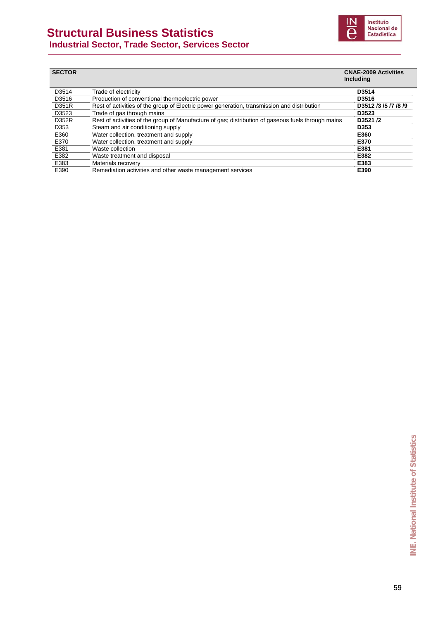### **Structural Business Statistics**



 **Industrial Sector, Trade Sector, Services Sector** 

| <b>SECTOR</b> |                                                                                                    | <b>CNAE-2009 Activities</b><br>Including |
|---------------|----------------------------------------------------------------------------------------------------|------------------------------------------|
| D3514         | Trade of electricity                                                                               | D3514                                    |
| D3516         | Production of conventional thermoelectric power                                                    | D3516                                    |
| <b>D351R</b>  | Rest of activities of the group of Electric power generation, transmission and distribution        | D3512 /3 /5 /7 /8 /9                     |
| D3523         | Trade of gas through mains                                                                         | D3523                                    |
| D352R         | Rest of activities of the group of Manufacture of gas; distribution of gaseous fuels through mains | D3521/2                                  |
| D353          | Steam and air conditioning supply                                                                  | D353                                     |
| E360          | Water collection, treatment and supply                                                             | E360                                     |
| E370          | Water collection, treatment and supply                                                             | E370                                     |
| E381          | Waste collection                                                                                   | E381                                     |
| E382          | Waste treatment and disposal                                                                       | E382                                     |
| E383          | Materials recovery                                                                                 | E383                                     |
| E390          | Remediation activities and other waste management services                                         | E390                                     |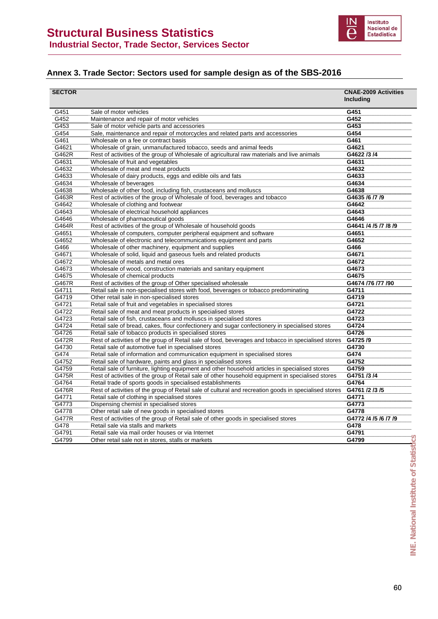

### **Annex 3. Trade Sector: Sectors used for sample design as of the SBS-2016**

| <b>SECTOR</b> |                                                                                                       | <b>CNAE-2009 Activities</b><br>Including |
|---------------|-------------------------------------------------------------------------------------------------------|------------------------------------------|
|               |                                                                                                       |                                          |
| G451          | Sale of motor vehicles                                                                                | G451                                     |
| G452          | Maintenance and repair of motor vehicles                                                              | G452                                     |
| G453          | Sale of motor vehicle parts and accessories                                                           | G453                                     |
| G454          | Sale, maintenance and repair of motorcycles and related parts and accessories                         | G454                                     |
| G461          | Wholesale on a fee or contract basis                                                                  | G461                                     |
| G4621         | Wholesale of grain, unmanufactured tobacco, seeds and animal feeds                                    | G4621                                    |
| G462R         | Rest of activities of the group of Wholesale of agricultural raw materials and live animals           | G4622 /3 /4                              |
| G4631         | Wholesale of fruit and vegetables                                                                     | G4631                                    |
| G4632         | Wholesale of meat and meat products                                                                   | G4632                                    |
| G4633         | Wholesale of dairy products, eggs and edible oils and fats                                            | G4633                                    |
| G4634         | Wholesale of beverages                                                                                | G4634                                    |
| G4638         | Wholesale of other food, including fish, crustaceans and molluscs                                     | G4638                                    |
| G463R         | Rest of activities of the group of Wholesale of food, beverages and tobacco                           | G4635 /6 /7 /9                           |
| G4642         | Wholesale of clothing and footwear                                                                    | G4642                                    |
| G4643         | Wholesale of electrical household appliances                                                          | G4643                                    |
| G4646         | Wholesale of pharmaceutical goods                                                                     | G4646                                    |
| G464R         | Rest of activities of the group of Wholesale of household goods                                       | G4641 /4 /5 /7 /8 /9                     |
| G4651         | Wholesale of computers, computer peripheral equipment and software                                    | G4651                                    |
| G4652         | Wholesale of electronic and telecommunications equipment and parts                                    | G4652                                    |
| G466          | Wholesale of other machinery, equipment and supplies                                                  | G466                                     |
| G4671         | Wholesale of solid, liquid and gaseous fuels and related products                                     | G4671                                    |
| G4672         | Wholesale of metals and metal ores                                                                    | G4672                                    |
| G4673         | Wholesale of wood, construction materials and sanitary equipment                                      | G4673                                    |
| G4675         | Wholesale of chemical products                                                                        | G4675                                    |
| G467R         | Rest of activities of the group of Other specialised wholesale                                        | G4674 /76 /77 /90                        |
| G4711         | Retail sale in non-specialised stores with food, beverages or tobacco predominating                   | G4711                                    |
| G4719         | Other retail sale in non-specialised stores                                                           | G4719                                    |
| G4721         | Retail sale of fruit and vegetables in specialised stores                                             | G4721                                    |
| G4722         | Retail sale of meat and meat products in specialised stores                                           | G4722                                    |
| G4723         | Retail sale of fish, crustaceans and molluscs in specialised stores                                   | G4723                                    |
| G4724         | Retail sale of bread, cakes, flour confectionery and sugar confectionery in specialised stores        | G4724                                    |
| G4726         | Retail sale of tobacco products in specialised stores                                                 | G4726                                    |
| G472R         | Rest of activities of the group of Retail sale of food, beverages and tobacco in specialised stores   | G4725/9                                  |
| G4730         | Retail sale of automotive fuel in specialised stores                                                  | G4730                                    |
| G474          | Retail sale of information and communication equipment in specialised stores                          | G474                                     |
| G4752         | Retail sale of hardware, paints and glass in specialised stores                                       | G4752                                    |
| G4759         | Retail sale of furniture, lighting equipment and other household articles in specialised stores       | G4759                                    |
| G475R         | Rest of activities of the group of Retail sale of other household equipment in specialised stores     | G4751 /3 /4                              |
| G4764         | Retail trade of sports goods in specialised establishments                                            | G4764                                    |
| G476R         | Rest of activities of the group of Retail sale of cultural and recreation goods in specialised stores | G4761 /2 /3 /5                           |
| G4771         | Retail sale of clothing in specialised stores                                                         | G4771                                    |
| G4773         | Dispensing chemist in specialised stores                                                              | G4773                                    |
| G4778         | Other retail sale of new goods in specialised stores                                                  | G4778                                    |
| <b>G477R</b>  | Rest of activities of the group of Retail sale of other goods in specialised stores                   | G4772 /4 /5 /6 /7 /9                     |
| G478          | Retail sale via stalls and markets                                                                    | G478                                     |
| G4791         | Retail sale via mail order houses or via Internet                                                     | G4791                                    |
| G4799         | Other retail sale not in stores, stalls or markets                                                    | G4799                                    |
|               |                                                                                                       |                                          |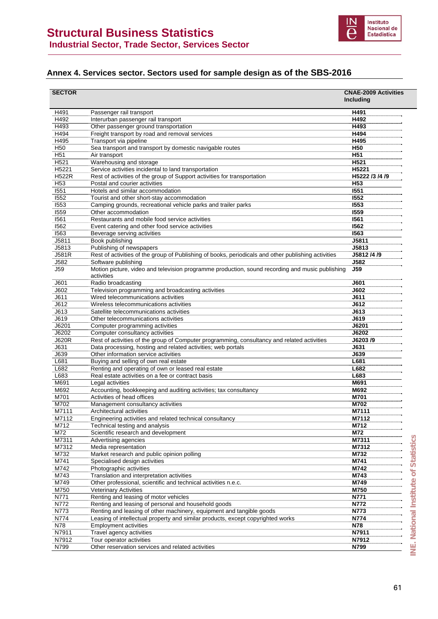

### **Annex 4. Services sector. Sectors used for sample design as of the SBS-2016**

| <b>SECTOR</b>    |                                                                                                               | <b>CNAE-2009 Activities</b><br>Including |
|------------------|---------------------------------------------------------------------------------------------------------------|------------------------------------------|
| H491             | Passenger rail transport                                                                                      | H491                                     |
| H492             | Interurban passenger rail transport                                                                           | H492                                     |
| H493             | Other passenger ground transportation                                                                         | H493                                     |
| H494             | Freight transport by road and removal services                                                                | H494                                     |
| H495             | Transport via pipeline                                                                                        | H495                                     |
| H <sub>50</sub>  | Sea transport and transport by domestic navigable routes                                                      | H <sub>50</sub>                          |
| H <sub>51</sub>  | Air transport                                                                                                 | H <sub>51</sub>                          |
| H <sub>521</sub> | Warehousing and storage                                                                                       | H521                                     |
| H5221            | Service activities incidental to land transportation                                                          | H5221                                    |
| <b>H522R</b>     | Rest of activities of the group of Support activities for transportation                                      | H5222 /3 /4 /9                           |
| H <sub>53</sub>  | Postal and courier activities                                                                                 | H <sub>53</sub>                          |
| 1551             | Hotels and similar accommodation                                                                              | 1551                                     |
| 1552             | Tourist and other short-stay accommodation                                                                    | 1552                                     |
| 1553             | Camping grounds, recreational vehicle parks and trailer parks                                                 | 1553                                     |
| 1559             | Other accommodation                                                                                           | <b>1559</b>                              |
| 1561             | Restaurants and mobile food service activities                                                                | 1561                                     |
| 1562             | Event catering and other food service activities                                                              | 1562                                     |
| 1563             | Beverage serving activities                                                                                   | <b>1563</b>                              |
| J5811            | Book publishing                                                                                               | J5811                                    |
| J5813            | Publishing of newspapers                                                                                      | J5813                                    |
| J581R            | Rest of activities of the group of Publishing of books, periodicals and other publishing activities           | J5812 /4 /9                              |
| J582             | Software publishing                                                                                           | J582                                     |
| <b>J59</b>       | Motion picture, video and television programme production, sound recording and music publishing<br>activities | <b>J59</b>                               |
| J601             | Radio broadcasting                                                                                            | <b>J601</b>                              |
| J602             | Television programming and broadcasting activities                                                            | <b>J602</b>                              |
| J611             | Wired telecommunications activities                                                                           | <b>J611</b>                              |
| J612             | Wireless telecommunications activities                                                                        | J612                                     |
| J613             | Satellite telecommunications activities                                                                       | <b>J613</b>                              |
| J619             | Other telecommunications activities                                                                           | J619                                     |
| J6201            | Computer programming activities                                                                               | J6201                                    |
| J6202            | Computer consultancy activities                                                                               | J6202                                    |
| <b>J620R</b>     | Rest of activities of the group of Computer programming, consultancy and related activities                   | J6203/9                                  |
| J631             | Data processing, hosting and related activities; web portals                                                  | J631                                     |
| J639             | Other information service activities                                                                          | <b>J639</b>                              |
| L681             | Buying and selling of own real estate                                                                         | L681                                     |
| L682             | Renting and operating of own or leased real estate                                                            | L682                                     |
| L683             | Real estate activities on a fee or contract basis                                                             | L683                                     |
| M691             | Legal activities                                                                                              | M691                                     |
| M692             | Accounting, bookkeeping and auditing activities; tax consultancy                                              | M692                                     |
| M701             | Activities of head offices                                                                                    | M701                                     |
| M702             | Management consultancy activities                                                                             | M702                                     |
| M7111            | Architectural activities                                                                                      | M7111                                    |
| M7112            | Engineering activities and related technical consultancy                                                      | M7112                                    |
| M712             | Technical testing and analysis                                                                                | M712                                     |
| M72              | Scientific research and development                                                                           | M72                                      |
| M7311            | Advertising agencies                                                                                          | <b>Statistics</b><br>M7311               |
| M7312            | Media representation                                                                                          | M7312                                    |
| M732             | Market research and public opinion polling                                                                    | M732                                     |
| M741             | Specialised design activities                                                                                 | M741                                     |
| M742<br>M743     | Photographic activities<br>Translation and interpretation activities                                          | M742<br>M743                             |
| M749             | Other professional, scientific and technical activities n.e.c.                                                | National Institute of<br>M749            |
| M750             | <b>Veterinary Activities</b>                                                                                  | M750                                     |
| N771             | Renting and leasing of motor vehicles                                                                         | N771                                     |
| N772             | Renting and leasing of personal and household goods                                                           | N772                                     |
| N773             | Renting and leasing of other machinery, equipment and tangible goods                                          | N773                                     |
| N774             | Leasing of intellectual property and similar products, except copyrighted works                               | N774                                     |
| N78              | <b>Employment activities</b>                                                                                  | N78                                      |
| N7911            | Travel agency activities                                                                                      | N7911                                    |
| N7912            | Tour operator activities                                                                                      | N7912                                    |
| N799             | Other reservation services and related activities                                                             | Ψj<br>N799                               |
|                  |                                                                                                               |                                          |